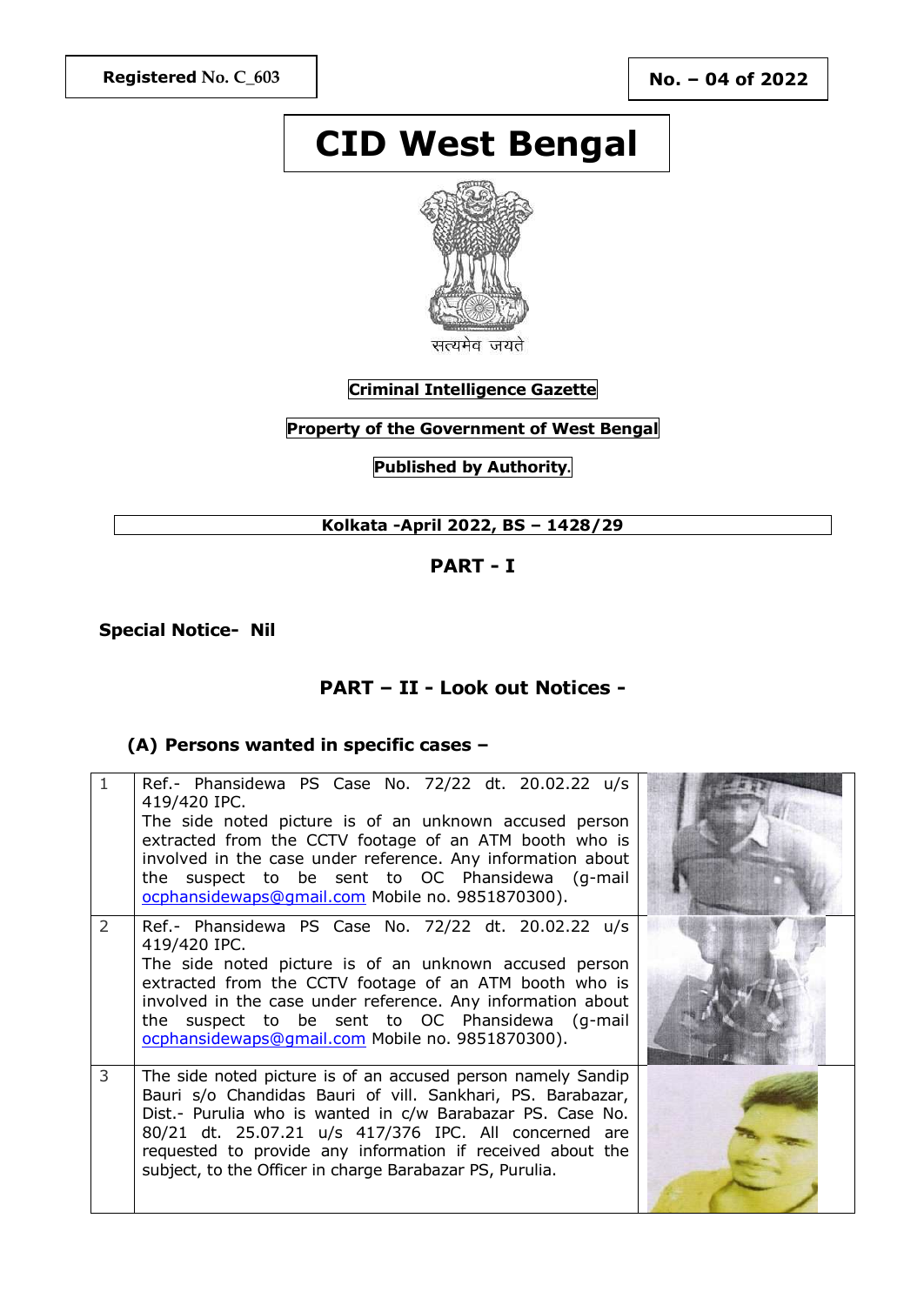# **CID West Bengal**



### **Criminal Intelligence Gazette**

### **Property of the Government of West Bengal**

**Published by Authority.**

### **Kolkata -April 2022, BS – 1428/29**

### **PART - I**

**Special Notice- Nil**

### **PART – II - Look out Notices -**

#### **(A) Persons wanted in specific cases –**

|               | Ref.- Phansidewa PS Case No. 72/22 dt. 20.02.22 u/s<br>419/420 IPC.<br>The side noted picture is of an unknown accused person<br>extracted from the CCTV footage of an ATM booth who is<br>involved in the case under reference. Any information about<br>the suspect to be sent to OC Phansidewa (g-mail<br>ocphansidewaps@qmail.com Mobile no. 9851870300).                |  |
|---------------|------------------------------------------------------------------------------------------------------------------------------------------------------------------------------------------------------------------------------------------------------------------------------------------------------------------------------------------------------------------------------|--|
| $\mathcal{P}$ | Ref.- Phansidewa PS Case No. 72/22 dt. 20.02.22 u/s<br>419/420 IPC.<br>The side noted picture is of an unknown accused person<br>extracted from the CCTV footage of an ATM booth who is<br>involved in the case under reference. Any information about<br>the suspect to be sent to OC Phansidewa (g-mail<br>ocphansidewaps@gmail.com Mobile no. 9851870300).                |  |
| 3             | The side noted picture is of an accused person namely Sandip<br>Bauri s/o Chandidas Bauri of vill. Sankhari, PS. Barabazar,<br>Dist.- Purulia who is wanted in c/w Barabazar PS. Case No.<br>80/21 dt. 25.07.21 u/s 417/376 IPC. All concerned are<br>requested to provide any information if received about the<br>subject, to the Officer in charge Barabazar PS, Purulia. |  |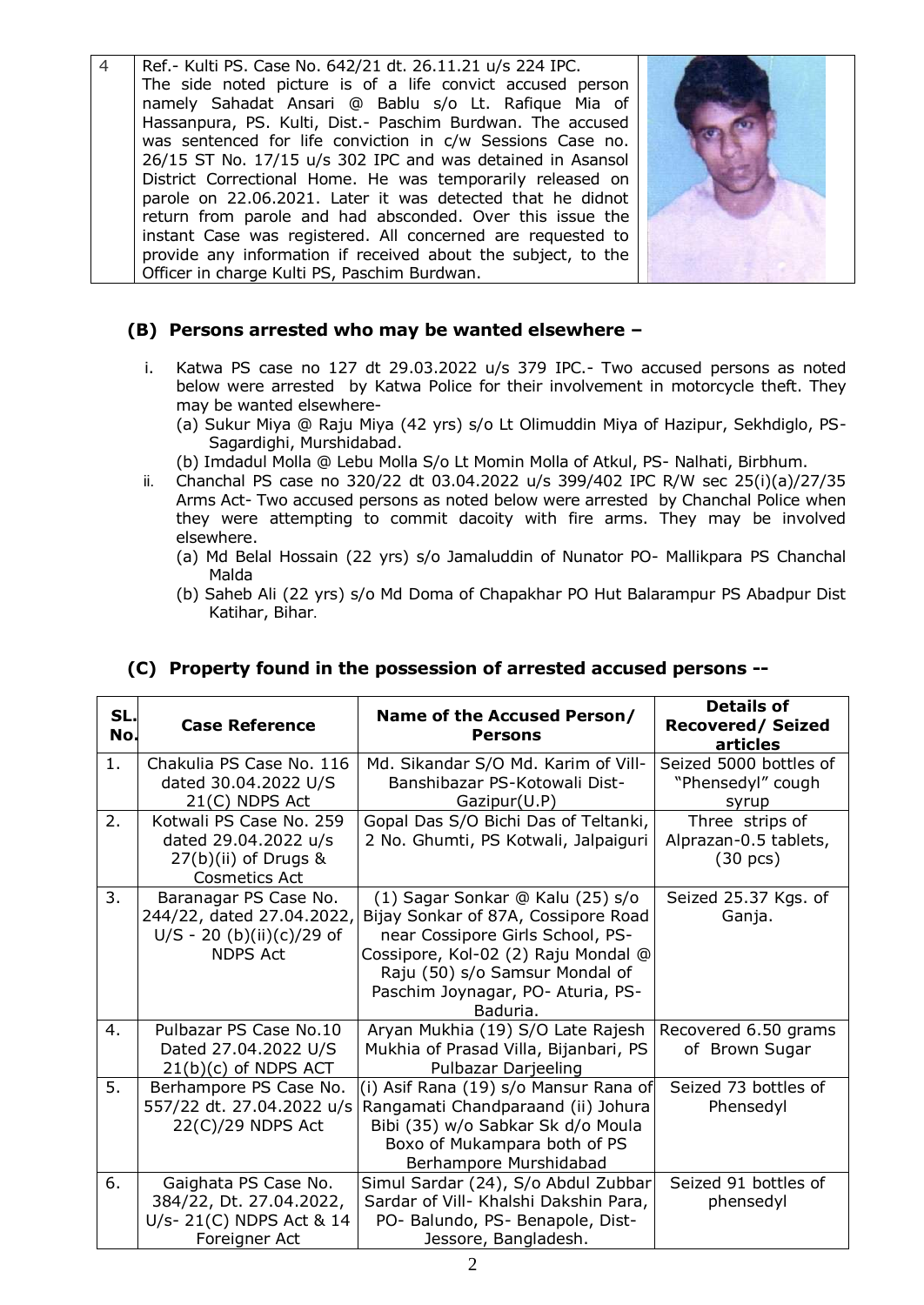4 Ref.- Kulti PS. Case No. 642/21 dt. 26.11.21 u/s 224 IPC. The side noted picture is of a life convict accused person namely Sahadat Ansari @ Bablu s/o Lt. Rafique Mia of Hassanpura, PS. Kulti, Dist.- Paschim Burdwan. The accused was sentenced for life conviction in c/w Sessions Case no. 26/15 ST No. 17/15 u/s 302 IPC and was detained in Asansol District Correctional Home. He was temporarily released on parole on 22.06.2021. Later it was detected that he didnot return from parole and had absconded. Over this issue the instant Case was registered. All concerned are requested to provide any information if received about the subject, to the Officer in charge Kulti PS, Paschim Burdwan.



### **(B) Persons arrested who may be wanted elsewhere –**

- i. Katwa PS case no 127 dt 29.03.2022 u/s 379 IPC.- Two accused persons as noted below were arrested by Katwa Police for their involvement in motorcycle theft. They may be wanted elsewhere-
	- (a) Sukur Miya @ Raju Miya (42 yrs) s/o Lt Olimuddin Miya of Hazipur, Sekhdiglo, PS-Sagardighi, Murshidabad.
	- (b) Imdadul Molla @ Lebu Molla S/o Lt Momin Molla of Atkul, PS- Nalhati, Birbhum.
- ii. Chanchal PS case no 320/22 dt 03.04.2022 u/s 399/402 IPC R/W sec 25(i)(a)/27/35 Arms Act- Two accused persons as noted below were arrested by Chanchal Police when they were attempting to commit dacoity with fire arms. They may be involved elsewhere.
	- (a) Md Belal Hossain (22 yrs) s/o Jamaluddin of Nunator PO- Mallikpara PS Chanchal Malda
	- (b) Saheb Ali (22 yrs) s/o Md Doma of Chapakhar PO Hut Balarampur PS Abadpur Dist Katihar, Bihar.

| SL.<br>No. | <b>Case Reference</b>       | Name of the Accused Person/<br><b>Persons</b> | <b>Details of</b><br><b>Recovered/ Seized</b><br>articles |
|------------|-----------------------------|-----------------------------------------------|-----------------------------------------------------------|
| 1.         | Chakulia PS Case No. 116    | Md. Sikandar S/O Md. Karim of Vill-           | Seized 5000 bottles of                                    |
|            | dated 30.04.2022 U/S        | Banshibazar PS-Kotowali Dist-                 | "Phensedyl" cough                                         |
|            | $21(C)$ NDPS Act            | Gazipur(U.P)                                  | syrup                                                     |
| 2.         | Kotwali PS Case No. 259     | Gopal Das S/O Bichi Das of Teltanki,          | Three strips of                                           |
|            | dated 29.04.2022 u/s        | 2 No. Ghumti, PS Kotwali, Jalpaiguri          | Alprazan-0.5 tablets,                                     |
|            | $27(b)(ii)$ of Drugs &      |                                               | $(30 \text{ pcs})$                                        |
|            | <b>Cosmetics Act</b>        |                                               |                                                           |
| 3.         | Baranagar PS Case No.       | (1) Sagar Sonkar @ Kalu (25) s/o              | Seized 25.37 Kgs. of                                      |
|            | 244/22, dated 27.04.2022,   | Bijay Sonkar of 87A, Cossipore Road           | Ganja.                                                    |
|            | $U/S - 20$ (b)(ii)(c)/29 of | near Cossipore Girls School, PS-              |                                                           |
|            | <b>NDPS Act</b>             | Cossipore, Kol-02 (2) Raju Mondal @           |                                                           |
|            |                             | Raju (50) s/o Samsur Mondal of                |                                                           |
|            |                             | Paschim Joynagar, PO- Aturia, PS-             |                                                           |
|            |                             | Baduria.                                      |                                                           |
| 4.         | Pulbazar PS Case No.10      | Aryan Mukhia (19) S/O Late Rajesh             | Recovered 6.50 grams                                      |
|            | Dated 27.04.2022 U/S        | Mukhia of Prasad Villa, Bijanbari, PS         | of Brown Sugar                                            |
|            | $21(b)(c)$ of NDPS ACT      | Pulbazar Darjeeling                           |                                                           |
| 5.         | Berhampore PS Case No.      | (i) Asif Rana (19) s/o Mansur Rana of         | Seized 73 bottles of                                      |
|            | 557/22 dt. 27.04.2022 u/s   | Rangamati Chandparaand (ii) Johura            | Phensedyl                                                 |
|            | $22(C)/29$ NDPS Act         | Bibi (35) w/o Sabkar Sk d/o Moula             |                                                           |
|            |                             | Boxo of Mukampara both of PS                  |                                                           |
|            |                             | Berhampore Murshidabad                        |                                                           |
| 6.         | Gaighata PS Case No.        | Simul Sardar (24), S/o Abdul Zubbar           | Seized 91 bottles of                                      |
|            | 384/22, Dt. 27.04.2022,     | Sardar of Vill- Khalshi Dakshin Para,         | phensedyl                                                 |
|            | U/s- 21(C) NDPS Act & 14    | PO- Balundo, PS- Benapole, Dist-              |                                                           |
|            | Foreigner Act               | Jessore, Bangladesh.                          |                                                           |

### **(C) Property found in the possession of arrested accused persons --**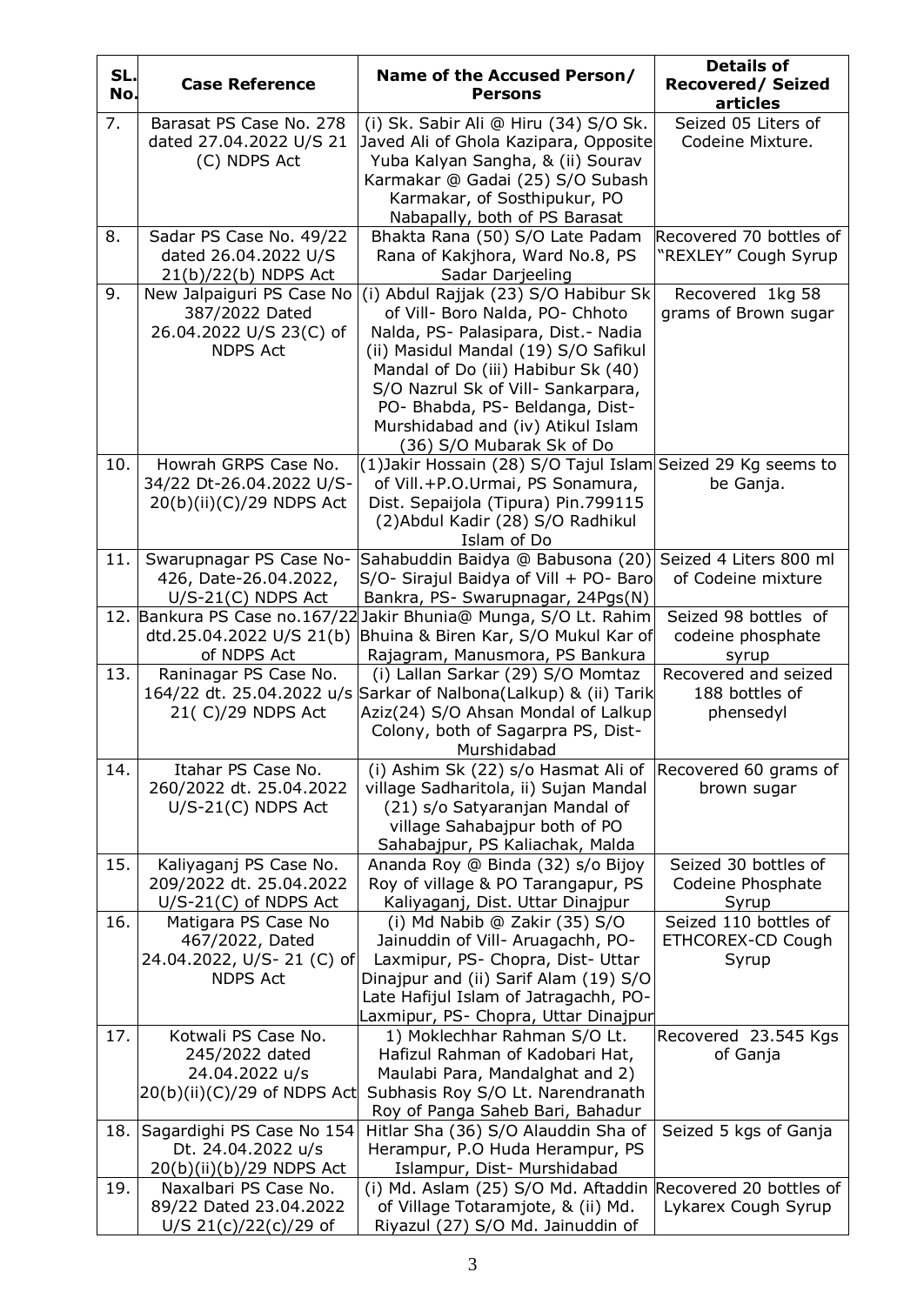| SL.<br>No. | <b>Case Reference</b>                            | Name of the Accused Person/<br><b>Persons</b>                                                    | <b>Details of</b><br><b>Recovered/Seized</b><br>articles |
|------------|--------------------------------------------------|--------------------------------------------------------------------------------------------------|----------------------------------------------------------|
| 7.         | Barasat PS Case No. 278                          | (i) Sk. Sabir Ali @ Hiru (34) S/O Sk.                                                            | Seized 05 Liters of                                      |
|            | dated 27.04.2022 U/S 21                          | Javed Ali of Ghola Kazipara, Opposite                                                            | Codeine Mixture.                                         |
|            | (C) NDPS Act                                     | Yuba Kalyan Sangha, & (ii) Sourav<br>Karmakar @ Gadai (25) S/O Subash                            |                                                          |
|            |                                                  | Karmakar, of Sosthipukur, PO                                                                     |                                                          |
|            |                                                  | Nabapally, both of PS Barasat                                                                    |                                                          |
| 8.         | Sadar PS Case No. 49/22                          | Bhakta Rana (50) S/O Late Padam                                                                  | Recovered 70 bottles of                                  |
|            | dated 26.04.2022 U/S<br>$21(b)/22(b)$ NDPS Act   | Rana of Kakjhora, Ward No.8, PS<br>Sadar Darjeeling                                              | "REXLEY" Cough Syrup                                     |
| 9.         | New Jalpaiguri PS Case No                        | (i) Abdul Rajjak (23) S/O Habibur Sk                                                             | Recovered 1kg 58                                         |
|            | 387/2022 Dated                                   | of Vill- Boro Nalda, PO- Chhoto                                                                  | grams of Brown sugar                                     |
|            | 26.04.2022 U/S 23(C) of                          | Nalda, PS- Palasipara, Dist.- Nadia                                                              |                                                          |
|            | <b>NDPS Act</b>                                  | (ii) Masidul Mandal (19) S/O Safikul<br>Mandal of Do (iii) Habibur Sk (40)                       |                                                          |
|            |                                                  | S/O Nazrul Sk of Vill- Sankarpara,                                                               |                                                          |
|            |                                                  | PO- Bhabda, PS- Beldanga, Dist-                                                                  |                                                          |
|            |                                                  | Murshidabad and (iv) Atikul Islam                                                                |                                                          |
|            |                                                  | (36) S/O Mubarak Sk of Do                                                                        |                                                          |
| 10.        | Howrah GRPS Case No.<br>34/22 Dt-26.04.2022 U/S- | (1) Jakir Hossain (28) S/O Tajul Islam Seized 29 Kg seems to<br>of Vill.+P.O.Urmai, PS Sonamura, | be Ganja.                                                |
|            | 20(b)(ii)(C)/29 NDPS Act                         | Dist. Sepaijola (Tipura) Pin.799115                                                              |                                                          |
|            |                                                  | (2) Abdul Kadir (28) S/O Radhikul                                                                |                                                          |
|            |                                                  | Islam of Do                                                                                      |                                                          |
| 11.        | Swarupnagar PS Case No-<br>426, Date-26.04.2022, | Sahabuddin Baidya @ Babusona (20)<br>S/O- Sirajul Baidya of Vill + PO- Baro                      | Seized 4 Liters 800 ml<br>of Codeine mixture             |
|            | $U/S-21(C)$ NDPS Act                             | Bankra, PS- Swarupnagar, 24Pgs(N)                                                                |                                                          |
| 12.        | Bankura PS Case no.167/22                        | Jakir Bhunia@ Munga, S/O Lt. Rahim                                                               | Seized 98 bottles of                                     |
|            |                                                  | dtd.25.04.2022 U/S 21(b) Bhuina & Biren Kar, S/O Mukul Kar of                                    | codeine phosphate                                        |
| 13.        | of NDPS Act<br>Raninagar PS Case No.             | Rajagram, Manusmora, PS Bankura<br>(i) Lallan Sarkar (29) S/O Momtaz                             | syrup<br>Recovered and seized                            |
|            |                                                  | 164/22 dt. 25.04.2022 u/s Sarkar of Nalbona(Lalkup) & (ii) Tarik                                 | 188 bottles of                                           |
|            | 21( C)/29 NDPS Act                               | Aziz(24) S/O Ahsan Mondal of Lalkup                                                              | phensedyl                                                |
|            |                                                  | Colony, both of Sagarpra PS, Dist-<br>Murshidabad                                                |                                                          |
| 14.        | Itahar PS Case No.                               | (i) Ashim Sk (22) s/o Hasmat Ali of                                                              | Recovered 60 grams of                                    |
|            | 260/2022 dt. 25.04.2022                          | village Sadharitola, ii) Sujan Mandal                                                            | brown sugar                                              |
|            | $U/S-21(C)$ NDPS Act                             | (21) s/o Satyaranjan Mandal of                                                                   |                                                          |
|            |                                                  | village Sahabajpur both of PO                                                                    |                                                          |
| 15.        | Kaliyaganj PS Case No.                           | Sahabajpur, PS Kaliachak, Malda<br>Ananda Roy @ Binda (32) s/o Bijoy                             | Seized 30 bottles of                                     |
|            | 209/2022 dt. 25.04.2022                          | Roy of village & PO Tarangapur, PS                                                               | Codeine Phosphate                                        |
|            | $U/S-21(C)$ of NDPS Act                          | Kaliyaganj, Dist. Uttar Dinajpur                                                                 | Syrup                                                    |
| 16.        | Matigara PS Case No                              | (i) Md Nabib $@$ Zakir (35) $S/O$                                                                | Seized 110 bottles of                                    |
|            | 467/2022, Dated<br>24.04.2022, U/S-21 (C) of     | Jainuddin of Vill- Aruagachh, PO-<br>Laxmipur, PS- Chopra, Dist- Uttar                           | <b>ETHCOREX-CD Cough</b><br>Syrup                        |
|            | <b>NDPS Act</b>                                  | Dinajpur and (ii) Sarif Alam (19) S/O                                                            |                                                          |
|            |                                                  | Late Hafijul Islam of Jatragachh, PO-                                                            |                                                          |
|            |                                                  | Laxmipur, PS- Chopra, Uttar Dinajpur                                                             |                                                          |
| 17.        | Kotwali PS Case No.<br>245/2022 dated            | 1) Moklechhar Rahman S/O Lt.<br>Hafizul Rahman of Kadobari Hat,                                  | Recovered 23.545 Kgs<br>of Ganja                         |
|            | 24.04.2022 u/s                                   | Maulabi Para, Mandalghat and 2)                                                                  |                                                          |
|            | 20(b)(ii)(C)/29 of NDPS Act                      | Subhasis Roy S/O Lt. Narendranath                                                                |                                                          |
|            |                                                  | Roy of Panga Saheb Bari, Bahadur                                                                 |                                                          |
| 18.        | Sagardighi PS Case No 154<br>Dt. 24.04.2022 u/s  | Hitlar Sha (36) S/O Alauddin Sha of<br>Herampur, P.O Huda Herampur, PS                           | Seized 5 kgs of Ganja                                    |
|            | 20(b)(ii)(b)/29 NDPS Act                         | Islampur, Dist- Murshidabad                                                                      |                                                          |
| 19.        | Naxalbari PS Case No.                            | (i) Md. Aslam (25) S/O Md. Aftaddin Recovered 20 bottles of                                      |                                                          |
|            | 89/22 Dated 23.04.2022                           | of Village Totaramjote, & (ii) Md.                                                               | Lykarex Cough Syrup                                      |
|            | U/S $21(c)/22(c)/29$ of                          | Riyazul (27) S/O Md. Jainuddin of                                                                |                                                          |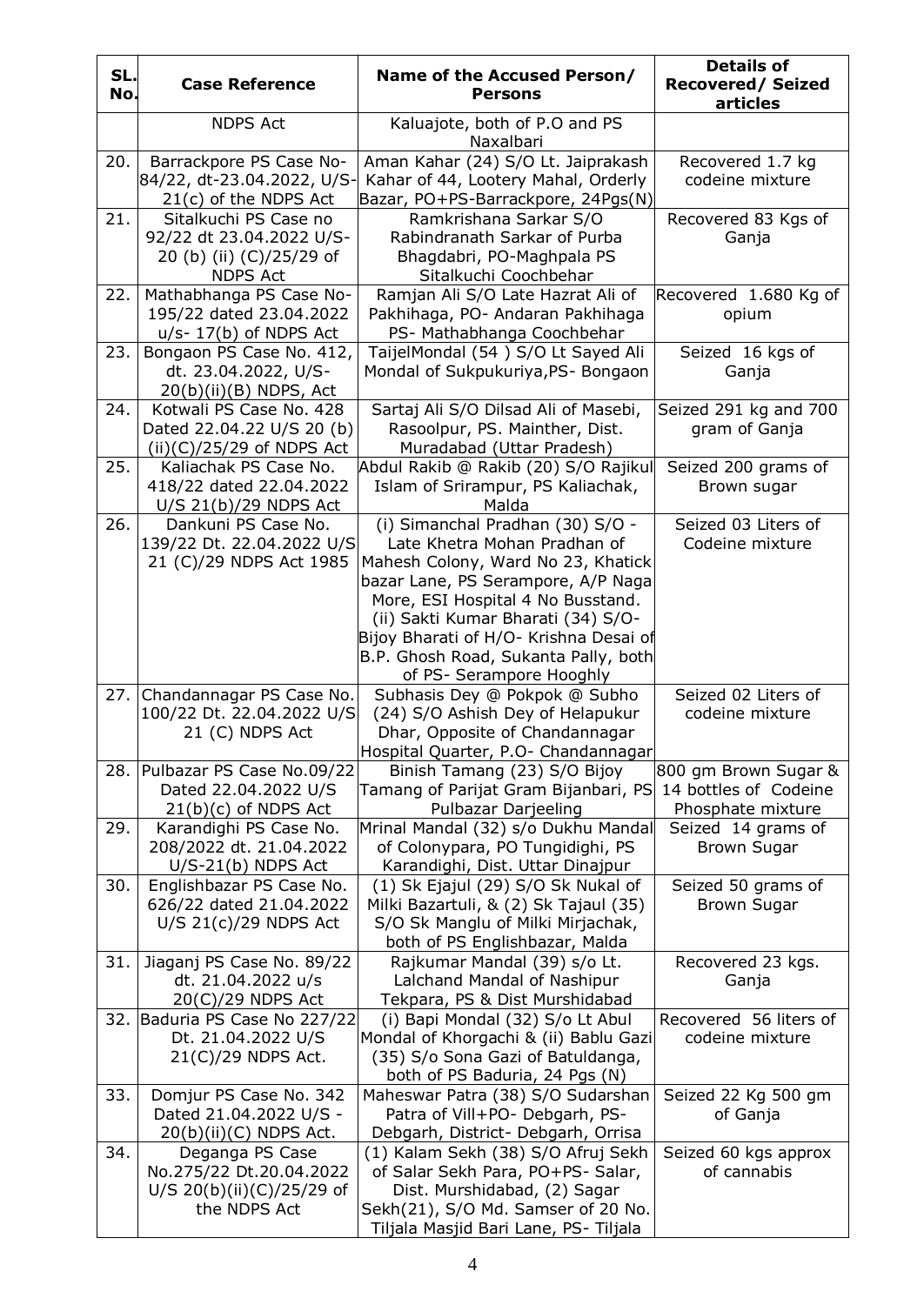| SL.<br>No. | <b>Case Reference</b>                                                                            | Name of the Accused Person/<br><b>Persons</b>                                                                                                                                                                                                                                                                                         | <b>Details of</b><br><b>Recovered/Seized</b><br>articles           |
|------------|--------------------------------------------------------------------------------------------------|---------------------------------------------------------------------------------------------------------------------------------------------------------------------------------------------------------------------------------------------------------------------------------------------------------------------------------------|--------------------------------------------------------------------|
|            | <b>NDPS Act</b>                                                                                  | Kaluajote, both of P.O and PS<br>Naxalbari                                                                                                                                                                                                                                                                                            |                                                                    |
| 20.        | Barrackpore PS Case No-<br>84/22, dt-23.04.2022, U/S-<br>21(c) of the NDPS Act                   | Aman Kahar (24) S/O Lt. Jaiprakash<br>Kahar of 44, Lootery Mahal, Orderly<br>Bazar, PO+PS-Barrackpore, 24Pgs(N)                                                                                                                                                                                                                       | Recovered 1.7 kg<br>codeine mixture                                |
| 21.        | Sitalkuchi PS Case no<br>92/22 dt 23.04.2022 U/S-<br>20 (b) (ii) (C)/25/29 of<br><b>NDPS Act</b> | Ramkrishana Sarkar S/O<br>Rabindranath Sarkar of Purba<br>Bhagdabri, PO-Maghpala PS<br>Sitalkuchi Coochbehar                                                                                                                                                                                                                          | Recovered 83 Kgs of<br>Ganja                                       |
| 22.        | Mathabhanga PS Case No-<br>195/22 dated 23.04.2022<br>$u/s - 17(b)$ of NDPS Act                  | Ramjan Ali S/O Late Hazrat Ali of<br>Pakhihaga, PO- Andaran Pakhihaga<br>PS- Mathabhanga Coochbehar                                                                                                                                                                                                                                   | Recovered 1.680 Kg of<br>opium                                     |
| 23.        | Bongaon PS Case No. 412,<br>dt. 23.04.2022, U/S-<br>$20(b)(ii)(B)$ NDPS, Act                     | TaijelMondal (54) S/O Lt Sayed Ali<br>Mondal of Sukpukuriya, PS- Bongaon                                                                                                                                                                                                                                                              | Seized 16 kgs of<br>Ganja                                          |
| 24.        | Kotwali PS Case No. 428<br>Dated 22.04.22 U/S 20 (b)<br>$(ii)(C)/25/29$ of NDPS Act              | Sartaj Ali S/O Dilsad Ali of Masebi,<br>Rasoolpur, PS. Mainther, Dist.<br>Muradabad (Uttar Pradesh)                                                                                                                                                                                                                                   | Seized 291 kg and 700<br>gram of Ganja                             |
| 25.        | Kaliachak PS Case No.<br>418/22 dated 22.04.2022<br>$U/S$ 21(b)/29 NDPS Act                      | Abdul Rakib @ Rakib (20) S/O Rajikul<br>Islam of Srirampur, PS Kaliachak,<br>Malda                                                                                                                                                                                                                                                    | Seized 200 grams of<br>Brown sugar                                 |
| 26.        | Dankuni PS Case No.<br>139/22 Dt. 22.04.2022 U/S<br>21 (C)/29 NDPS Act 1985                      | (i) Simanchal Pradhan (30) S/O -<br>Late Khetra Mohan Pradhan of<br>Mahesh Colony, Ward No 23, Khatick<br>bazar Lane, PS Serampore, A/P Naga<br>More, ESI Hospital 4 No Busstand.<br>(ii) Sakti Kumar Bharati (34) S/O-<br>Bijoy Bharati of H/O- Krishna Desai of<br>B.P. Ghosh Road, Sukanta Pally, both<br>of PS- Serampore Hooghly | Seized 03 Liters of<br>Codeine mixture                             |
| 27.        | Chandannagar PS Case No.<br>100/22 Dt. 22.04.2022 U/S<br>21 (C) NDPS Act                         | Subhasis Dey @ Pokpok @ Subho<br>(24) S/O Ashish Dey of Helapukur<br>Dhar, Opposite of Chandannagar<br>Hospital Quarter, P.O- Chandannagar                                                                                                                                                                                            | Seized 02 Liters of<br>codeine mixture                             |
| 28.        | Pulbazar PS Case No.09/22<br>Dated 22.04.2022 U/S<br>$21(b)(c)$ of NDPS Act                      | Binish Tamang (23) S/O Bijoy<br>Tamang of Parijat Gram Bijanbari, PS<br>Pulbazar Darjeeling                                                                                                                                                                                                                                           | 800 gm Brown Sugar &<br>14 bottles of Codeine<br>Phosphate mixture |
| 29.        | Karandighi PS Case No.<br>208/2022 dt. 21.04.2022<br>$U/S-21(b)$ NDPS Act                        | Mrinal Mandal (32) s/o Dukhu Mandal<br>of Colonypara, PO Tungidighi, PS<br>Karandighi, Dist. Uttar Dinajpur                                                                                                                                                                                                                           | Seized 14 grams of<br><b>Brown Sugar</b>                           |
| 30.        | Englishbazar PS Case No.<br>626/22 dated 21.04.2022<br>U/S $21(c)/29$ NDPS Act                   | (1) Sk Ejajul (29) S/O Sk Nukal of<br>Milki Bazartuli, & (2) Sk Tajaul (35)<br>S/O Sk Manglu of Milki Mirjachak,<br>both of PS Englishbazar, Malda                                                                                                                                                                                    | Seized 50 grams of<br><b>Brown Sugar</b>                           |
| 31.        | Jiaganj PS Case No. 89/22<br>dt. 21.04.2022 u/s<br>20(C)/29 NDPS Act                             | Rajkumar Mandal (39) s/o Lt.<br>Lalchand Mandal of Nashipur<br>Tekpara, PS & Dist Murshidabad                                                                                                                                                                                                                                         | Recovered 23 kgs.<br>Ganja                                         |
|            | 32. Baduria PS Case No 227/22<br>Dt. 21.04.2022 U/S<br>21(C)/29 NDPS Act.                        | (i) Bapi Mondal (32) S/o Lt Abul<br>Mondal of Khorgachi & (ii) Bablu Gazi<br>(35) S/o Sona Gazi of Batuldanga,<br>both of PS Baduria, 24 Pgs (N)                                                                                                                                                                                      | Recovered 56 liters of<br>codeine mixture                          |
| 33.        | Domjur PS Case No. 342<br>Dated 21.04.2022 U/S -<br>$20(b)(ii)(C)$ NDPS Act.                     | Maheswar Patra (38) S/O Sudarshan<br>Patra of Vill+PO- Debgarh, PS-<br>Debgarh, District- Debgarh, Orrisa                                                                                                                                                                                                                             | Seized 22 Kg 500 gm<br>of Ganja                                    |
| 34.        | Deganga PS Case<br>No.275/22 Dt.20.04.2022<br>U/S 20(b)(ii)(C)/25/29 of<br>the NDPS Act          | (1) Kalam Sekh (38) S/O Afruj Sekh<br>of Salar Sekh Para, PO+PS- Salar,<br>Dist. Murshidabad, (2) Sagar<br>Sekh(21), S/O Md. Samser of 20 No.<br>Tiljala Masjid Bari Lane, PS-Tiljala                                                                                                                                                 | Seized 60 kgs approx<br>of cannabis                                |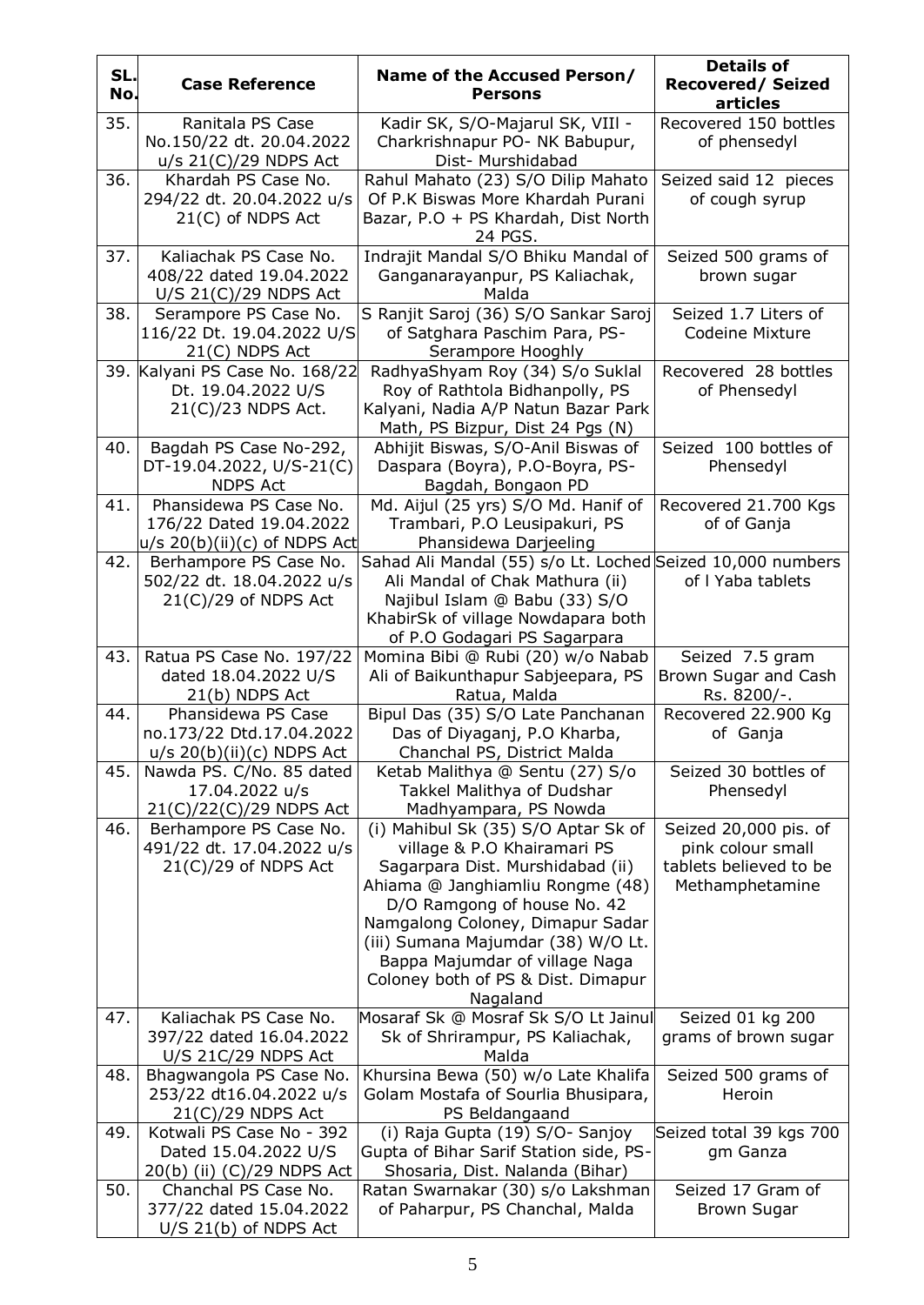| SL.<br>No. | <b>Case Reference</b>                                                                | Name of the Accused Person/<br><b>Persons</b>                                                                                                                                                                                                                                                                                           | <b>Details of</b><br><b>Recovered/Seized</b><br>articles                                |
|------------|--------------------------------------------------------------------------------------|-----------------------------------------------------------------------------------------------------------------------------------------------------------------------------------------------------------------------------------------------------------------------------------------------------------------------------------------|-----------------------------------------------------------------------------------------|
| 35.        | Ranitala PS Case<br>No.150/22 dt. 20.04.2022<br>$u/s$ 21(C)/29 NDPS Act              | Kadir SK, S/O-Majarul SK, VIII -<br>Charkrishnapur PO- NK Babupur,<br>Dist- Murshidabad                                                                                                                                                                                                                                                 | Recovered 150 bottles<br>of phensedyl                                                   |
| 36.        | Khardah PS Case No.<br>294/22 dt. 20.04.2022 u/s<br>21(C) of NDPS Act                | Rahul Mahato (23) S/O Dilip Mahato<br>Of P.K Biswas More Khardah Purani<br>Bazar, P.O + PS Khardah, Dist North<br>24 PGS.                                                                                                                                                                                                               | Seized said 12 pieces<br>of cough syrup                                                 |
| 37.        | Kaliachak PS Case No.<br>408/22 dated 19.04.2022<br>$U/S$ 21(C)/29 NDPS Act          | Indrajit Mandal S/O Bhiku Mandal of<br>Ganganarayanpur, PS Kaliachak,<br>Malda                                                                                                                                                                                                                                                          | Seized 500 grams of<br>brown sugar                                                      |
| 38.        | Serampore PS Case No.<br>116/22 Dt. 19.04.2022 U/S<br>$21(C)$ NDPS Act               | S Ranjit Saroj (36) S/O Sankar Saroj<br>of Satghara Paschim Para, PS-<br>Serampore Hooghly                                                                                                                                                                                                                                              | Seized 1.7 Liters of<br><b>Codeine Mixture</b>                                          |
|            | 39. Kalyani PS Case No. 168/22<br>Dt. 19.04.2022 U/S<br>21(C)/23 NDPS Act.           | RadhyaShyam Roy (34) S/o Suklal<br>Roy of Rathtola Bidhanpolly, PS<br>Kalyani, Nadia A/P Natun Bazar Park<br>Math, PS Bizpur, Dist 24 Pgs (N)                                                                                                                                                                                           | Recovered 28 bottles<br>of Phensedyl                                                    |
| 40.        | Bagdah PS Case No-292,<br>DT-19.04.2022, U/S-21(C)<br><b>NDPS Act</b>                | Abhijit Biswas, S/O-Anil Biswas of<br>Daspara (Boyra), P.O-Boyra, PS-<br>Bagdah, Bongaon PD                                                                                                                                                                                                                                             | Seized 100 bottles of<br>Phensedyl                                                      |
| 41.        | Phansidewa PS Case No.<br>176/22 Dated 19.04.2022<br>$ u/s 20(b)(ii)(c)$ of NDPS Act | Md. Aijul (25 yrs) S/O Md. Hanif of<br>Trambari, P.O Leusipakuri, PS<br>Phansidewa Darjeeling                                                                                                                                                                                                                                           | Recovered 21.700 Kgs<br>of of Ganja                                                     |
| 42.        | Berhampore PS Case No.<br>502/22 dt. 18.04.2022 u/s<br>$21(C)/29$ of NDPS Act        | Sahad Ali Mandal (55) s/o Lt. Loched Seized 10,000 numbers<br>Ali Mandal of Chak Mathura (ii)<br>Najibul Islam @ Babu (33) S/O<br>KhabirSk of village Nowdapara both<br>of P.O Godagari PS Sagarpara                                                                                                                                    | of I Yaba tablets                                                                       |
| 43.        | Ratua PS Case No. 197/22<br>dated 18.04.2022 U/S<br>21(b) NDPS Act                   | Momina Bibi @ Rubi (20) w/o Nabab<br>Ali of Baikunthapur Sabjeepara, PS<br>Ratua, Malda                                                                                                                                                                                                                                                 | Seized 7.5 gram<br>Brown Sugar and Cash<br>Rs. 8200/-.                                  |
| 44.        | Phansidewa PS Case<br>no.173/22 Dtd.17.04.2022<br><u>u/s 20(b)(ii)(c) NDPS Act</u>   | Bipul Das (35) S/O Late Panchanan<br>Das of Diyaganj, P.O Kharba,<br>Chanchal PS, District Malda                                                                                                                                                                                                                                        | Recovered 22.900 Kg<br>of Ganja                                                         |
| 45.        | Nawda PS. C/No. 85 dated<br>17.04.2022 u/s<br>21(C)/22(C)/29 NDPS Act                | Ketab Malithya @ Sentu (27) S/o<br>Takkel Malithya of Dudshar<br>Madhyampara, PS Nowda                                                                                                                                                                                                                                                  | Seized 30 bottles of<br>Phensedyl                                                       |
| 46.        | Berhampore PS Case No.<br>491/22 dt. 17.04.2022 u/s<br>$21(C)/29$ of NDPS Act        | (i) Mahibul Sk (35) S/O Aptar Sk of<br>village & P.O Khairamari PS<br>Sagarpara Dist. Murshidabad (ii)<br>Ahiama @ Janghiamliu Rongme (48)<br>D/O Ramgong of house No. 42<br>Namgalong Coloney, Dimapur Sadar<br>(iii) Sumana Majumdar (38) W/O Lt.<br>Bappa Majumdar of village Naga<br>Coloney both of PS & Dist. Dimapur<br>Nagaland | Seized 20,000 pis. of<br>pink colour small<br>tablets believed to be<br>Methamphetamine |
| 47.        | Kaliachak PS Case No.<br>397/22 dated 16.04.2022<br>U/S 21C/29 NDPS Act              | Mosaraf Sk @ Mosraf Sk S/O Lt Jainul<br>Sk of Shrirampur, PS Kaliachak,<br>Malda                                                                                                                                                                                                                                                        | Seized 01 kg 200<br>grams of brown sugar                                                |
| 48.        | Bhagwangola PS Case No.<br>253/22 dt16.04.2022 u/s<br>$21(C)/29$ NDPS Act            | Khursina Bewa (50) w/o Late Khalifa<br>Golam Mostafa of Sourlia Bhusipara,<br>PS Beldangaand                                                                                                                                                                                                                                            | Seized 500 grams of<br>Heroin                                                           |
| 49.        | Kotwali PS Case No - 392<br>Dated 15.04.2022 U/S<br>20(b) (ii) (C)/29 NDPS Act       | (i) Raja Gupta (19) S/O- Sanjoy<br>Gupta of Bihar Sarif Station side, PS-<br>Shosaria, Dist. Nalanda (Bihar)                                                                                                                                                                                                                            | Seized total 39 kgs 700<br>gm Ganza                                                     |
| 50.        | Chanchal PS Case No.<br>377/22 dated 15.04.2022<br>$U/S$ 21(b) of NDPS Act           | Ratan Swarnakar (30) s/o Lakshman<br>of Paharpur, PS Chanchal, Malda                                                                                                                                                                                                                                                                    | Seized 17 Gram of<br><b>Brown Sugar</b>                                                 |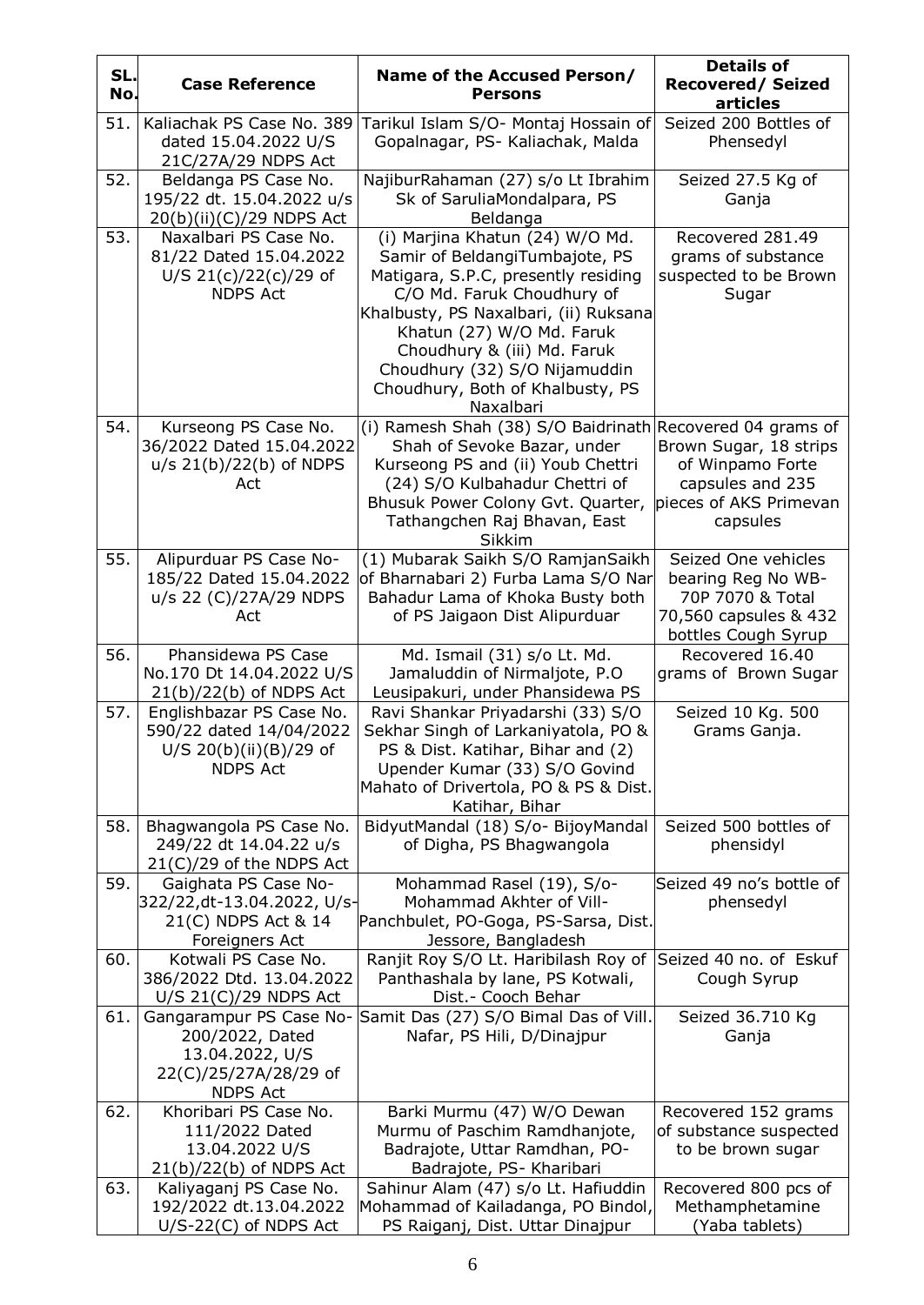| SL.<br>No. | <b>Case Reference</b>                                                                                     | Name of the Accused Person/<br><b>Persons</b>                                                                                                                                                                                                                                                                                 | <b>Details of</b><br><b>Recovered/Seized</b><br>articles                                                      |
|------------|-----------------------------------------------------------------------------------------------------------|-------------------------------------------------------------------------------------------------------------------------------------------------------------------------------------------------------------------------------------------------------------------------------------------------------------------------------|---------------------------------------------------------------------------------------------------------------|
| 51.        | Kaliachak PS Case No. 389<br>dated 15.04.2022 U/S<br>21C/27A/29 NDPS Act                                  | Tarikul Islam S/O- Montaj Hossain of<br>Gopalnagar, PS- Kaliachak, Malda                                                                                                                                                                                                                                                      | Seized 200 Bottles of<br>Phensedyl                                                                            |
| 52.        | Beldanga PS Case No.<br>195/22 dt. 15.04.2022 u/s<br>20(b)(ii)(C)/29 NDPS Act                             | NajiburRahaman (27) s/o Lt Ibrahim<br>Sk of SaruliaMondalpara, PS<br>Beldanga                                                                                                                                                                                                                                                 | Seized 27.5 Kg of<br>Ganja                                                                                    |
| 53.        | Naxalbari PS Case No.<br>81/22 Dated 15.04.2022<br>U/S 21(c)/22(c)/29 of<br><b>NDPS Act</b>               | (i) Marjina Khatun (24) W/O Md.<br>Samir of BeldangiTumbajote, PS<br>Matigara, S.P.C, presently residing<br>C/O Md. Faruk Choudhury of<br>Khalbusty, PS Naxalbari, (ii) Ruksana<br>Khatun (27) W/O Md. Faruk<br>Choudhury & (iii) Md. Faruk<br>Choudhury (32) S/O Nijamuddin<br>Choudhury, Both of Khalbusty, PS<br>Naxalbari | Recovered 281.49<br>grams of substance<br>suspected to be Brown<br>Sugar                                      |
| 54.        | Kurseong PS Case No.<br>36/2022 Dated 15.04.2022<br>$u/s$ 21(b)/22(b) of NDPS<br>Act                      | (i) Ramesh Shah (38) S/O Baidrinath Recovered 04 grams of<br>Shah of Sevoke Bazar, under<br>Kurseong PS and (ii) Youb Chettri<br>(24) S/O Kulbahadur Chettri of<br>Bhusuk Power Colony Gvt. Quarter,<br>Tathangchen Raj Bhavan, East<br>Sikkim                                                                                | Brown Sugar, 18 strips<br>of Winpamo Forte<br>capsules and 235<br>pieces of AKS Primevan<br>capsules          |
| 55.        | Alipurduar PS Case No-<br>185/22 Dated 15.04.2022<br>u/s 22 (C)/27A/29 NDPS<br>Act                        | (1) Mubarak Saikh S/O RamjanSaikh<br>of Bharnabari 2) Furba Lama S/O Nar<br>Bahadur Lama of Khoka Busty both<br>of PS Jaigaon Dist Alipurduar                                                                                                                                                                                 | Seized One vehicles<br>bearing Reg No WB-<br>70P 7070 & Total<br>70,560 capsules & 432<br>bottles Cough Syrup |
| 56.        | Phansidewa PS Case<br>No.170 Dt 14.04.2022 U/S<br>$21(b)/22(b)$ of NDPS Act                               | Md. Ismail (31) s/o Lt. Md.<br>Jamaluddin of Nirmaljote, P.O<br>Leusipakuri, under Phansidewa PS                                                                                                                                                                                                                              | Recovered 16.40<br>grams of Brown Sugar                                                                       |
| 57.        | Englishbazar PS Case No.<br>590/22 dated 14/04/2022<br>U/S 20(b)(ii)(B)/29 of<br><b>NDPS Act</b>          | Ravi Shankar Priyadarshi (33) S/O<br>Sekhar Singh of Larkaniyatola, PO &<br>PS & Dist. Katihar, Bihar and (2)<br>Upender Kumar (33) S/O Govind<br>Mahato of Drivertola, PO & PS & Dist.<br>Katihar, Bihar                                                                                                                     | Seized 10 Kg. 500<br>Grams Ganja.                                                                             |
| 58.        | Bhagwangola PS Case No.<br>249/22 dt 14.04.22 u/s<br>$21(C)/29$ of the NDPS Act                           | BidyutMandal (18) S/o- BijoyMandal<br>of Digha, PS Bhagwangola                                                                                                                                                                                                                                                                | Seized 500 bottles of<br>phensidyl                                                                            |
| 59.        | Gaighata PS Case No-<br>322/22,dt-13.04.2022, U/s-<br>21(C) NDPS Act & 14<br>Foreigners Act               | Mohammad Rasel (19), S/o-<br>Mohammad Akhter of Vill-<br>Panchbulet, PO-Goga, PS-Sarsa, Dist.<br>Jessore, Bangladesh                                                                                                                                                                                                          | Seized 49 no's bottle of<br>phensedyl                                                                         |
| 60.        | Kotwali PS Case No.<br>386/2022 Dtd. 13.04.2022<br>$U/S$ 21(C)/29 NDPS Act                                | Ranjit Roy S/O Lt. Haribilash Roy of<br>Panthashala by lane, PS Kotwali,<br>Dist.- Cooch Behar                                                                                                                                                                                                                                | Seized 40 no. of Eskuf<br>Cough Syrup                                                                         |
| 61.        | Gangarampur PS Case No-<br>200/2022, Dated<br>13.04.2022, U/S<br>22(C)/25/27A/28/29 of<br><b>NDPS Act</b> | Samit Das (27) S/O Bimal Das of Vill.<br>Nafar, PS Hili, D/Dinajpur                                                                                                                                                                                                                                                           | Seized 36.710 Kg<br>Ganja                                                                                     |
| 62.        | Khoribari PS Case No.<br>111/2022 Dated<br>13.04.2022 U/S<br>$21(b)/22(b)$ of NDPS Act                    | Barki Murmu (47) W/O Dewan<br>Murmu of Paschim Ramdhanjote,<br>Badrajote, Uttar Ramdhan, PO-<br>Badrajote, PS- Kharibari                                                                                                                                                                                                      | Recovered 152 grams<br>of substance suspected<br>to be brown sugar                                            |
| 63.        | Kaliyaganj PS Case No.<br>192/2022 dt.13.04.2022<br>$U/S-22(C)$ of NDPS Act                               | Sahinur Alam (47) s/o Lt. Hafiuddin<br>Mohammad of Kailadanga, PO Bindol,<br>PS Raiganj, Dist. Uttar Dinajpur                                                                                                                                                                                                                 | Recovered 800 pcs of<br>Methamphetamine<br>(Yaba tablets)                                                     |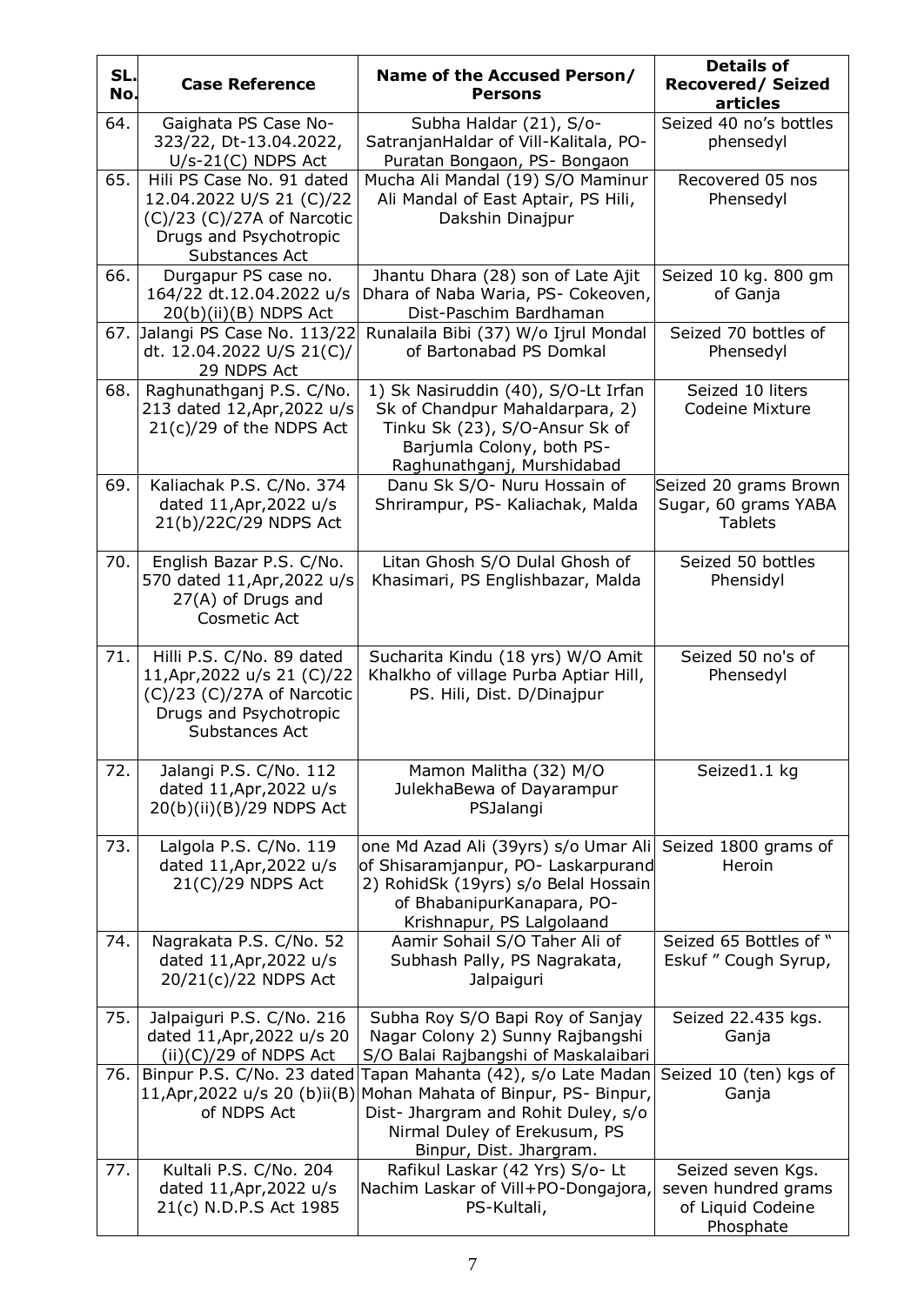| SL.<br>No. | <b>Case Reference</b>                                                                                                                  | Name of the Accused Person/<br><b>Persons</b>                                                                                                                                                            | <b>Details of</b><br><b>Recovered/Seized</b><br>articles                   |
|------------|----------------------------------------------------------------------------------------------------------------------------------------|----------------------------------------------------------------------------------------------------------------------------------------------------------------------------------------------------------|----------------------------------------------------------------------------|
| 64.        | Gaighata PS Case No-<br>323/22, Dt-13.04.2022,<br>$U/s-21(C)$ NDPS Act                                                                 | Subha Haldar (21), S/o-<br>SatranjanHaldar of Vill-Kalitala, PO-<br>Puratan Bongaon, PS- Bongaon                                                                                                         | Seized 40 no's bottles<br>phensedyl                                        |
| 65.        | Hili PS Case No. 91 dated<br>12.04.2022 U/S 21 (C)/22<br>$(C)/23$ $(C)/27A$ of Narcotic<br>Drugs and Psychotropic<br>Substances Act    | Mucha Ali Mandal (19) S/O Maminur<br>Ali Mandal of East Aptair, PS Hili,<br>Dakshin Dinajpur                                                                                                             | Recovered 05 nos<br>Phensedyl                                              |
| 66.        | Durgapur PS case no.<br>164/22 dt.12.04.2022 u/s<br>$20(b)(ii)(B)$ NDPS Act                                                            | Jhantu Dhara (28) son of Late Ajit<br>Dhara of Naba Waria, PS- Cokeoven,<br>Dist-Paschim Bardhaman                                                                                                       | Seized 10 kg. 800 gm<br>of Ganja                                           |
| 67.        | Jalangi PS Case No. 113/22<br>dt. 12.04.2022 U/S 21(C)/<br>29 NDPS Act                                                                 | Runalaila Bibi (37) W/o Ijrul Mondal<br>of Bartonabad PS Domkal                                                                                                                                          | Seized 70 bottles of<br>Phensedyl                                          |
| 68.        | Raghunathganj P.S. C/No.<br>213 dated 12, Apr, 2022 u/s<br>$21(c)/29$ of the NDPS Act                                                  | 1) Sk Nasiruddin (40), S/O-Lt Irfan<br>Sk of Chandpur Mahaldarpara, 2)<br>Tinku Sk (23), S/O-Ansur Sk of<br>Barjumla Colony, both PS-<br>Raghunathganj, Murshidabad                                      | Seized 10 liters<br><b>Codeine Mixture</b>                                 |
| 69.        | Kaliachak P.S. C/No. 374<br>dated 11, Apr, 2022 u/s<br>21(b)/22C/29 NDPS Act                                                           | Danu Sk S/O- Nuru Hossain of<br>Shrirampur, PS- Kaliachak, Malda                                                                                                                                         | Seized 20 grams Brown<br>Sugar, 60 grams YABA<br><b>Tablets</b>            |
| 70.        | English Bazar P.S. C/No.<br>570 dated 11, Apr, 2022 u/s<br>27(A) of Drugs and<br><b>Cosmetic Act</b>                                   | Litan Ghosh S/O Dulal Ghosh of<br>Khasimari, PS Englishbazar, Malda                                                                                                                                      | Seized 50 bottles<br>Phensidyl                                             |
| 71.        | Hilli P.S. C/No. 89 dated<br>11, Apr, 2022 u/s 21 (C)/22<br>$(C)/23$ $(C)/27A$ of Narcotic<br>Drugs and Psychotropic<br>Substances Act | Sucharita Kindu (18 yrs) W/O Amit<br>Khalkho of village Purba Aptiar Hill,<br>PS. Hili, Dist. D/Dinajpur                                                                                                 | Seized 50 no's of<br>Phensedyl                                             |
| 72.        | Jalangi P.S. C/No. 112<br>dated 11, Apr, 2022 u/s<br>20(b)(ii)(B)/29 NDPS Act                                                          | Mamon Malitha (32) M/O<br>JulekhaBewa of Dayarampur<br>PSJalangi                                                                                                                                         | Seized1.1 kg                                                               |
| 73.        | Lalgola P.S. C/No. 119<br>dated 11, Apr, 2022 u/s<br>21(C)/29 NDPS Act                                                                 | one Md Azad Ali (39yrs) s/o Umar Ali<br>of Shisaramjanpur, PO- Laskarpurand<br>2) RohidSk (19yrs) s/o Belal Hossain<br>of BhabanipurKanapara, PO-<br>Krishnapur, PS Lalgolaand                           | Seized 1800 grams of<br>Heroin                                             |
| 74.        | Nagrakata P.S. C/No. 52<br>dated 11, Apr, 2022 u/s<br>20/21(c)/22 NDPS Act                                                             | Aamir Sohail S/O Taher Ali of<br>Subhash Pally, PS Nagrakata,<br>Jalpaiguri                                                                                                                              | Seized 65 Bottles of "<br>Eskuf " Cough Syrup,                             |
| 75.        | Jalpaiguri P.S. C/No. 216<br>dated 11, Apr, 2022 u/s 20<br>$(ii)(C)/29$ of NDPS Act                                                    | Subha Roy S/O Bapi Roy of Sanjay<br>Nagar Colony 2) Sunny Rajbangshi<br>S/O Balai Rajbangshi of Maskalaibari                                                                                             | Seized 22.435 kgs.<br>Ganja                                                |
| 76.        | Binpur P.S. C/No. 23 dated<br>of NDPS Act                                                                                              | Tapan Mahanta (42), s/o Late Madan<br>11, Apr, 2022 u/s 20 (b)ii(B) Mohan Mahata of Binpur, PS-Binpur,<br>Dist- Jhargram and Rohit Duley, s/o<br>Nirmal Duley of Erekusum, PS<br>Binpur, Dist. Jhargram. | Seized 10 (ten) kgs of<br>Ganja                                            |
| 77.        | Kultali P.S. C/No. 204<br>dated 11, Apr, 2022 u/s<br>21(c) N.D.P.S Act 1985                                                            | Rafikul Laskar (42 Yrs) S/o- Lt<br>Nachim Laskar of Vill+PO-Dongajora,<br>PS-Kultali,                                                                                                                    | Seized seven Kgs.<br>seven hundred grams<br>of Liquid Codeine<br>Phosphate |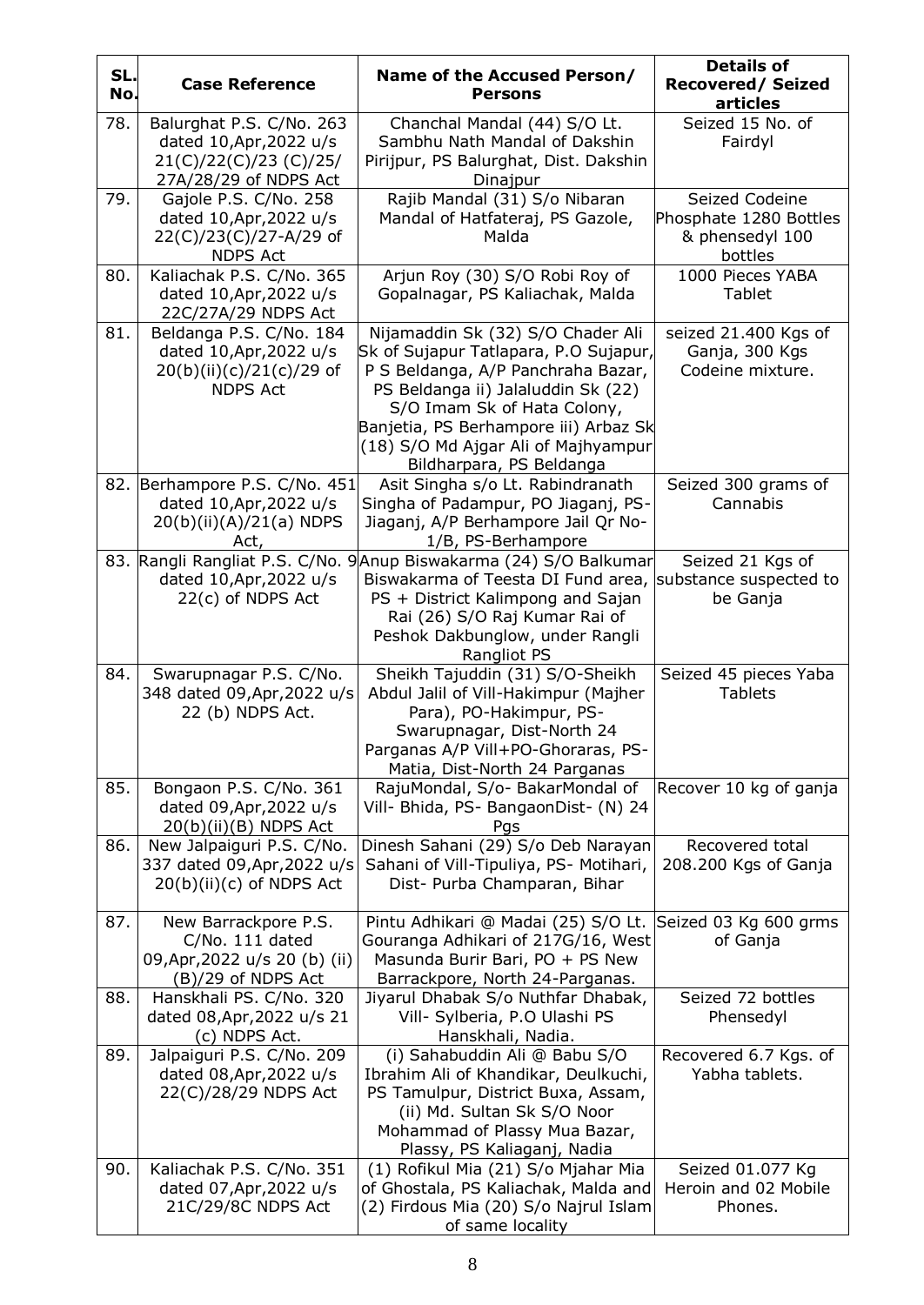| SL.<br>No. | <b>Case Reference</b>                                                                                  | Name of the Accused Person/<br><b>Persons</b>                                                                                                                                                                                                                                                     | <b>Details of</b><br><b>Recovered/Seized</b><br>articles               |
|------------|--------------------------------------------------------------------------------------------------------|---------------------------------------------------------------------------------------------------------------------------------------------------------------------------------------------------------------------------------------------------------------------------------------------------|------------------------------------------------------------------------|
| 78.        | Balurghat P.S. C/No. 263<br>dated 10, Apr, 2022 u/s<br>21(C)/22(C)/23 (C)/25/<br>27A/28/29 of NDPS Act | Chanchal Mandal (44) S/O Lt.<br>Sambhu Nath Mandal of Dakshin<br>Pirijpur, PS Balurghat, Dist. Dakshin<br>Dinajpur                                                                                                                                                                                | Seized 15 No. of<br>Fairdyl                                            |
| 79.        | Gajole P.S. C/No. 258<br>dated 10, Apr, 2022 u/s<br>22(C)/23(C)/27-A/29 of<br><b>NDPS Act</b>          | Rajib Mandal (31) S/o Nibaran<br>Mandal of Hatfateraj, PS Gazole,<br>Malda                                                                                                                                                                                                                        | Seized Codeine<br>Phosphate 1280 Bottles<br>& phensedyl 100<br>bottles |
| 80.        | Kaliachak P.S. C/No. 365<br>dated 10, Apr, 2022 u/s<br>22C/27A/29 NDPS Act                             | Arjun Roy (30) S/O Robi Roy of<br>Gopalnagar, PS Kaliachak, Malda                                                                                                                                                                                                                                 | 1000 Pieces YABA<br>Tablet                                             |
| 81.        | Beldanga P.S. C/No. 184<br>dated 10, Apr, 2022 u/s<br>20(b)(ii)(c)/21(c)/29 of<br><b>NDPS Act</b>      | Nijamaddin Sk (32) S/O Chader Ali<br>Sk of Sujapur Tatlapara, P.O Sujapur,<br>P S Beldanga, A/P Panchraha Bazar,<br>PS Beldanga ii) Jalaluddin Sk (22)<br>S/O Imam Sk of Hata Colony,<br>Banjetia, PS Berhampore iii) Arbaz Sk<br>(18) S/O Md Ajgar Ali of Majhyampur<br>Bildharpara, PS Beldanga | seized 21.400 Kgs of<br>Ganja, 300 Kgs<br>Codeine mixture.             |
|            | 82. Berhampore P.S. C/No. 451<br>dated 10, Apr, 2022 u/s<br>20(b)(ii)(A)/21(a) NDPS<br>Act,            | Asit Singha s/o Lt. Rabindranath<br>Singha of Padampur, PO Jiaganj, PS-<br>Jiaganj, A/P Berhampore Jail Qr No-<br>1/B, PS-Berhampore                                                                                                                                                              | Seized 300 grams of<br>Cannabis                                        |
|            | dated 10, Apr, 2022 u/s<br>22(c) of NDPS Act                                                           | 83. Rangli Rangliat P.S. C/No. 9 Anup Biswakarma (24) S/O Balkumar<br>Biswakarma of Teesta DI Fund area,<br>PS + District Kalimpong and Sajan<br>Rai (26) S/O Raj Kumar Rai of<br>Peshok Dakbunglow, under Rangli<br>Rangliot PS                                                                  | Seized 21 Kgs of<br>substance suspected to<br>be Ganja                 |
| 84.        | Swarupnagar P.S. C/No.<br>348 dated 09, Apr, 2022 u/s<br>22 (b) NDPS Act.                              | Sheikh Tajuddin (31) S/O-Sheikh<br>Abdul Jalil of Vill-Hakimpur (Majher<br>Para), PO-Hakimpur, PS-<br>Swarupnagar, Dist-North 24<br>Parganas A/P Vill+PO-Ghoraras, PS-<br>Matia, Dist-North 24 Parganas                                                                                           | Seized 45 pieces Yaba<br><b>Tablets</b>                                |
| 85.        | Bongaon P.S. C/No. 361<br>dated 09, Apr, 2022 u/s<br>$20(b)(ii)(B)$ NDPS Act                           | RajuMondal, S/o- BakarMondal of<br>Vill- Bhida, PS- BangaonDist- (N) 24<br>Pgs                                                                                                                                                                                                                    | Recover 10 kg of ganja                                                 |
| 86.        | New Jalpaiguri P.S. C/No.<br>337 dated 09, Apr, 2022 u/s<br>$20(b)(ii)(c)$ of NDPS Act                 | Dinesh Sahani (29) S/o Deb Narayan<br>Sahani of Vill-Tipuliya, PS- Motihari,<br>Dist- Purba Champaran, Bihar                                                                                                                                                                                      | Recovered total<br>208.200 Kgs of Ganja                                |
| 87.        | New Barrackpore P.S.<br>C/No. 111 dated<br>09, Apr, 2022 u/s 20 (b) (ii)<br>(B)/29 of NDPS Act         | Pintu Adhikari @ Madai (25) S/O Lt.<br>Gouranga Adhikari of 217G/16, West<br>Masunda Burir Bari, PO + PS New<br>Barrackpore, North 24-Parganas.                                                                                                                                                   | Seized 03 Kg 600 grms<br>of Ganja                                      |
| 88.        | Hanskhali PS. C/No. 320<br>dated 08, Apr, 2022 u/s 21<br>(c) NDPS Act.                                 | Jiyarul Dhabak S/o Nuthfar Dhabak,<br>Vill- Sylberia, P.O Ulashi PS<br>Hanskhali, Nadia.                                                                                                                                                                                                          | Seized 72 bottles<br>Phensedyl                                         |
| 89.        | Jalpaiguri P.S. C/No. 209<br>dated 08, Apr, 2022 u/s<br>22(C)/28/29 NDPS Act                           | (i) Sahabuddin Ali @ Babu S/O<br>Ibrahim Ali of Khandikar, Deulkuchi,<br>PS Tamulpur, District Buxa, Assam,<br>(ii) Md. Sultan Sk S/O Noor<br>Mohammad of Plassy Mua Bazar,<br>Plassy, PS Kaliaganj, Nadia                                                                                        | Recovered 6.7 Kgs. of<br>Yabha tablets.                                |
| 90.        | Kaliachak P.S. C/No. 351<br>dated 07, Apr, 2022 u/s<br>21C/29/8C NDPS Act                              | (1) Rofikul Mia (21) S/o Mjahar Mia<br>of Ghostala, PS Kaliachak, Malda and<br>(2) Firdous Mia (20) S/o Najrul Islam<br>of same locality                                                                                                                                                          | Seized 01.077 Kg<br>Heroin and 02 Mobile<br>Phones.                    |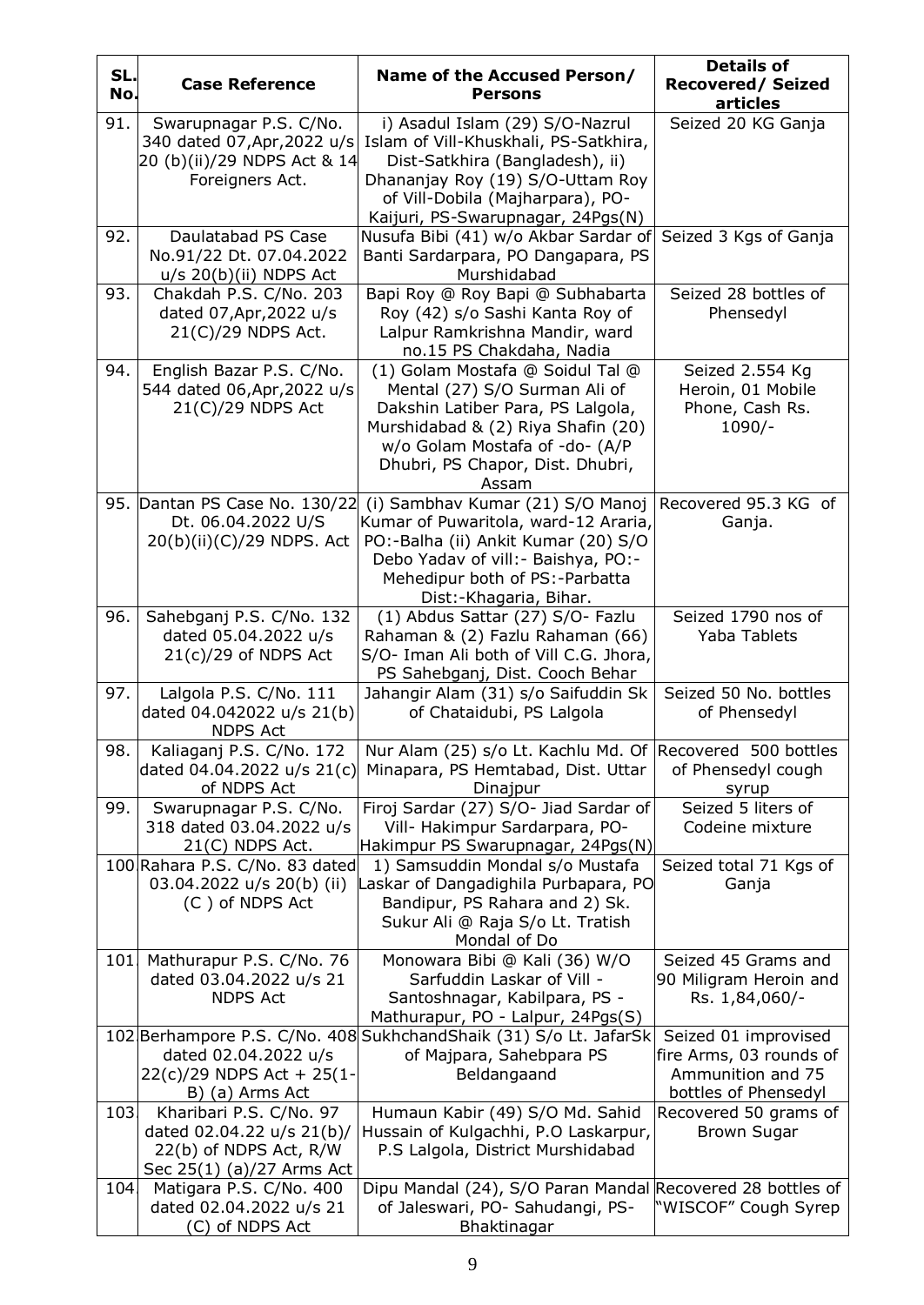| SL.<br>No. | <b>Case Reference</b>                                                                                       | Name of the Accused Person/<br><b>Persons</b>                                                                                                                                                                               | <b>Details of</b><br><b>Recovered/Seized</b><br>articles                                     |
|------------|-------------------------------------------------------------------------------------------------------------|-----------------------------------------------------------------------------------------------------------------------------------------------------------------------------------------------------------------------------|----------------------------------------------------------------------------------------------|
| 91.        | Swarupnagar P.S. C/No.<br>340 dated 07, Apr, 2022 u/s<br>20 (b)(ii)/29 NDPS Act & 14<br>Foreigners Act.     | i) Asadul Islam (29) S/O-Nazrul<br>Islam of Vill-Khuskhali, PS-Satkhira,<br>Dist-Satkhira (Bangladesh), ii)<br>Dhananjay Roy (19) S/O-Uttam Roy<br>of Vill-Dobila (Majharpara), PO-<br>Kaijuri, PS-Swarupnagar, 24Pgs(N)    | Seized 20 KG Ganja                                                                           |
| 92.        | Daulatabad PS Case<br>No.91/22 Dt. 07.04.2022<br>$u/s$ 20 $(b)(ii)$ NDPS Act                                | Nusufa Bibi (41) w/o Akbar Sardar of<br>Banti Sardarpara, PO Dangapara, PS<br>Murshidabad                                                                                                                                   | Seized 3 Kgs of Ganja                                                                        |
| 93.        | Chakdah P.S. C/No. 203<br>dated 07, Apr, 2022 u/s<br>21(C)/29 NDPS Act.                                     | Bapi Roy @ Roy Bapi @ Subhabarta<br>Roy (42) s/o Sashi Kanta Roy of<br>Lalpur Ramkrishna Mandir, ward<br>no.15 PS Chakdaha, Nadia                                                                                           | Seized 28 bottles of<br>Phensedyl                                                            |
| 94.        | English Bazar P.S. C/No.<br>544 dated 06, Apr, 2022 u/s<br>$21(C)/29$ NDPS Act                              | (1) Golam Mostafa @ Soidul Tal @<br>Mental (27) S/O Surman Ali of<br>Dakshin Latiber Para, PS Lalgola,<br>Murshidabad & (2) Riya Shafin (20)<br>w/o Golam Mostafa of -do- (A/P<br>Dhubri, PS Chapor, Dist. Dhubri,<br>Assam | Seized 2.554 Kg<br>Heroin, 01 Mobile<br>Phone, Cash Rs.<br>$1090/-$                          |
|            | 95. Dantan PS Case No. 130/22<br>Dt. 06.04.2022 U/S<br>20(b)(ii)(C)/29 NDPS. Act                            | (i) Sambhav Kumar (21) S/O Manoj<br>Kumar of Puwaritola, ward-12 Araria,<br>PO:-Balha (ii) Ankit Kumar (20) S/O<br>Debo Yadav of vill: - Baishya, PO: -<br>Mehedipur both of PS:-Parbatta<br>Dist:-Khagaria, Bihar.         | Recovered 95.3 KG of<br>Ganja.                                                               |
| 96.        | Sahebganj P.S. C/No. 132<br>dated 05.04.2022 u/s<br>$21(c)/29$ of NDPS Act                                  | (1) Abdus Sattar (27) S/O- Fazlu<br>Rahaman & (2) Fazlu Rahaman (66)<br>S/O- Iman Ali both of Vill C.G. Jhora,<br>PS Sahebganj, Dist. Cooch Behar                                                                           | Seized 1790 nos of<br>Yaba Tablets                                                           |
| 97.        | Lalgola P.S. C/No. 111<br>dated 04.042022 u/s 21(b)<br><b>NDPS Act</b>                                      | Jahangir Alam (31) s/o Saifuddin Sk<br>of Chataidubi, PS Lalgola                                                                                                                                                            | Seized 50 No. bottles<br>of Phensedyl                                                        |
| 98.        | Kaliaganj P.S. C/No. 172<br>dated 04.04.2022 u/s 21(c)<br>of NDPS Act                                       | Nur Alam (25) s/o Lt. Kachlu Md. Of Recovered 500 bottles<br>Minapara, PS Hemtabad, Dist. Uttar<br>Dinajpur                                                                                                                 | of Phensedyl cough<br>syrup                                                                  |
| 99.        | Swarupnagar P.S. C/No.<br>318 dated 03.04.2022 u/s<br>$21(C)$ NDPS Act.                                     | Firoj Sardar (27) S/O- Jiad Sardar of<br>Vill- Hakimpur Sardarpara, PO-<br>Hakimpur PS Swarupnagar, 24Pgs(N)                                                                                                                | Seized 5 liters of<br>Codeine mixture                                                        |
|            | 100 Rahara P.S. C/No. 83 dated<br>03.04.2022 u/s 20(b) (ii)<br>(C) of NDPS Act                              | 1) Samsuddin Mondal s/o Mustafa<br>Laskar of Dangadighila Purbapara, PO<br>Bandipur, PS Rahara and 2) Sk.<br>Sukur Ali @ Raja S/o Lt. Tratish<br>Mondal of Do                                                               | Seized total 71 Kgs of<br>Ganja                                                              |
| 101.       | Mathurapur P.S. C/No. 76<br>dated 03.04.2022 u/s 21<br><b>NDPS Act</b>                                      | Monowara Bibi @ Kali (36) W/O<br>Sarfuddin Laskar of Vill -<br>Santoshnagar, Kabilpara, PS -<br>Mathurapur, PO - Lalpur, 24Pgs(S)                                                                                           | Seized 45 Grams and<br>90 Miligram Heroin and<br>Rs. 1,84,060/-                              |
|            | dated 02.04.2022 u/s<br>22(c)/29 NDPS Act + 25(1-<br>B) (a) Arms Act                                        | 102 Berhampore P.S. C/No. 408 Sukhchand Shaik (31) S/o Lt. Jafar Sk<br>of Majpara, Sahebpara PS<br>Beldangaand                                                                                                              | Seized 01 improvised<br>fire Arms, 03 rounds of<br>Ammunition and 75<br>bottles of Phensedyl |
| 103.       | Kharibari P.S. C/No. 97<br>dated 02.04.22 u/s 21(b)/<br>22(b) of NDPS Act, R/W<br>Sec 25(1) (a)/27 Arms Act | Humaun Kabir (49) S/O Md. Sahid<br>Hussain of Kulgachhi, P.O Laskarpur,<br>P.S Lalgola, District Murshidabad                                                                                                                | Recovered 50 grams of<br><b>Brown Sugar</b>                                                  |
| 104.       | Matigara P.S. C/No. 400<br>dated 02.04.2022 u/s 21<br>(C) of NDPS Act                                       | Dipu Mandal (24), S/O Paran Mandal Recovered 28 bottles of<br>of Jaleswari, PO- Sahudangi, PS-<br>Bhaktinagar                                                                                                               | 'WISCOF" Cough Syrep                                                                         |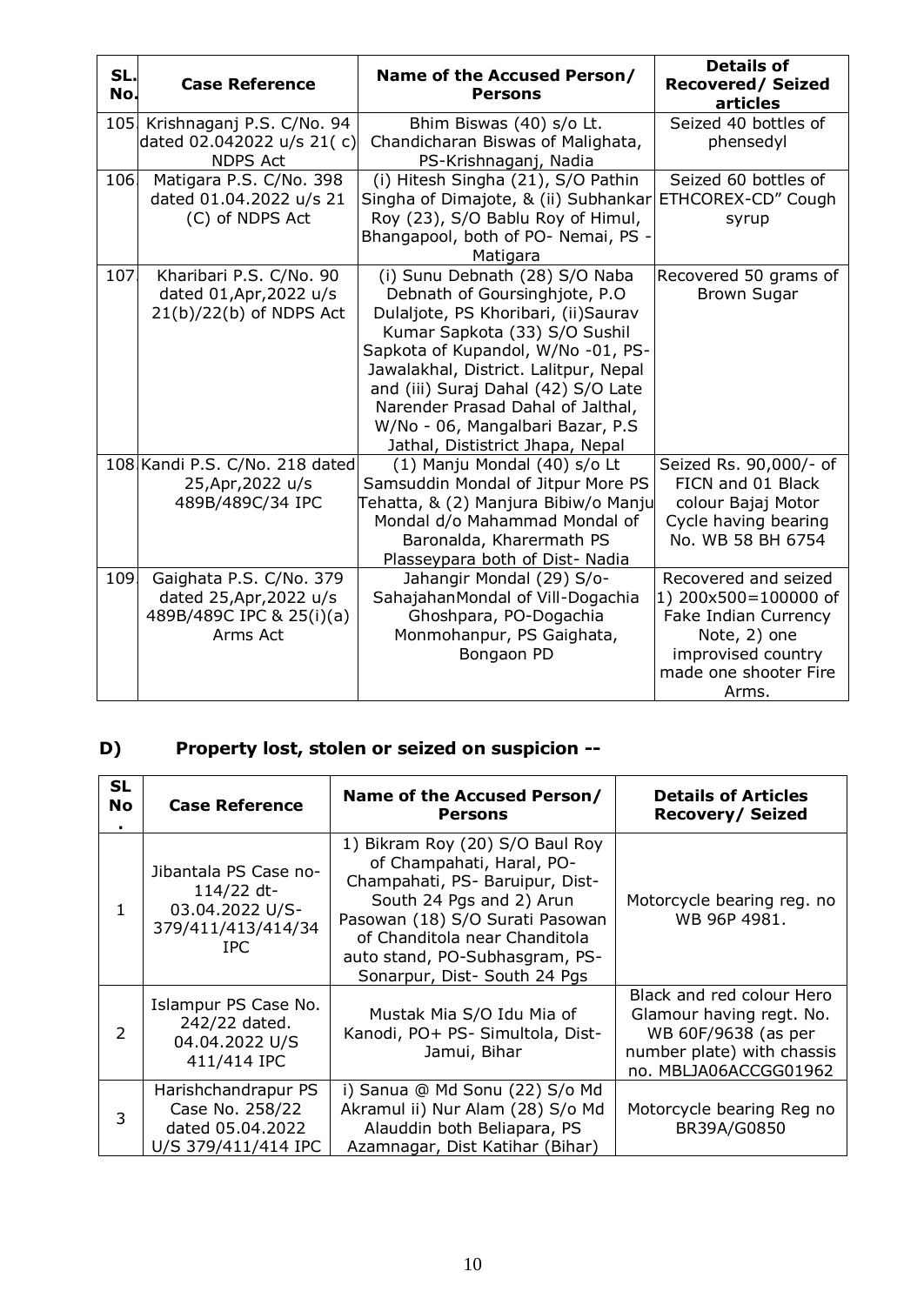| SL.<br>No. | <b>Case Reference</b>                                                                      | Name of the Accused Person/<br><b>Persons</b>                                                                                                                                                                                                                                                                                                                               | <b>Details of</b><br><b>Recovered/Seized</b><br>articles                                                                                            |
|------------|--------------------------------------------------------------------------------------------|-----------------------------------------------------------------------------------------------------------------------------------------------------------------------------------------------------------------------------------------------------------------------------------------------------------------------------------------------------------------------------|-----------------------------------------------------------------------------------------------------------------------------------------------------|
| 105.       | Krishnaganj P.S. C/No. 94<br>dated 02.042022 u/s 21(c)<br><b>NDPS Act</b>                  | Bhim Biswas (40) s/o Lt.<br>Chandicharan Biswas of Malighata,<br>PS-Krishnaganj, Nadia                                                                                                                                                                                                                                                                                      | Seized 40 bottles of<br>phensedyl                                                                                                                   |
| 106        | Matigara P.S. C/No. 398<br>dated 01.04.2022 u/s 21<br>(C) of NDPS Act                      | (i) Hitesh Singha (21), S/O Pathin<br>Singha of Dimajote, & (ii) Subhankar<br>Roy (23), S/O Bablu Roy of Himul,<br>Bhangapool, both of PO- Nemai, PS -<br>Matigara                                                                                                                                                                                                          | Seized 60 bottles of<br>ETHCOREX-CD" Cough<br>syrup                                                                                                 |
| 107.       | Kharibari P.S. C/No. 90<br>dated 01, Apr, 2022 u/s<br>$21(b)/22(b)$ of NDPS Act            | (i) Sunu Debnath (28) S/O Naba<br>Debnath of Goursinghjote, P.O.<br>Dulaljote, PS Khoribari, (ii)Saurav<br>Kumar Sapkota (33) S/O Sushil<br>Sapkota of Kupandol, W/No -01, PS-<br>Jawalakhal, District. Lalitpur, Nepal<br>and (iii) Suraj Dahal (42) S/O Late<br>Narender Prasad Dahal of Jalthal,<br>W/No - 06, Mangalbari Bazar, P.S<br>Jathal, Dististrict Jhapa, Nepal | Recovered 50 grams of<br><b>Brown Sugar</b>                                                                                                         |
|            | 108 Kandi P.S. C/No. 218 dated<br>25, Apr, 2022 u/s<br>489B/489C/34 IPC                    | (1) Manju Mondal (40) s/o Lt<br>Samsuddin Mondal of Jitpur More PS<br>Tehatta, & (2) Manjura Bibiw/o Manju<br>Mondal d/o Mahammad Mondal of<br>Baronalda, Kharermath PS<br>Plasseypara both of Dist- Nadia                                                                                                                                                                  | Seized Rs. 90,000/- of<br>FICN and 01 Black<br>colour Bajaj Motor<br>Cycle having bearing<br>No. WB 58 BH 6754                                      |
| 109.       | Gaighata P.S. C/No. 379<br>dated 25, Apr, 2022 u/s<br>489B/489C IPC & 25(i)(a)<br>Arms Act | Jahangir Mondal (29) S/o-<br>SahajahanMondal of Vill-Dogachia<br>Ghoshpara, PO-Dogachia<br>Monmohanpur, PS Gaighata,<br>Bongaon PD                                                                                                                                                                                                                                          | Recovered and seized<br>1) 200x500=100000 of<br><b>Fake Indian Currency</b><br>Note, 2) one<br>improvised country<br>made one shooter Fire<br>Arms. |

### **D) Property lost, stolen or seized on suspicion --**

| <b>SL</b><br><b>No</b> | <b>Case Reference</b>                                                                | Name of the Accused Person/<br><b>Persons</b>                                                                                                                                                                                                                     | <b>Details of Articles</b><br><b>Recovery/Seized</b>                                                                                |
|------------------------|--------------------------------------------------------------------------------------|-------------------------------------------------------------------------------------------------------------------------------------------------------------------------------------------------------------------------------------------------------------------|-------------------------------------------------------------------------------------------------------------------------------------|
| 1                      | Jibantala PS Case no-<br>114/22 dt-<br>03.04.2022 U/S-<br>379/411/413/414/34<br>IPC. | 1) Bikram Roy (20) S/O Baul Roy<br>of Champahati, Haral, PO-<br>Champahati, PS- Baruipur, Dist-<br>South 24 Pgs and 2) Arun<br>Pasowan (18) S/O Surati Pasowan<br>of Chanditola near Chanditola<br>auto stand, PO-Subhasgram, PS-<br>Sonarpur, Dist- South 24 Pgs | Motorcycle bearing reg. no<br>WB 96P 4981.                                                                                          |
| $\overline{2}$         | Islampur PS Case No.<br>242/22 dated.<br>04.04.2022 U/S<br>411/414 IPC               | Mustak Mia S/O Idu Mia of<br>Kanodi, PO+ PS- Simultola, Dist-<br>Jamui, Bihar                                                                                                                                                                                     | Black and red colour Hero<br>Glamour having regt. No.<br>WB 60F/9638 (as per<br>number plate) with chassis<br>no. MBLJA06ACCGG01962 |
| 3                      | Harishchandrapur PS<br>Case No. 258/22<br>dated 05.04.2022<br>U/S 379/411/414 IPC    | i) Sanua @ Md Sonu (22) S/o Md<br>Akramul ii) Nur Alam (28) S/o Md<br>Alauddin both Beliapara, PS<br>Azamnagar, Dist Katihar (Bihar)                                                                                                                              | Motorcycle bearing Reg no<br>BR39A/G0850                                                                                            |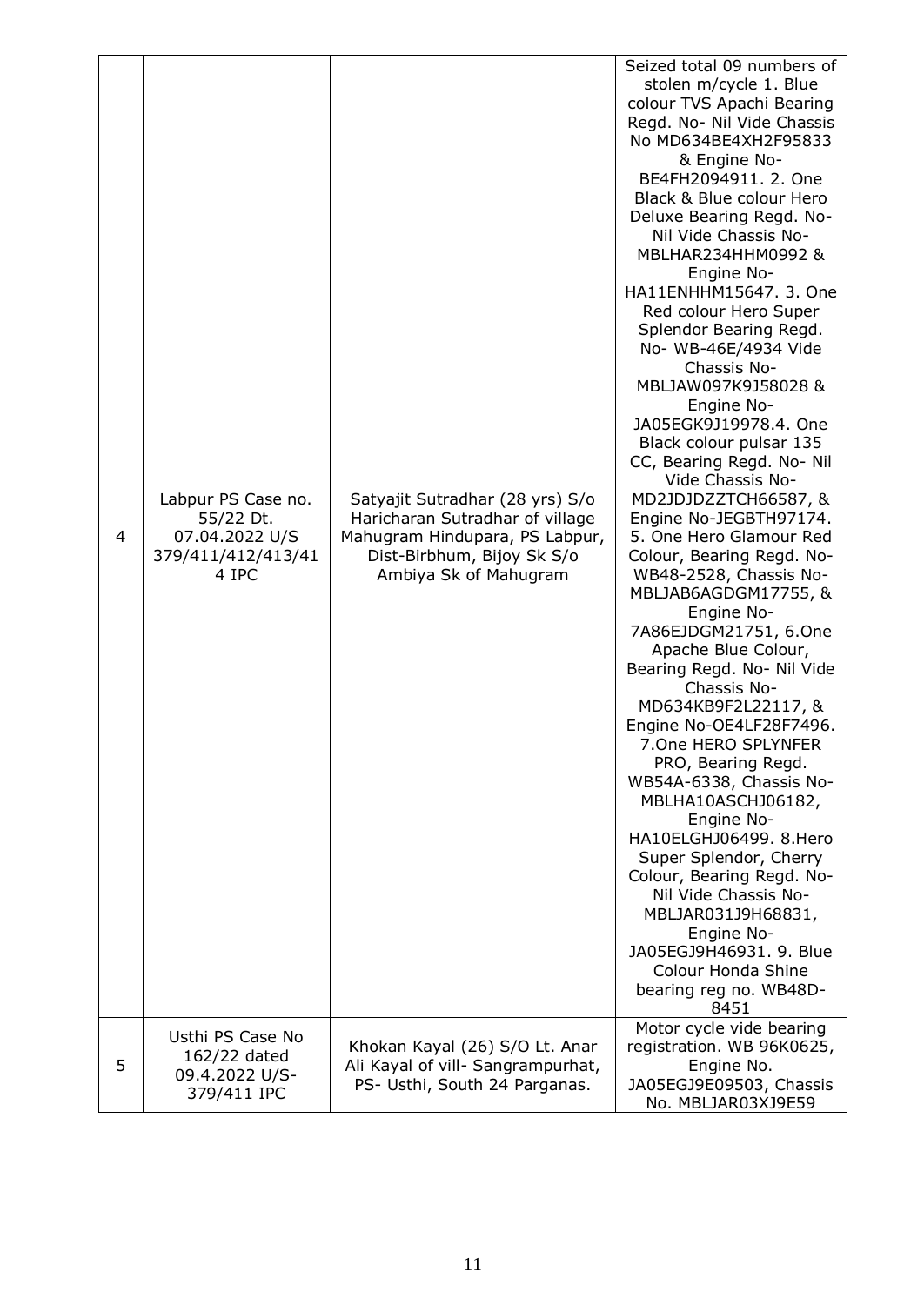| 4 | Labpur PS Case no.<br>55/22 Dt.<br>07.04.2022 U/S<br>379/411/412/413/41<br>4 IPC | Satyajit Sutradhar (28 yrs) S/o<br>Haricharan Sutradhar of village<br>Mahugram Hindupara, PS Labpur,<br>Dist-Birbhum, Bijoy Sk S/o<br>Ambiya Sk of Mahugram | Seized total 09 numbers of<br>stolen m/cycle 1. Blue<br>colour TVS Apachi Bearing<br>Regd. No- Nil Vide Chassis<br>No MD634BE4XH2F95833<br>& Engine No-<br>BE4FH2094911. 2. One<br>Black & Blue colour Hero<br>Deluxe Bearing Regd. No-<br>Nil Vide Chassis No-<br>MBLHAR234HHM0992 &<br>Engine No-<br>HA11ENHHM15647. 3. One<br>Red colour Hero Super<br>Splendor Bearing Regd.<br>No- WB-46E/4934 Vide<br>Chassis No-<br>MBLJAW097K9J58028 &<br>Engine No-<br>JA05EGK9J19978.4. One<br>Black colour pulsar 135<br>CC, Bearing Regd. No- Nil<br>Vide Chassis No-<br>MD2JDJDZZTCH66587, &<br>Engine No-JEGBTH97174.<br>5. One Hero Glamour Red<br>Colour, Bearing Regd. No-<br>WB48-2528, Chassis No-<br>MBLJAB6AGDGM17755, &<br>Engine No-<br>7A86EJDGM21751, 6.One<br>Apache Blue Colour,<br>Bearing Regd. No- Nil Vide<br>Chassis No-<br>MD634KB9F2L22117, &<br>Engine No-OE4LF28F7496.<br>7.One HERO SPLYNFER<br>PRO, Bearing Regd.<br>WB54A-6338, Chassis No-<br>MBLHA10ASCHJ06182,<br>Engine No-<br>HA10ELGHJ06499. 8.Hero<br>Super Splendor, Cherry<br>Colour, Bearing Regd. No-<br>Nil Vide Chassis No-<br>MBLJAR031J9H68831,<br>Engine No-<br>JA05EGJ9H46931. 9. Blue<br><b>Colour Honda Shine</b><br>bearing reg no. WB48D-<br>8451 |
|---|----------------------------------------------------------------------------------|-------------------------------------------------------------------------------------------------------------------------------------------------------------|-----------------------------------------------------------------------------------------------------------------------------------------------------------------------------------------------------------------------------------------------------------------------------------------------------------------------------------------------------------------------------------------------------------------------------------------------------------------------------------------------------------------------------------------------------------------------------------------------------------------------------------------------------------------------------------------------------------------------------------------------------------------------------------------------------------------------------------------------------------------------------------------------------------------------------------------------------------------------------------------------------------------------------------------------------------------------------------------------------------------------------------------------------------------------------------------------------------------------------------------------|
| 5 | Usthi PS Case No<br>162/22 dated<br>09.4.2022 U/S-<br>379/411 IPC                | Khokan Kayal (26) S/O Lt. Anar<br>Ali Kayal of vill- Sangrampurhat,<br>PS- Usthi, South 24 Parganas.                                                        | Motor cycle vide bearing<br>registration. WB 96K0625,<br>Engine No.<br>JA05EGJ9E09503, Chassis<br>No. MBLJAR03XJ9E59                                                                                                                                                                                                                                                                                                                                                                                                                                                                                                                                                                                                                                                                                                                                                                                                                                                                                                                                                                                                                                                                                                                          |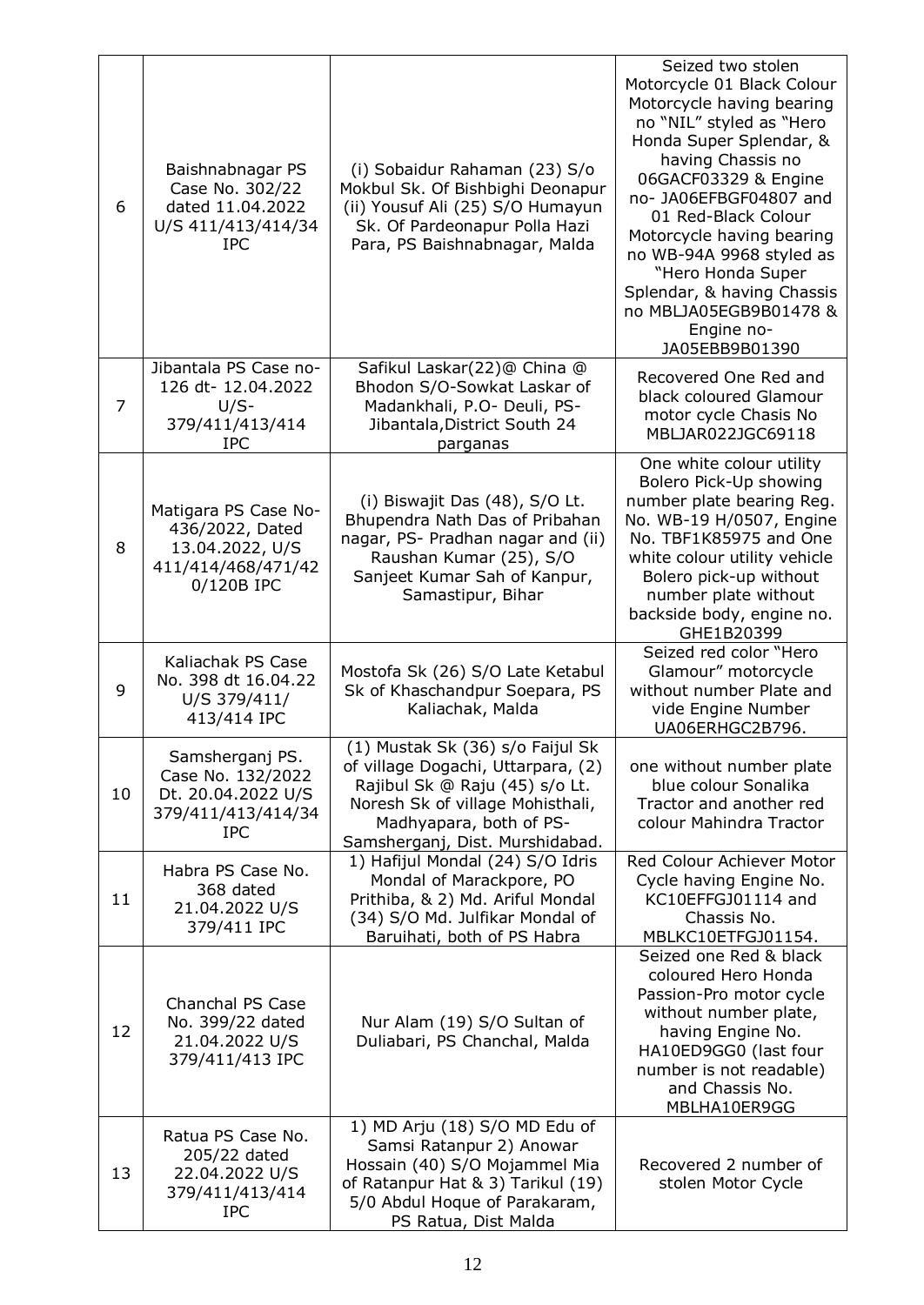| 6  | Baishnabnagar PS<br>Case No. 302/22<br>dated 11.04.2022<br>U/S 411/413/414/34<br><b>IPC</b>    | (i) Sobaidur Rahaman (23) S/o<br>Mokbul Sk. Of Bishbighi Deonapur<br>(ii) Yousuf Ali (25) S/O Humayun<br>Sk. Of Pardeonapur Polla Hazi<br>Para, PS Baishnabnagar, Malda                                    | Seized two stolen<br>Motorcycle 01 Black Colour<br>Motorcycle having bearing<br>no "NIL" styled as "Hero<br>Honda Super Splendar, &<br>having Chassis no<br>06GACF03329 & Engine<br>no- JA06EFBGF04807 and<br>01 Red-Black Colour<br>Motorcycle having bearing<br>no WB-94A 9968 styled as<br>"Hero Honda Super<br>Splendar, & having Chassis<br>no MBLJA05EGB9B01478 &<br>Engine no-<br>JA05EBB9B01390 |
|----|------------------------------------------------------------------------------------------------|------------------------------------------------------------------------------------------------------------------------------------------------------------------------------------------------------------|---------------------------------------------------------------------------------------------------------------------------------------------------------------------------------------------------------------------------------------------------------------------------------------------------------------------------------------------------------------------------------------------------------|
| 7  | Jibantala PS Case no-<br>126 dt-12.04.2022<br>$U/S-$<br>379/411/413/414<br><b>IPC</b>          | Safikul Laskar(22)@ China @<br>Bhodon S/O-Sowkat Laskar of<br>Madankhali, P.O- Deuli, PS-<br>Jibantala, District South 24<br>parganas                                                                      | Recovered One Red and<br>black coloured Glamour<br>motor cycle Chasis No<br>MBLJAR022JGC69118                                                                                                                                                                                                                                                                                                           |
| 8  | Matigara PS Case No-<br>436/2022, Dated<br>13.04.2022, U/S<br>411/414/468/471/42<br>0/120B IPC | (i) Biswajit Das (48), S/O Lt.<br>Bhupendra Nath Das of Pribahan<br>nagar, PS- Pradhan nagar and (ii)<br>Raushan Kumar (25), S/O<br>Sanjeet Kumar Sah of Kanpur,<br>Samastipur, Bihar                      | One white colour utility<br>Bolero Pick-Up showing<br>number plate bearing Reg.<br>No. WB-19 H/0507, Engine<br>No. TBF1K85975 and One<br>white colour utility vehicle<br>Bolero pick-up without<br>number plate without<br>backside body, engine no.<br>GHE1B20399                                                                                                                                      |
| 9  | Kaliachak PS Case<br>No. 398 dt 16.04.22<br>U/S 379/411/<br>413/414 IPC                        | Mostofa Sk (26) S/O Late Ketabul<br>Sk of Khaschandpur Soepara, PS<br>Kaliachak, Malda                                                                                                                     | Seized red color "Hero<br>Glamour" motorcycle<br>without number Plate and<br>vide Engine Number<br>UA06ERHGC2B796.                                                                                                                                                                                                                                                                                      |
| 10 | Samsherganj PS.<br>Case No. 132/2022<br>Dt. 20.04.2022 U/S<br>379/411/413/414/34<br><b>IPC</b> | (1) Mustak Sk (36) s/o Faijul Sk<br>of village Dogachi, Uttarpara, (2)<br>Rajibul Sk @ Raju (45) s/o Lt.<br>Noresh Sk of village Mohisthali,<br>Madhyapara, both of PS-<br>Samsherganj, Dist. Murshidabad. | one without number plate<br>blue colour Sonalika<br>Tractor and another red<br>colour Mahindra Tractor                                                                                                                                                                                                                                                                                                  |
| 11 | Habra PS Case No.<br>368 dated<br>21.04.2022 U/S<br>379/411 IPC                                | 1) Hafijul Mondal (24) S/O Idris<br>Mondal of Marackpore, PO<br>Prithiba, & 2) Md. Ariful Mondal<br>(34) S/O Md. Julfikar Mondal of<br>Baruihati, both of PS Habra                                         | Red Colour Achiever Motor<br>Cycle having Engine No.<br>KC10EFFGJ01114 and<br>Chassis No.<br>MBLKC10ETFGJ01154.                                                                                                                                                                                                                                                                                         |
| 12 | Chanchal PS Case<br>No. 399/22 dated<br>21.04.2022 U/S<br>379/411/413 IPC                      | Nur Alam (19) S/O Sultan of<br>Duliabari, PS Chanchal, Malda                                                                                                                                               | Seized one Red & black<br>coloured Hero Honda<br>Passion-Pro motor cycle<br>without number plate,<br>having Engine No.<br>HA10ED9GG0 (last four<br>number is not readable)<br>and Chassis No.<br>MBLHA10ER9GG                                                                                                                                                                                           |
| 13 | Ratua PS Case No.<br>205/22 dated<br>22.04.2022 U/S<br>379/411/413/414<br><b>IPC</b>           | 1) MD Arju (18) S/O MD Edu of<br>Samsi Ratanpur 2) Anowar<br>Hossain (40) S/O Mojammel Mia<br>of Ratanpur Hat & 3) Tarikul (19)<br>5/0 Abdul Hoque of Parakaram,<br>PS Ratua, Dist Malda                   | Recovered 2 number of<br>stolen Motor Cycle                                                                                                                                                                                                                                                                                                                                                             |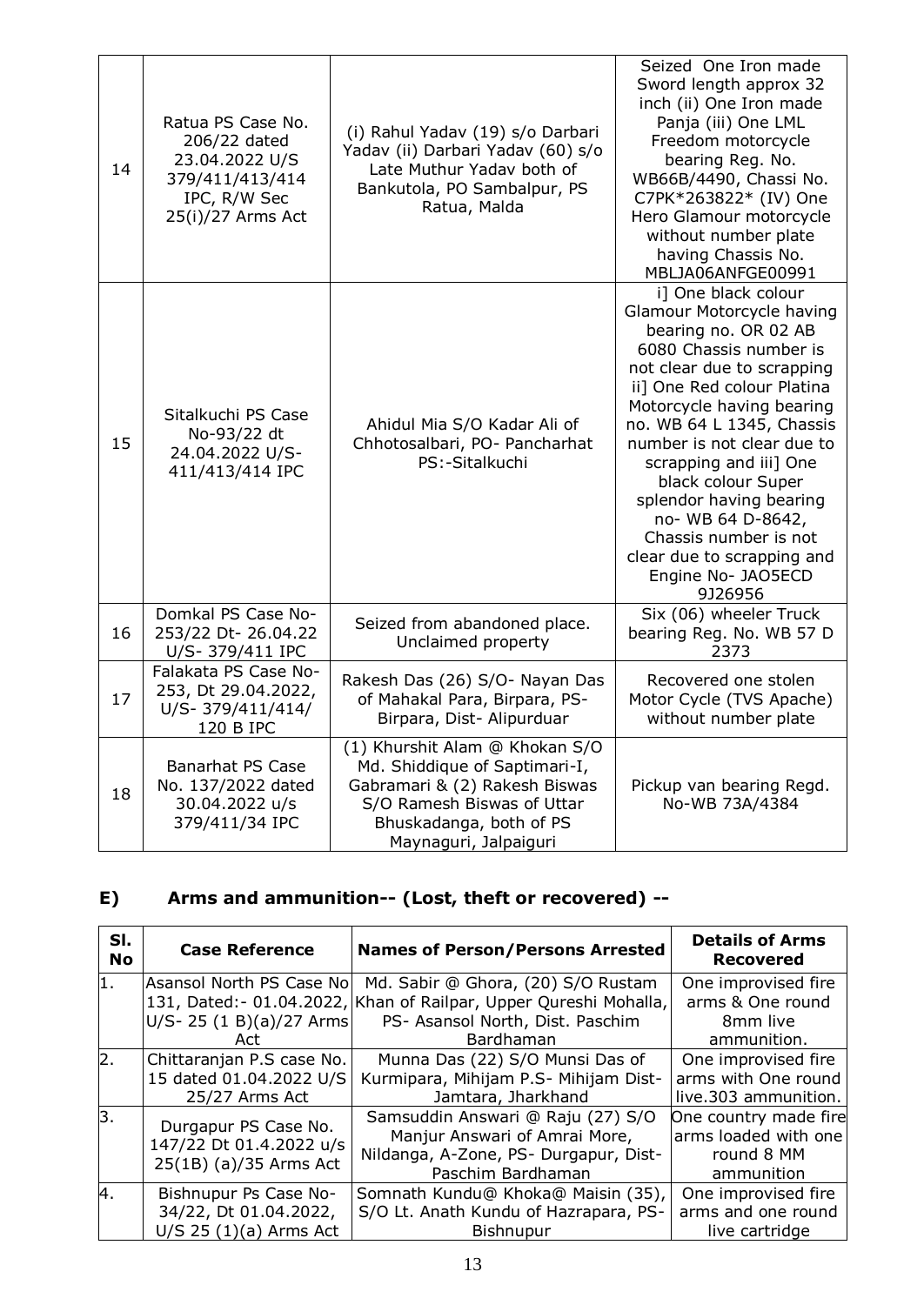| 14 | Ratua PS Case No.<br>206/22 dated<br>23.04.2022 U/S<br>379/411/413/414<br>IPC, R/W Sec<br>25(i)/27 Arms Act | (i) Rahul Yadav (19) s/o Darbari<br>Yadav (ii) Darbari Yadav (60) s/o<br>Late Muthur Yadav both of<br>Bankutola, PO Sambalpur, PS<br>Ratua, Malda                                  | Seized One Iron made<br>Sword length approx 32<br>inch (ii) One Iron made<br>Panja (iii) One LML<br>Freedom motorcycle<br>bearing Reg. No.<br>WB66B/4490, Chassi No.<br>C7PK*263822* (IV) One<br>Hero Glamour motorcycle<br>without number plate<br>having Chassis No.<br>MBLJA06ANFGE00991                                                                                                                                                           |
|----|-------------------------------------------------------------------------------------------------------------|------------------------------------------------------------------------------------------------------------------------------------------------------------------------------------|-------------------------------------------------------------------------------------------------------------------------------------------------------------------------------------------------------------------------------------------------------------------------------------------------------------------------------------------------------------------------------------------------------------------------------------------------------|
| 15 | Sitalkuchi PS Case<br>No-93/22 dt<br>24.04.2022 U/S-<br>411/413/414 IPC                                     | Ahidul Mia S/O Kadar Ali of<br>Chhotosalbari, PO- Pancharhat<br>PS:-Sitalkuchi                                                                                                     | i] One black colour<br><b>Glamour Motorcycle having</b><br>bearing no. OR 02 AB<br>6080 Chassis number is<br>not clear due to scrapping<br>ii] One Red colour Platina<br>Motorcycle having bearing<br>no. WB 64 L 1345, Chassis<br>number is not clear due to<br>scrapping and iii] One<br>black colour Super<br>splendor having bearing<br>no- WB 64 D-8642,<br>Chassis number is not<br>clear due to scrapping and<br>Engine No- JAO5ECD<br>9J26956 |
| 16 | Domkal PS Case No-<br>253/22 Dt- 26.04.22<br>U/S-379/411 IPC                                                | Seized from abandoned place.<br>Unclaimed property                                                                                                                                 | Six (06) wheeler Truck<br>bearing Reg. No. WB 57 D<br>2373                                                                                                                                                                                                                                                                                                                                                                                            |
| 17 | Falakata PS Case No-<br>253, Dt 29.04.2022,<br>U/S-379/411/414/<br>120 B IPC                                | Rakesh Das (26) S/O- Nayan Das<br>of Mahakal Para, Birpara, PS-<br>Birpara, Dist- Alipurduar                                                                                       | Recovered one stolen<br>Motor Cycle (TVS Apache)<br>without number plate                                                                                                                                                                                                                                                                                                                                                                              |
| 18 | <b>Banarhat PS Case</b><br>No. 137/2022 dated<br>30.04.2022 u/s<br>379/411/34 IPC                           | (1) Khurshit Alam @ Khokan S/O<br>Md. Shiddique of Saptimari-I,<br>Gabramari & (2) Rakesh Biswas<br>S/O Ramesh Biswas of Uttar<br>Bhuskadanga, both of PS<br>Maynaguri, Jalpaiguri | Pickup van bearing Regd.<br>No-WB 73A/4384                                                                                                                                                                                                                                                                                                                                                                                                            |

## **E) Arms and ammunition-- (Lost, theft or recovered) --**

| SI.<br><b>No</b> | <b>Case Reference</b>                             | <b>Names of Person/Persons Arrested</b>                            | <b>Details of Arms</b><br><b>Recovered</b>    |
|------------------|---------------------------------------------------|--------------------------------------------------------------------|-----------------------------------------------|
| 1.               | Asansol North PS Case No                          | Md. Sabir @ Ghora, (20) S/O Rustam                                 | One improvised fire                           |
|                  |                                                   | 131, Dated: - 01.04.2022, Khan of Railpar, Upper Qureshi Mohalla,  | arms & One round                              |
|                  | U/S-25 (1 B)(a)/27 Arms                           | PS- Asansol North, Dist. Paschim                                   | 8mm live                                      |
|                  | Act                                               | Bardhaman                                                          | ammunition.                                   |
| 2.               | Chittaranjan P.S case No.                         | Munna Das (22) S/O Munsi Das of                                    | One improvised fire                           |
|                  | 15 dated 01.04.2022 U/S                           | Kurmipara, Mihijam P.S- Mihijam Dist-                              | arms with One round                           |
|                  | 25/27 Arms Act                                    | Jamtara, Jharkhand                                                 | live.303 ammunition.                          |
| 3.               | Durgapur PS Case No.                              | Samsuddin Answari @ Raju (27) S/O<br>Manjur Answari of Amrai More, | One country made fire<br>arms loaded with one |
|                  | 147/22 Dt 01.4.2022 u/s<br>25(1B) (a)/35 Arms Act | Nildanga, A-Zone, PS- Durgapur, Dist-                              | round 8 MM                                    |
|                  |                                                   | Paschim Bardhaman                                                  | ammunition                                    |
| 4.               | Bishnupur Ps Case No-                             | Somnath Kundu@ Khoka@ Maisin (35),                                 | One improvised fire                           |
|                  | 34/22, Dt 01.04.2022,                             | S/O Lt. Anath Kundu of Hazrapara, PS-                              | arms and one round                            |
|                  | $U/S$ 25 (1)(a) Arms Act                          | <b>Bishnupur</b>                                                   | live cartridge                                |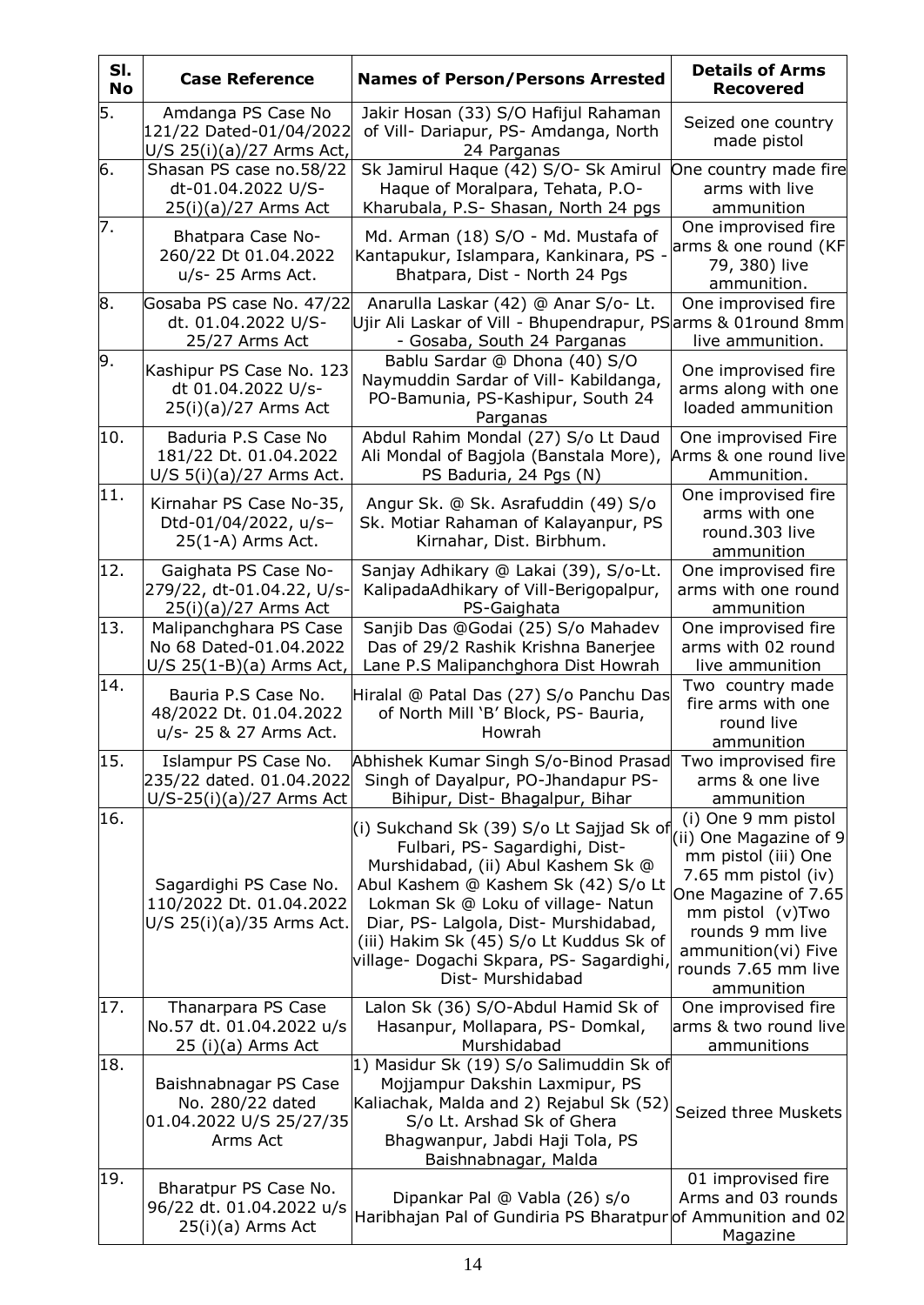| SI.<br><b>No</b> | <b>Case Reference</b>                                                            | <b>Names of Person/Persons Arrested</b>                                                                                                                                                                                                                                                                                                            | <b>Details of Arms</b><br><b>Recovered</b>                                                                                                                                                                              |
|------------------|----------------------------------------------------------------------------------|----------------------------------------------------------------------------------------------------------------------------------------------------------------------------------------------------------------------------------------------------------------------------------------------------------------------------------------------------|-------------------------------------------------------------------------------------------------------------------------------------------------------------------------------------------------------------------------|
| 5.               | Amdanga PS Case No<br>121/22 Dated-01/04/2022<br>U/S 25(i)(a)/27 Arms Act,       | Jakir Hosan (33) S/O Hafijul Rahaman<br>of Vill- Dariapur, PS- Amdanga, North<br>24 Parganas                                                                                                                                                                                                                                                       | Seized one country<br>made pistol                                                                                                                                                                                       |
| 6.               | Shasan PS case no.58/22<br>dt-01.04.2022 U/S-<br>25(i)(a)/27 Arms Act            | Sk Jamirul Haque (42) S/O- Sk Amirul<br>Haque of Moralpara, Tehata, P.O-<br>Kharubala, P.S- Shasan, North 24 pgs                                                                                                                                                                                                                                   | One country made fire<br>arms with live<br>ammunition                                                                                                                                                                   |
| 7.               | Bhatpara Case No-<br>260/22 Dt 01.04.2022<br>u/s- 25 Arms Act.                   | Md. Arman (18) S/O - Md. Mustafa of<br>Kantapukur, Islampara, Kankinara, PS ·<br>Bhatpara, Dist - North 24 Pgs                                                                                                                                                                                                                                     | One improvised fire<br>arms & one round (KF<br>79, 380) live<br>ammunition.                                                                                                                                             |
| 8.               | Gosaba PS case No. 47/22<br>dt. 01.04.2022 U/S-<br>25/27 Arms Act                | Anarulla Laskar (42) @ Anar S/o- Lt.<br>Ujir Ali Laskar of Vill - Bhupendrapur, PS arms & 01 round 8mm<br>- Gosaba, South 24 Parganas                                                                                                                                                                                                              | One improvised fire<br>live ammunition.                                                                                                                                                                                 |
| 9.               | Kashipur PS Case No. 123<br>dt 01.04.2022 U/s-<br>25(i)(a)/27 Arms Act           | Bablu Sardar @ Dhona (40) S/O<br>Naymuddin Sardar of Vill- Kabildanga,<br>PO-Bamunia, PS-Kashipur, South 24<br>Parganas                                                                                                                                                                                                                            | One improvised fire<br>arms along with one<br>loaded ammunition                                                                                                                                                         |
| 10.              | Baduria P.S Case No<br>181/22 Dt. 01.04.2022<br>$U/S$ 5(i)(a)/27 Arms Act.       | Abdul Rahim Mondal (27) S/o Lt Daud<br>Ali Mondal of Bagjola (Banstala More),<br>PS Baduria, 24 Pgs (N)                                                                                                                                                                                                                                            | One improvised Fire<br>Arms & one round live<br>Ammunition.                                                                                                                                                             |
| 11.              | Kirnahar PS Case No-35,<br>Dtd-01/04/2022, u/s-<br>25(1-A) Arms Act.             | Angur Sk. @ Sk. Asrafuddin (49) S/o<br>Sk. Motiar Rahaman of Kalayanpur, PS<br>Kirnahar, Dist. Birbhum.                                                                                                                                                                                                                                            | One improvised fire<br>arms with one<br>round.303 live<br>ammunition                                                                                                                                                    |
| 12.              | Gaighata PS Case No-<br>279/22, dt-01.04.22, U/s-<br>25(i)(a)/27 Arms Act        | Sanjay Adhikary @ Lakai (39), S/o-Lt.<br>KalipadaAdhikary of Vill-Berigopalpur,<br>PS-Gaighata                                                                                                                                                                                                                                                     | One improvised fire<br>arms with one round<br>ammunition                                                                                                                                                                |
| 13.              | Malipanchghara PS Case<br>No 68 Dated-01.04.2022<br>$U/S$ 25(1-B)(a) Arms Act,   | Sanjib Das @Godai (25) S/o Mahadev<br>Das of 29/2 Rashik Krishna Banerjee<br>Lane P.S Malipanchghora Dist Howrah                                                                                                                                                                                                                                   | One improvised fire<br>arms with 02 round<br>live ammunition                                                                                                                                                            |
| 14.              | Bauria P.S Case No.<br>48/2022 Dt. 01.04.2022<br>u/s- 25 & 27 Arms Act.          | Hiralal @ Patal Das (27) S/o Panchu Das<br>of North Mill 'B' Block, PS- Bauria,<br>Howrah                                                                                                                                                                                                                                                          | Two country made<br>fire arms with one<br>round live<br><u>ammunition</u>                                                                                                                                               |
| 15.              | Islampur PS Case No.<br>235/22 dated. 01.04.2022<br>$U/S-25(i)(a)/27$ Arms Act   | Abhishek Kumar Singh S/o-Binod Prasad<br>Singh of Dayalpur, PO-Jhandapur PS-<br>Bihipur, Dist- Bhagalpur, Bihar                                                                                                                                                                                                                                    | Two improvised fire<br>arms & one live<br>ammunition                                                                                                                                                                    |
| 16.              | Sagardighi PS Case No.<br>110/2022 Dt. 01.04.2022<br>U/S 25(i)(a)/35 Arms Act.   | (i) Sukchand Sk (39) S/o Lt Sajjad Sk of<br>Fulbari, PS- Sagardighi, Dist-<br>Murshidabad, (ii) Abul Kashem Sk @<br>Abul Kashem @ Kashem Sk (42) S/o Lt<br>Lokman Sk @ Loku of village- Natun<br>Diar, PS- Lalgola, Dist- Murshidabad,<br>(iii) Hakim Sk (45) S/o Lt Kuddus Sk of<br>village- Dogachi Skpara, PS- Sagardighi,<br>Dist- Murshidabad | (i) One 9 mm pistol<br>(ii) One Magazine of 9<br>mm pistol (iii) One<br>7.65 mm pistol (iv)<br>One Magazine of 7.65<br>mm pistol (v)Two<br>rounds 9 mm live<br>ammunition(vi) Five<br>rounds 7.65 mm live<br>ammunition |
| 17.              | Thanarpara PS Case<br>No.57 dt. 01.04.2022 u/s<br>25 (i)(a) Arms Act             | Lalon Sk (36) S/O-Abdul Hamid Sk of<br>Hasanpur, Mollapara, PS-Domkal,<br>Murshidabad                                                                                                                                                                                                                                                              | One improvised fire<br>arms & two round live<br>ammunitions                                                                                                                                                             |
| 18.              | Baishnabnagar PS Case<br>No. 280/22 dated<br>01.04.2022 U/S 25/27/35<br>Arms Act | 1) Masidur Sk (19) S/o Salimuddin Sk of<br>Mojjampur Dakshin Laxmipur, PS<br>Kaliachak, Malda and 2) Rejabul Sk (52)<br>S/o Lt. Arshad Sk of Ghera<br>Bhagwanpur, Jabdi Haji Tola, PS<br>Baishnabnagar, Malda                                                                                                                                      | Seized three Muskets                                                                                                                                                                                                    |
| 19.              | Bharatpur PS Case No.<br>96/22 dt. 01.04.2022 u/s<br>25(i)(a) Arms Act           | Dipankar Pal @ Vabla (26) s/o<br>Haribhajan Pal of Gundiria PS Bharatpuro f Ammunition and 02                                                                                                                                                                                                                                                      | 01 improvised fire<br>Arms and 03 rounds<br>Magazine                                                                                                                                                                    |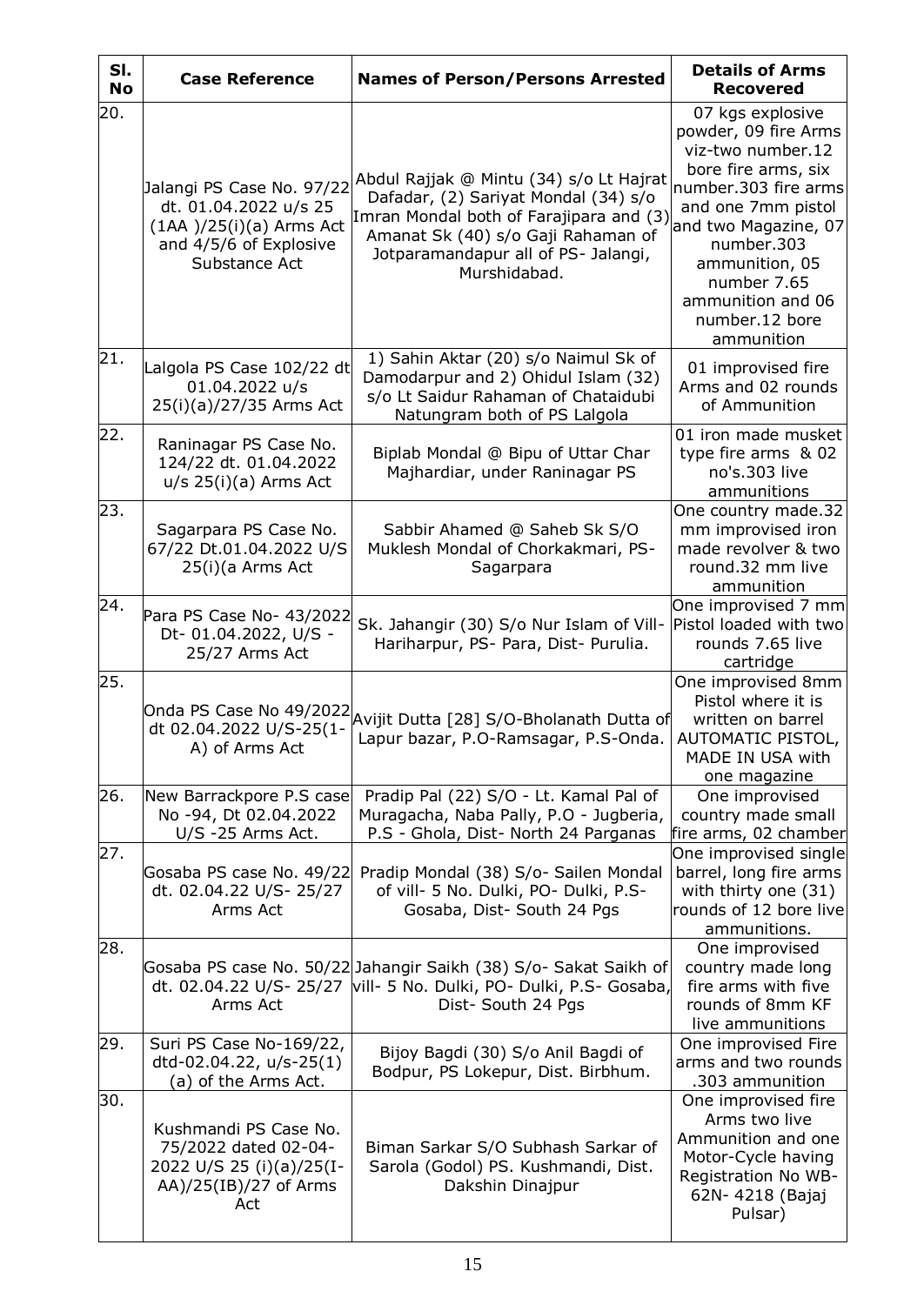| SI.<br><b>No</b> | <b>Case Reference</b>                                                                                                       | <b>Names of Person/Persons Arrested</b>                                                                                                                                                                                 | <b>Details of Arms</b><br><b>Recovered</b>                                                                                                                                                                                                                     |
|------------------|-----------------------------------------------------------------------------------------------------------------------------|-------------------------------------------------------------------------------------------------------------------------------------------------------------------------------------------------------------------------|----------------------------------------------------------------------------------------------------------------------------------------------------------------------------------------------------------------------------------------------------------------|
| 20.              | Jalangi PS Case No. 97/22<br>dt. 01.04.2022 u/s 25<br>$(1AA)$ /25(i)(a) Arms Act<br>and 4/5/6 of Explosive<br>Substance Act | Abdul Rajjak @ Mintu (34) s/o Lt Hajrat<br>Dafadar, (2) Sariyat Mondal (34) s/o<br>Imran Mondal both of Farajipara and (3)<br>Amanat Sk (40) s/o Gaji Rahaman of<br>Jotparamandapur all of PS- Jalangi,<br>Murshidabad. | 07 kgs explosive<br>powder, 09 fire Arms<br>viz-two number.12<br>bore fire arms, six<br>number.303 fire arms<br>and one 7mm pistol<br>and two Magazine, 07<br>number.303<br>ammunition, 05<br>number 7.65<br>ammunition and 06<br>number.12 bore<br>ammunition |
| 21.              | Lalgola PS Case 102/22 dt<br>01.04.2022 u/s<br>25(i)(a)/27/35 Arms Act                                                      | 1) Sahin Aktar (20) s/o Naimul Sk of<br>Damodarpur and 2) Ohidul Islam (32)<br>s/o Lt Saidur Rahaman of Chataidubi<br>Natungram both of PS Lalgola                                                                      | 01 improvised fire<br>Arms and 02 rounds<br>of Ammunition                                                                                                                                                                                                      |
| 22.              | Raninagar PS Case No.<br>124/22 dt. 01.04.2022<br>$u/s$ 25(i)(a) Arms Act                                                   | Biplab Mondal @ Bipu of Uttar Char<br>Majhardiar, under Raninagar PS                                                                                                                                                    | 01 iron made musket<br>type fire arms & 02<br>no's.303 live<br>ammunitions                                                                                                                                                                                     |
| 23.              | Sagarpara PS Case No.<br>67/22 Dt.01.04.2022 U/S<br>25(i)(a Arms Act                                                        | Sabbir Ahamed @ Saheb Sk S/O<br>Muklesh Mondal of Chorkakmari, PS-<br>Sagarpara                                                                                                                                         | One country made.32<br>mm improvised iron<br>made revolver & two<br>round.32 mm live<br>ammunition                                                                                                                                                             |
| 24.              | Para PS Case No- 43/2022<br>Dt-01.04.2022, U/S -<br>25/27 Arms Act                                                          | Sk. Jahangir (30) S/o Nur Islam of Vill-<br>Hariharpur, PS- Para, Dist- Purulia.                                                                                                                                        | One improvised 7 mm<br>Pistol loaded with two<br>rounds 7.65 live<br>cartridge                                                                                                                                                                                 |
| 25.              | Onda PS Case No 49/2022<br>dt 02.04.2022 U/S-25(1-<br>A) of Arms Act                                                        | Avijit Dutta [28] S/O-Bholanath Dutta of<br>Lapur bazar, P.O-Ramsagar, P.S-Onda.                                                                                                                                        | One improvised 8mm<br>Pistol where it is<br>written on barrel<br>AUTOMATIC PISTOL,<br>MADE IN USA with<br>one magazine                                                                                                                                         |
| 26.              | New Barrackpore P.S case<br>No -94, Dt 02.04.2022<br>U/S -25 Arms Act.                                                      | Pradip Pal (22) S/O - Lt. Kamal Pal of<br>Muragacha, Naba Pally, P.O - Jugberia,<br>P.S - Ghola, Dist- North 24 Parganas                                                                                                | One improvised<br>country made small<br>fire arms, 02 chamber                                                                                                                                                                                                  |
| 27.              | Gosaba PS case No. 49/22<br>dt. 02.04.22 U/S- 25/27<br>Arms Act                                                             | Pradip Mondal (38) S/o- Sailen Mondal<br>of vill- 5 No. Dulki, PO- Dulki, P.S-<br>Gosaba, Dist- South 24 Pgs                                                                                                            | One improvised single<br>barrel, long fire arms<br>with thirty one (31)<br>rounds of 12 bore live<br>ammunitions.                                                                                                                                              |
| 28.              | Arms Act                                                                                                                    | Gosaba PS case No. 50/22 Jahangir Saikh (38) S/o- Sakat Saikh of<br>dt. 02.04.22 U/S- 25/27  vill- 5 No. Dulki, PO- Dulki, P.S- Gosaba,<br>Dist- South 24 Pgs                                                           | One improvised<br>country made long<br>fire arms with five<br>rounds of 8mm KF<br>live ammunitions                                                                                                                                                             |
| 29.              | Suri PS Case No-169/22,<br>dtd-02.04.22, u/s-25(1)<br>(a) of the Arms Act.                                                  | Bijoy Bagdi (30) S/o Anil Bagdi of<br>Bodpur, PS Lokepur, Dist. Birbhum.                                                                                                                                                | One improvised Fire<br>arms and two rounds<br>.303 ammunition                                                                                                                                                                                                  |
| 30.              | Kushmandi PS Case No.<br>75/2022 dated 02-04-<br>2022 U/S 25 (i)(a)/25(I-<br>$AA)/25(IB)/27$ of Arms<br>Act                 | Biman Sarkar S/O Subhash Sarkar of<br>Sarola (Godol) PS. Kushmandi, Dist.<br>Dakshin Dinajpur                                                                                                                           | One improvised fire<br>Arms two live<br>Ammunition and one<br>Motor-Cycle having<br>Registration No WB-<br>62N-4218 (Bajaj<br>Pulsar)                                                                                                                          |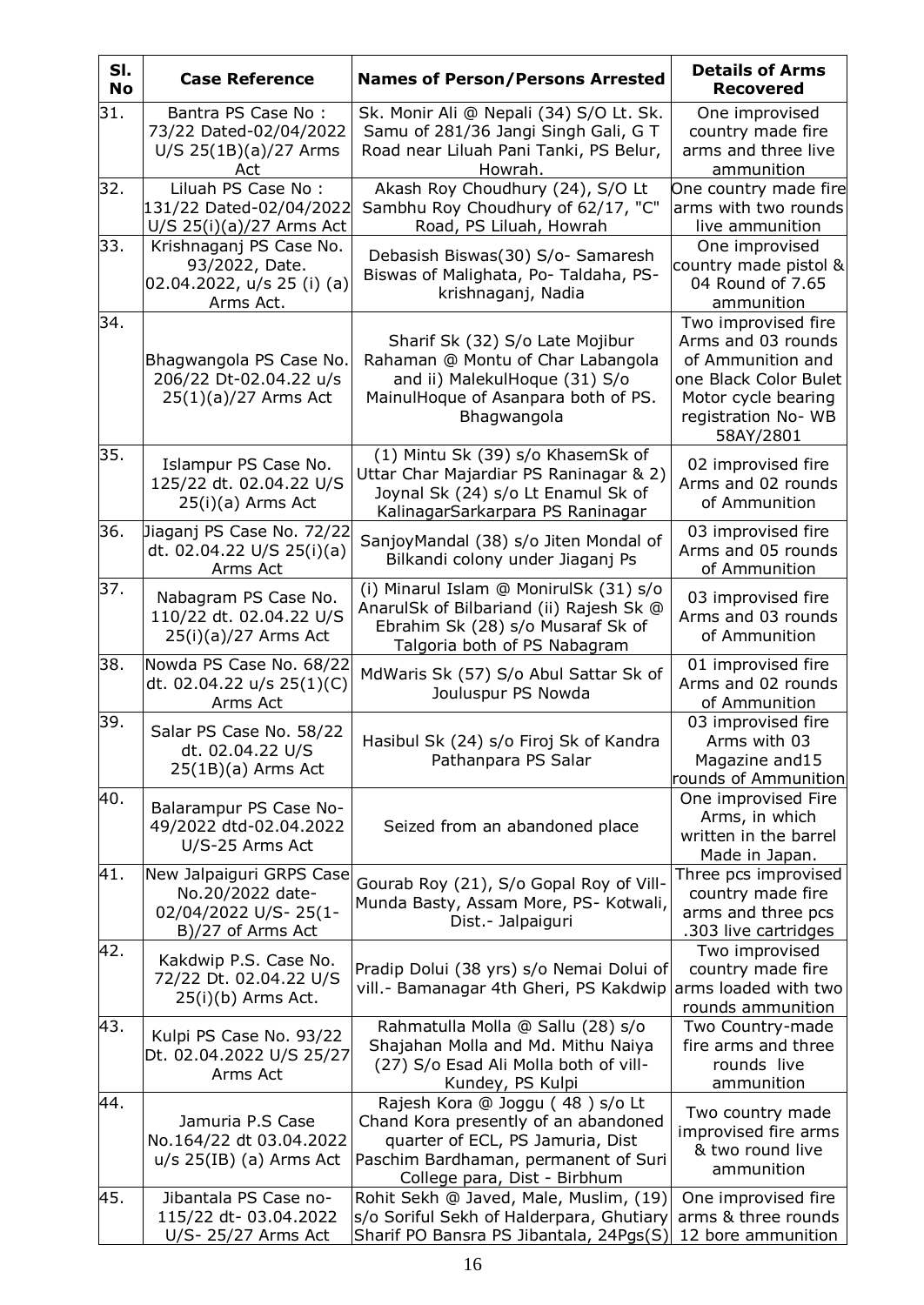| SI.<br><b>No</b> | <b>Case Reference</b>                                                                     | <b>Names of Person/Persons Arrested</b>                                                                                                                                             | <b>Details of Arms</b><br><b>Recovered</b>                                                                                                         |
|------------------|-------------------------------------------------------------------------------------------|-------------------------------------------------------------------------------------------------------------------------------------------------------------------------------------|----------------------------------------------------------------------------------------------------------------------------------------------------|
| 31.              | Bantra PS Case No:<br>73/22 Dated-02/04/2022<br>U/S 25(1B)(a)/27 Arms<br>Act              | Sk. Monir Ali @ Nepali (34) S/O Lt. Sk.<br>Samu of 281/36 Jangi Singh Gali, G T<br>Road near Liluah Pani Tanki, PS Belur,<br>Howrah.                                                | One improvised<br>country made fire<br>arms and three live<br>ammunition                                                                           |
| 32.              | Liluah PS Case No:<br>131/22 Dated-02/04/2022<br>$U/S$ 25(i)(a)/27 Arms Act               | Akash Roy Choudhury (24), S/O Lt<br>Sambhu Roy Choudhury of 62/17, "C"<br>Road, PS Liluah, Howrah                                                                                   | One country made fire<br>arms with two rounds<br>live ammunition                                                                                   |
| 33.              | Krishnaganj PS Case No.<br>93/2022, Date.<br>02.04.2022, u/s 25 (i) (a)<br>Arms Act.      | Debasish Biswas(30) S/o- Samaresh<br>Biswas of Malighata, Po- Taldaha, PS-<br>krishnaganj, Nadia                                                                                    | One improvised<br>country made pistol &<br>04 Round of 7.65<br>ammunition                                                                          |
| 34.              | Bhagwangola PS Case No.<br>206/22 Dt-02.04.22 u/s<br>25(1)(a)/27 Arms Act                 | Sharif Sk (32) S/o Late Mojibur<br>Rahaman @ Montu of Char Labangola<br>and ii) MalekulHoque (31) S/o<br>MainulHoque of Asanpara both of PS.<br>Bhagwangola                         | Two improvised fire<br>Arms and 03 rounds<br>of Ammunition and<br>one Black Color Bulet<br>Motor cycle bearing<br>registration No- WB<br>58AY/2801 |
| 35.              | Islampur PS Case No.<br>125/22 dt. 02.04.22 U/S<br>25(i)(a) Arms Act                      | (1) Mintu Sk (39) s/o KhasemSk of<br>Uttar Char Majardiar PS Raninagar & 2)<br>Joynal Sk (24) s/o Lt Enamul Sk of<br>KalinagarSarkarpara PS Raninagar                               | 02 improvised fire<br>Arms and 02 rounds<br>of Ammunition                                                                                          |
| 36.              | Jiaganj PS Case No. 72/22<br>dt. 02.04.22 U/S 25(i)(a)<br>Arms Act                        | SanjoyMandal (38) s/o Jiten Mondal of<br>Bilkandi colony under Jiaganj Ps                                                                                                           | 03 improvised fire<br>Arms and 05 rounds<br>of Ammunition                                                                                          |
| 37.              | Nabagram PS Case No.<br>110/22 dt. 02.04.22 U/S<br>25(i)(a)/27 Arms Act                   | (i) Minarul Islam @ MonirulSk (31) s/o<br>AnarulSk of Bilbariand (ii) Rajesh Sk @<br>Ebrahim Sk (28) s/o Musaraf Sk of<br>Talgoria both of PS Nabagram                              | 03 improvised fire<br>Arms and 03 rounds<br>of Ammunition                                                                                          |
| 38.              | Nowda PS Case No. 68/22<br>dt. 02.04.22 u/s 25(1)(C)<br>Arms Act                          | MdWaris Sk (57) S/o Abul Sattar Sk of<br>Jouluspur PS Nowda                                                                                                                         | 01 improvised fire<br>Arms and 02 rounds<br>of Ammunition                                                                                          |
| 39.              | Salar PS Case No. 58/22<br>dt. 02.04.22 U/S<br>$25(1B)(a)$ Arms Act                       | Hasibul Sk (24) s/o Firoj Sk of Kandra<br>Pathanpara PS Salar                                                                                                                       | 03 improvised fire<br>Arms with 03<br>Magazine and15<br>rounds of Ammunition                                                                       |
| 40.              | Balarampur PS Case No-<br>49/2022 dtd-02.04.2022<br>U/S-25 Arms Act                       | Seized from an abandoned place                                                                                                                                                      | One improvised Fire<br>Arms, in which<br>written in the barrel<br>Made in Japan.                                                                   |
| 41.              | New Jalpaiguri GRPS Case<br>No.20/2022 date-<br>02/04/2022 U/S-25(1-<br>B)/27 of Arms Act | Gourab Roy (21), S/o Gopal Roy of Vill-<br>Munda Basty, Assam More, PS- Kotwali,<br>Dist.- Jalpaiguri                                                                               | Three pcs improvised<br>country made fire<br>arms and three pcs<br>.303 live cartridges                                                            |
| 42.              | Kakdwip P.S. Case No.<br>72/22 Dt. 02.04.22 U/S<br>25(i)(b) Arms Act.                     | Pradip Dolui (38 yrs) s/o Nemai Dolui of<br>vill.- Bamanagar 4th Gheri, PS Kakdwip                                                                                                  | Two improvised<br>country made fire<br>arms loaded with two<br>rounds ammunition                                                                   |
| 43.              | Kulpi PS Case No. 93/22<br>Dt. 02.04.2022 U/S 25/27<br>Arms Act                           | Rahmatulla Molla @ Sallu (28) s/o<br>Shajahan Molla and Md. Mithu Naiya<br>(27) S/o Esad Ali Molla both of vill-<br>Kundey, PS Kulpi                                                | Two Country-made<br>fire arms and three<br>rounds live<br>ammunition                                                                               |
| 44.              | Jamuria P.S Case<br>No.164/22 dt 03.04.2022<br>$u/s$ 25(IB) (a) Arms Act                  | Rajesh Kora @ Joggu (48) s/o Lt<br>Chand Kora presently of an abandoned<br>quarter of ECL, PS Jamuria, Dist<br>Paschim Bardhaman, permanent of Suri<br>College para, Dist - Birbhum | Two country made<br>improvised fire arms<br>& two round live<br>ammunition                                                                         |
| 45.              | Jibantala PS Case no-<br>115/22 dt-03.04.2022<br>U/S- 25/27 Arms Act                      | Rohit Sekh @ Javed, Male, Muslim, (19)<br>s/o Soriful Sekh of Halderpara, Ghutiary<br>Sharif PO Bansra PS Jibantala, 24Pgs(S)                                                       | One improvised fire<br>arms & three rounds<br>12 bore ammunition                                                                                   |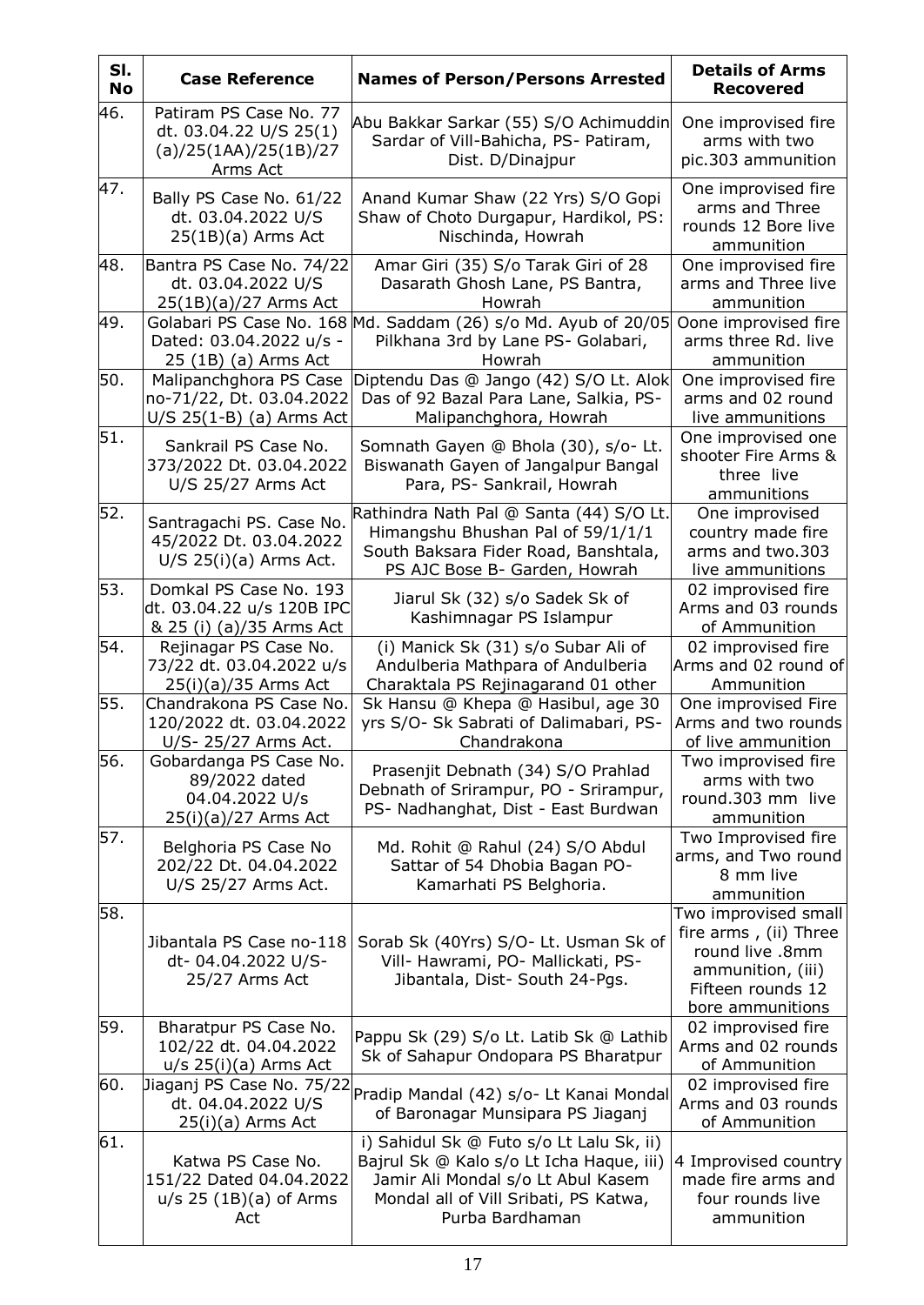| SI.<br><b>No</b> | <b>Case Reference</b>                                                                 | <b>Names of Person/Persons Arrested</b>                                                                                                                                                | <b>Details of Arms</b><br><b>Recovered</b>                                                                                     |
|------------------|---------------------------------------------------------------------------------------|----------------------------------------------------------------------------------------------------------------------------------------------------------------------------------------|--------------------------------------------------------------------------------------------------------------------------------|
| 46.              | Patiram PS Case No. 77<br>dt. 03.04.22 U/S 25(1)<br>(a)/25(1AA)/25(1B)/27<br>Arms Act | Abu Bakkar Sarkar (55) S/O Achimuddin<br>Sardar of Vill-Bahicha, PS- Patiram,<br>Dist. D/Dinajpur                                                                                      | One improvised fire<br>arms with two<br>pic.303 ammunition                                                                     |
| 47.              | Bally PS Case No. 61/22<br>dt. 03.04.2022 U/S<br>$25(1B)(a)$ Arms Act                 | Anand Kumar Shaw (22 Yrs) S/O Gopi<br>Shaw of Choto Durgapur, Hardikol, PS:<br>Nischinda, Howrah                                                                                       | One improvised fire<br>arms and Three<br>rounds 12 Bore live<br>ammunition                                                     |
| 48.              | Bantra PS Case No. 74/22<br>dt. 03.04.2022 U/S<br>25(1B)(a)/27 Arms Act               | Amar Giri (35) S/o Tarak Giri of 28<br>Dasarath Ghosh Lane, PS Bantra,<br>Howrah                                                                                                       | One improvised fire<br>arms and Three live<br>ammunition                                                                       |
| 49.              | Dated: 03.04.2022 u/s -<br>25 (1B) (a) Arms Act                                       | Golabari PS Case No. 168 Md. Saddam (26) s/o Md. Ayub of 20/05<br>Pilkhana 3rd by Lane PS- Golabari,<br>Howrah                                                                         | Oone improvised fire<br>arms three Rd. live<br>ammunition                                                                      |
| 50.              | Malipanchghora PS Case<br>no-71/22, Dt. 03.04.2022<br>$U/S$ 25(1-B) (a) Arms Act      | Diptendu Das @ Jango (42) S/O Lt. Alok<br>Das of 92 Bazal Para Lane, Salkia, PS-<br>Malipanchghora, Howrah                                                                             | One improvised fire<br>arms and 02 round<br>live ammunitions                                                                   |
| 51.              | Sankrail PS Case No.<br>373/2022 Dt. 03.04.2022<br>U/S 25/27 Arms Act                 | Somnath Gayen @ Bhola (30), s/o- Lt.<br>Biswanath Gayen of Jangalpur Bangal<br>Para, PS- Sankrail, Howrah                                                                              | One improvised one<br>shooter Fire Arms &<br>three live<br>ammunitions                                                         |
| 52.              | Santragachi PS. Case No.<br>45/2022 Dt. 03.04.2022<br>$U/S$ 25(i)(a) Arms Act.        | Rathindra Nath Pal @ Santa (44) S/O Lt.<br>Himangshu Bhushan Pal of 59/1/1/1<br>South Baksara Fider Road, Banshtala,<br>PS AJC Bose B- Garden, Howrah                                  | One improvised<br>country made fire<br>arms and two.303<br>live ammunitions                                                    |
| 53.              | Domkal PS Case No. 193<br>dt. 03.04.22 u/s 120B IPC<br>& 25 (i) (a)/35 Arms Act       | Jiarul Sk (32) s/o Sadek Sk of<br>Kashimnagar PS Islampur                                                                                                                              | 02 improvised fire<br>Arms and 03 rounds<br>of Ammunition                                                                      |
| 54.              | Rejinagar PS Case No.<br>73/22 dt. 03.04.2022 u/s<br>25(i)(a)/35 Arms Act             | (i) Manick Sk (31) s/o Subar Ali of<br>Andulberia Mathpara of Andulberia<br>Charaktala PS Rejinagarand 01 other                                                                        | 02 improvised fire<br>Arms and 02 round of<br>Ammunition                                                                       |
| 55.              | Chandrakona PS Case No.<br>120/2022 dt. 03.04.2022<br>U/S- 25/27 Arms Act.            | Sk Hansu @ Khepa @ Hasibul, age 30<br>yrs S/O- Sk Sabrati of Dalimabari, PS-<br>Chandrakona                                                                                            | One improvised Fire<br>Arms and two rounds<br>of live ammunition                                                               |
| 56.              | Gobardanga PS Case No.<br>89/2022 dated<br>04.04.2022 U/s<br>25(i)(a)/27 Arms Act     | Prasenjit Debnath (34) S/O Prahlad<br>Debnath of Srirampur, PO - Srirampur,<br>PS- Nadhanghat, Dist - East Burdwan                                                                     | Two improvised fire<br>arms with two<br>round.303 mm live<br>ammunition                                                        |
| 57.              | Belghoria PS Case No<br>202/22 Dt. 04.04.2022<br>U/S 25/27 Arms Act.                  | Md. Rohit @ Rahul (24) S/O Abdul<br>Sattar of 54 Dhobia Bagan PO-<br>Kamarhati PS Belghoria.                                                                                           | Two Improvised fire<br>arms, and Two round<br>8 mm live<br>ammunition                                                          |
| 58.              | Jibantala PS Case no-118<br>dt- 04.04.2022 U/S-<br>25/27 Arms Act                     | Sorab Sk (40Yrs) S/O- Lt. Usman Sk of<br>Vill- Hawrami, PO- Mallickati, PS-<br>Jibantala, Dist- South 24-Pgs.                                                                          | Two improvised small<br>fire arms, (ii) Three<br>round live .8mm<br>ammunition, (iii)<br>Fifteen rounds 12<br>bore ammunitions |
| 59.              | Bharatpur PS Case No.<br>102/22 dt. 04.04.2022<br>$u/s$ 25(i)(a) Arms Act             | Pappu Sk (29) S/o Lt. Latib Sk @ Lathib<br>Sk of Sahapur Ondopara PS Bharatpur                                                                                                         | 02 improvised fire<br>Arms and 02 rounds<br>of Ammunition                                                                      |
| 60.              | Jiaganj PS Case No. 75/22<br>dt. 04.04.2022 U/S<br>25(i)(a) Arms Act                  | Pradip Mandal (42) s/o- Lt Kanai Mondal<br>of Baronagar Munsipara PS Jiaganj                                                                                                           | 02 improvised fire<br>Arms and 03 rounds<br>of Ammunition                                                                      |
| 61.              | Katwa PS Case No.<br>151/22 Dated 04.04.2022<br>$u/s$ 25 (1B)(a) of Arms<br>Act       | i) Sahidul Sk @ Futo s/o Lt Lalu Sk, ii)<br>Bajrul Sk @ Kalo s/o Lt Icha Haque, iii)<br>Jamir Ali Mondal s/o Lt Abul Kasem<br>Mondal all of Vill Sribati, PS Katwa,<br>Purba Bardhaman | 4 Improvised country<br>made fire arms and<br>four rounds live<br>ammunition                                                   |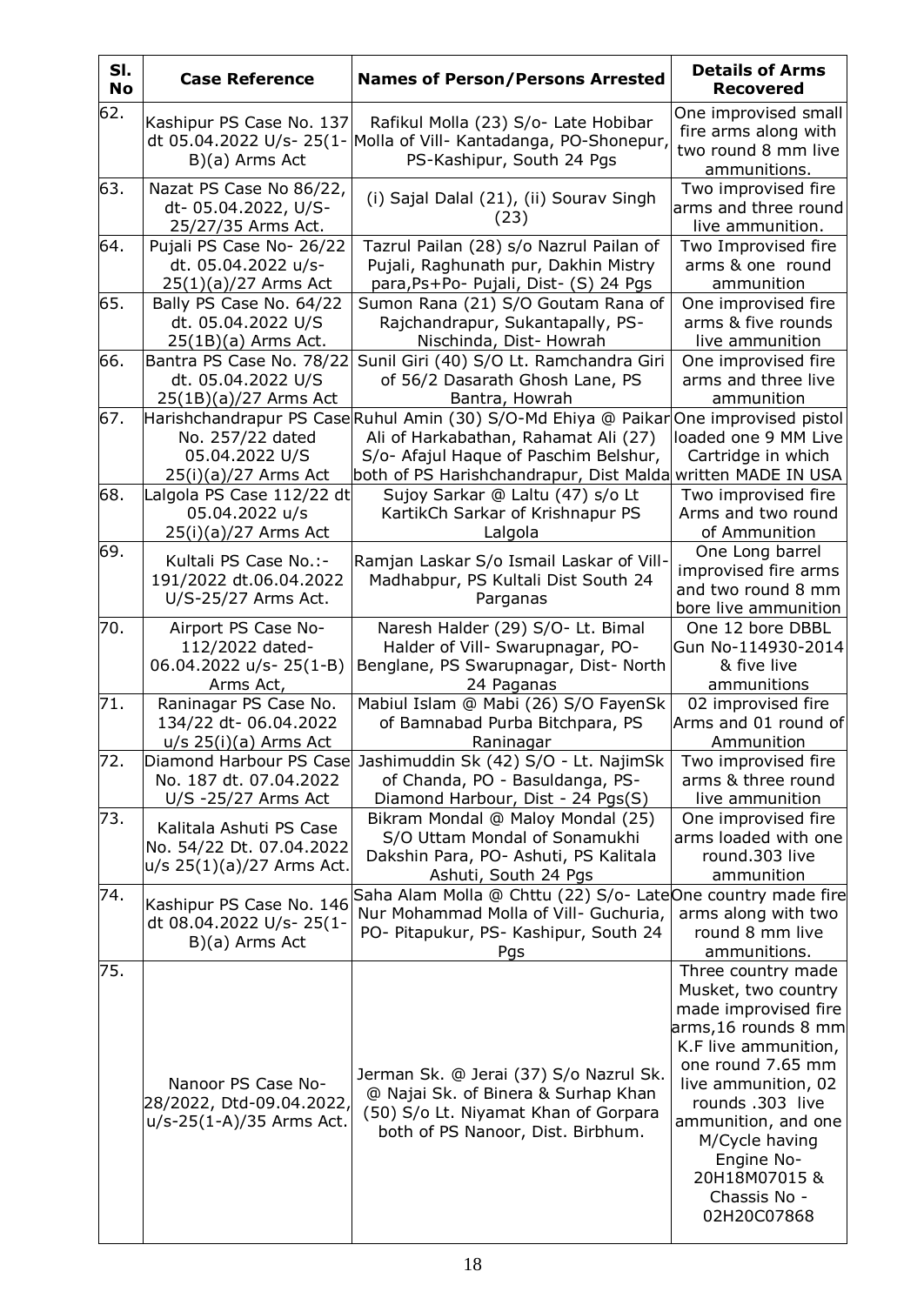| SI.<br><b>No</b> | <b>Case Reference</b>                                                            | <b>Names of Person/Persons Arrested</b>                                                                                                                                                                       | <b>Details of Arms</b><br><b>Recovered</b>                                                                                                                                                                                                                                              |
|------------------|----------------------------------------------------------------------------------|---------------------------------------------------------------------------------------------------------------------------------------------------------------------------------------------------------------|-----------------------------------------------------------------------------------------------------------------------------------------------------------------------------------------------------------------------------------------------------------------------------------------|
| 62.              | Kashipur PS Case No. 137<br>B)(a) Arms Act                                       | Rafikul Molla (23) S/o- Late Hobibar<br>dt 05.04.2022 U/s- 25(1- Molla of Vill- Kantadanga, PO-Shonepur,<br>PS-Kashipur, South 24 Pgs                                                                         | One improvised small<br>fire arms along with<br>two round 8 mm live<br>ammunitions.                                                                                                                                                                                                     |
| 63.              | Nazat PS Case No 86/22,<br>dt-05.04.2022, U/S-<br>25/27/35 Arms Act.             | (i) Sajal Dalal (21), (ii) Sourav Singh<br>(23)                                                                                                                                                               | Two improvised fire<br>arms and three round<br>live ammunition.                                                                                                                                                                                                                         |
| 64.              | Pujali PS Case No- 26/22<br>dt. 05.04.2022 u/s-<br>$25(1)(a)/27$ Arms Act        | Tazrul Pailan (28) s/o Nazrul Pailan of<br>Pujali, Raghunath pur, Dakhin Mistry<br>para, Ps+Po- Pujali, Dist- (S) 24 Pgs                                                                                      | Two Improvised fire<br>arms & one round<br>ammunition                                                                                                                                                                                                                                   |
| 65.              | Bally PS Case No. 64/22<br>dt. 05.04.2022 U/S<br>25(1B)(a) Arms Act.             | Sumon Rana (21) S/O Goutam Rana of<br>Rajchandrapur, Sukantapally, PS-<br>Nischinda, Dist-Howrah                                                                                                              | One improvised fire<br>arms & five rounds<br>live ammunition                                                                                                                                                                                                                            |
| 66.              | Bantra PS Case No. 78/22<br>dt. 05.04.2022 U/S<br>25(1B)(a)/27 Arms Act          | Sunil Giri (40) S/O Lt. Ramchandra Giri<br>of 56/2 Dasarath Ghosh Lane, PS<br>Bantra, Howrah                                                                                                                  | One improvised fire<br>arms and three live<br>ammunition                                                                                                                                                                                                                                |
| 67.              | No. 257/22 dated<br>05.04.2022 U/S<br>$25(i)(a)/27$ Arms Act                     | Harishchandrapur PS CaseRuhul Amin (30) S/O-Md Ehiya @ Paikar<br>Ali of Harkabathan, Rahamat Ali (27)<br>S/o- Afajul Haque of Paschim Belshur,<br>both of PS Harishchandrapur, Dist Malda written MADE IN USA | One improvised pistol<br>loaded one 9 MM Live<br>Cartridge in which                                                                                                                                                                                                                     |
| 68.              | Lalgola PS Case 112/22 dt<br>05.04.2022 u/s<br>$25(i)(a)/27$ Arms Act            | Sujoy Sarkar @ Laltu (47) s/o Lt<br>KartikCh Sarkar of Krishnapur PS<br>Lalgola                                                                                                                               | Two improvised fire<br>Arms and two round<br>of Ammunition                                                                                                                                                                                                                              |
| 69.              | Kultali PS Case No.:-<br>191/2022 dt.06.04.2022<br>U/S-25/27 Arms Act.           | Ramjan Laskar S/o Ismail Laskar of Vill-<br>Madhabpur, PS Kultali Dist South 24<br>Parganas                                                                                                                   | One Long barrel<br>improvised fire arms<br>and two round 8 mm<br>bore live ammunition                                                                                                                                                                                                   |
| 70.              | Airport PS Case No-<br>112/2022 dated-<br>06.04.2022 u/s- 25(1-B)<br>Arms Act,   | Naresh Halder (29) S/O- Lt. Bimal<br>Halder of Vill- Swarupnagar, PO-<br>Benglane, PS Swarupnagar, Dist- North<br>24 Paganas                                                                                  | One 12 bore DBBL<br>Gun No-114930-2014<br>& five live<br>ammunitions                                                                                                                                                                                                                    |
| 71.              | Raninagar PS Case No.<br>134/22 dt-06.04.2022<br>$u/s$ 25(i)(a) Arms Act         | Mabiul Islam @ Mabi (26) S/O FayenSk<br>of Bamnabad Purba Bitchpara, PS<br>Raninagar                                                                                                                          | 02 improvised fire<br>Arms and 01 round of<br>Ammunition                                                                                                                                                                                                                                |
| 72.              | Diamond Harbour PS Case<br>No. 187 dt. 07.04.2022<br>U/S -25/27 Arms Act         | Jashimuddin Sk (42) S/O - Lt. NajimSk<br>of Chanda, PO - Basuldanga, PS-<br>Diamond Harbour, Dist - 24 Pgs(S)                                                                                                 | Two improvised fire<br>arms & three round<br>live ammunition                                                                                                                                                                                                                            |
| 73.              | Kalitala Ashuti PS Case<br>No. 54/22 Dt. 07.04.2022<br>u/s 25(1)(a)/27 Arms Act. | Bikram Mondal @ Maloy Mondal (25)<br>S/O Uttam Mondal of Sonamukhi<br>Dakshin Para, PO- Ashuti, PS Kalitala<br>Ashuti, South 24 Pgs                                                                           | One improvised fire<br>arms loaded with one<br>round.303 live<br>ammunition                                                                                                                                                                                                             |
| 74.              | Kashipur PS Case No. 146<br>dt 08.04.2022 U/s-25(1-<br>B)(a) Arms Act            | Saha Alam Molla @ Chttu (22) S/o- LateOne country made fire<br>Nur Mohammad Molla of Vill- Guchuria,<br>PO- Pitapukur, PS- Kashipur, South 24<br>Pgs                                                          | arms along with two<br>round 8 mm live<br>ammunitions.                                                                                                                                                                                                                                  |
| 75.              | Nanoor PS Case No-<br>28/2022, Dtd-09.04.2022,<br>u/s-25(1-A)/35 Arms Act.       | Jerman Sk. @ Jerai (37) S/o Nazrul Sk.<br>@ Najai Sk. of Binera & Surhap Khan<br>(50) S/o Lt. Niyamat Khan of Gorpara<br>both of PS Nanoor, Dist. Birbhum.                                                    | Three country made<br>Musket, two country<br>made improvised fire<br>arms,16 rounds 8 mm<br>K.F live ammunition,<br>one round 7.65 mm<br>live ammunition, 02<br>rounds .303 live<br>ammunition, and one<br>M/Cycle having<br>Engine No-<br>20H18M07015 &<br>Chassis No -<br>02H20C07868 |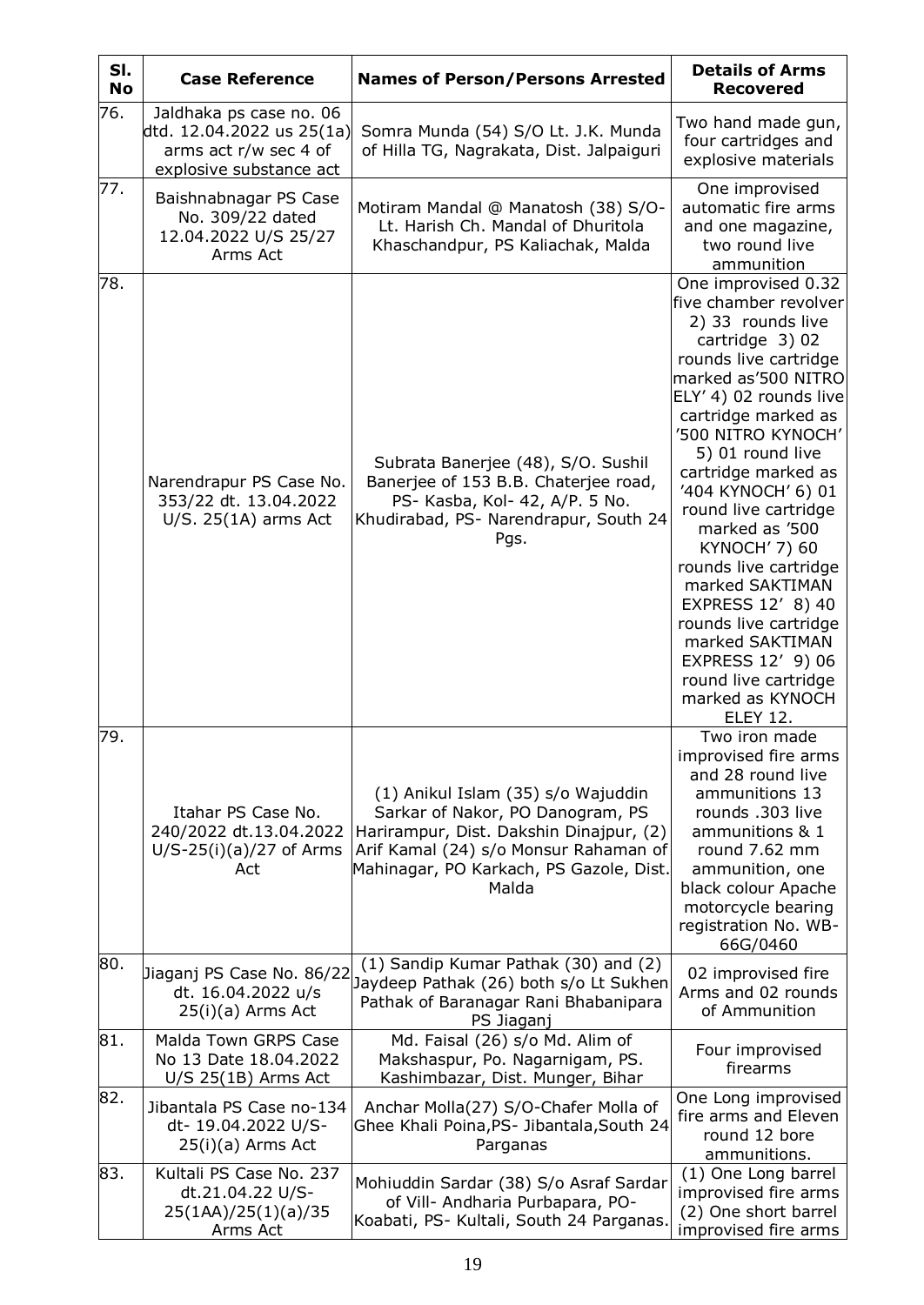| SI.<br><b>No</b> | <b>Case Reference</b>                                                                                    | <b>Names of Person/Persons Arrested</b>                                                                                                                                                                        | <b>Details of Arms</b><br><b>Recovered</b>                                                                                                                                                                                                                                                                                                                                                                                                                                                                                                      |
|------------------|----------------------------------------------------------------------------------------------------------|----------------------------------------------------------------------------------------------------------------------------------------------------------------------------------------------------------------|-------------------------------------------------------------------------------------------------------------------------------------------------------------------------------------------------------------------------------------------------------------------------------------------------------------------------------------------------------------------------------------------------------------------------------------------------------------------------------------------------------------------------------------------------|
| 76.              | Jaldhaka ps case no. 06<br>dtd. 12.04.2022 us 25(1a)<br>arms act r/w sec 4 of<br>explosive substance act | Somra Munda (54) S/O Lt. J.K. Munda<br>of Hilla TG, Nagrakata, Dist. Jalpaiguri                                                                                                                                | Two hand made gun,<br>four cartridges and<br>explosive materials                                                                                                                                                                                                                                                                                                                                                                                                                                                                                |
| 77.              | Baishnabnagar PS Case<br>No. 309/22 dated<br>12.04.2022 U/S 25/27<br>Arms Act                            | Motiram Mandal @ Manatosh (38) S/O-<br>Lt. Harish Ch. Mandal of Dhuritola<br>Khaschandpur, PS Kaliachak, Malda                                                                                                 | One improvised<br>automatic fire arms<br>and one magazine,<br>two round live<br>ammunition                                                                                                                                                                                                                                                                                                                                                                                                                                                      |
| 78.              | Narendrapur PS Case No.<br>353/22 dt. 13.04.2022<br>$U/S. 25(1A)$ arms Act                               | Subrata Banerjee (48), S/O. Sushil<br>Banerjee of 153 B.B. Chaterjee road,<br>PS- Kasba, Kol- 42, A/P. 5 No.<br>Khudirabad, PS- Narendrapur, South 24<br>Pgs.                                                  | One improvised 0.32<br>five chamber revolver<br>2) 33 rounds live<br>cartridge 3) 02<br>rounds live cartridge<br>marked as'500 NITRO<br>ELY' 4) 02 rounds live<br>cartridge marked as<br>'500 NITRO KYNOCH'<br>5) 01 round live<br>cartridge marked as<br>'404 KYNOCH' 6) 01<br>round live cartridge<br>marked as '500<br><b>KYNOCH' 7) 60</b><br>rounds live cartridge<br>marked SAKTIMAN<br>EXPRESS 12' 8) 40<br>rounds live cartridge<br>marked SAKTIMAN<br>EXPRESS 12' 9) 06<br>round live cartridge<br>marked as KYNOCH<br><b>ELEY 12.</b> |
| 79.              | Itahar PS Case No.<br>240/2022 dt.13.04.2022<br>$U/S-25(i)(a)/27$ of Arms<br>Act                         | (1) Anikul Islam (35) s/o Wajuddin<br>Sarkar of Nakor, PO Danogram, PS<br>Harirampur, Dist. Dakshin Dinajpur, (2)<br>Arif Kamal (24) s/o Monsur Rahaman of<br>Mahinagar, PO Karkach, PS Gazole, Dist.<br>Malda | Two iron made<br>improvised fire arms<br>and 28 round live<br>ammunitions 13<br>rounds .303 live<br>ammunitions & 1<br>round 7.62 mm<br>ammunition, one<br>black colour Apache<br>motorcycle bearing<br>registration No. WB-<br>66G/0460                                                                                                                                                                                                                                                                                                        |
| 80.              | Jiaganj PS Case No. 86/22<br>dt. 16.04.2022 u/s<br>$25(i)(a)$ Arms Act                                   | (1) Sandip Kumar Pathak (30) and (2)<br>Jaydeep Pathak (26) both s/o Lt Sukhen<br>Pathak of Baranagar Rani Bhabanipara<br>PS Jiaganj                                                                           | 02 improvised fire<br>Arms and 02 rounds<br>of Ammunition                                                                                                                                                                                                                                                                                                                                                                                                                                                                                       |
| 81.              | Malda Town GRPS Case<br>No 13 Date 18.04.2022<br>$U/S$ 25(1B) Arms Act                                   | Md. Faisal (26) s/o Md. Alim of<br>Makshaspur, Po. Nagarnigam, PS.<br>Kashimbazar, Dist. Munger, Bihar                                                                                                         | Four improvised<br>firearms                                                                                                                                                                                                                                                                                                                                                                                                                                                                                                                     |
| 82.              | Jibantala PS Case no-134<br>dt- 19.04.2022 U/S-<br>$25(i)(a)$ Arms Act                                   | Anchar Molla(27) S/O-Chafer Molla of<br>Ghee Khali Poina, PS- Jibantala, South 24<br>Parganas                                                                                                                  | One Long improvised<br>fire arms and Eleven<br>round 12 bore<br>ammunitions.                                                                                                                                                                                                                                                                                                                                                                                                                                                                    |
| 83.              | Kultali PS Case No. 237<br>dt.21.04.22 U/S-<br>25(1AA)/25(1)(a)/35<br>Arms Act                           | Mohiuddin Sardar (38) S/o Asraf Sardar<br>of Vill- Andharia Purbapara, PO-<br>Koabati, PS- Kultali, South 24 Parganas.                                                                                         | (1) One Long barrel<br>improvised fire arms<br>(2) One short barrel<br>improvised fire arms                                                                                                                                                                                                                                                                                                                                                                                                                                                     |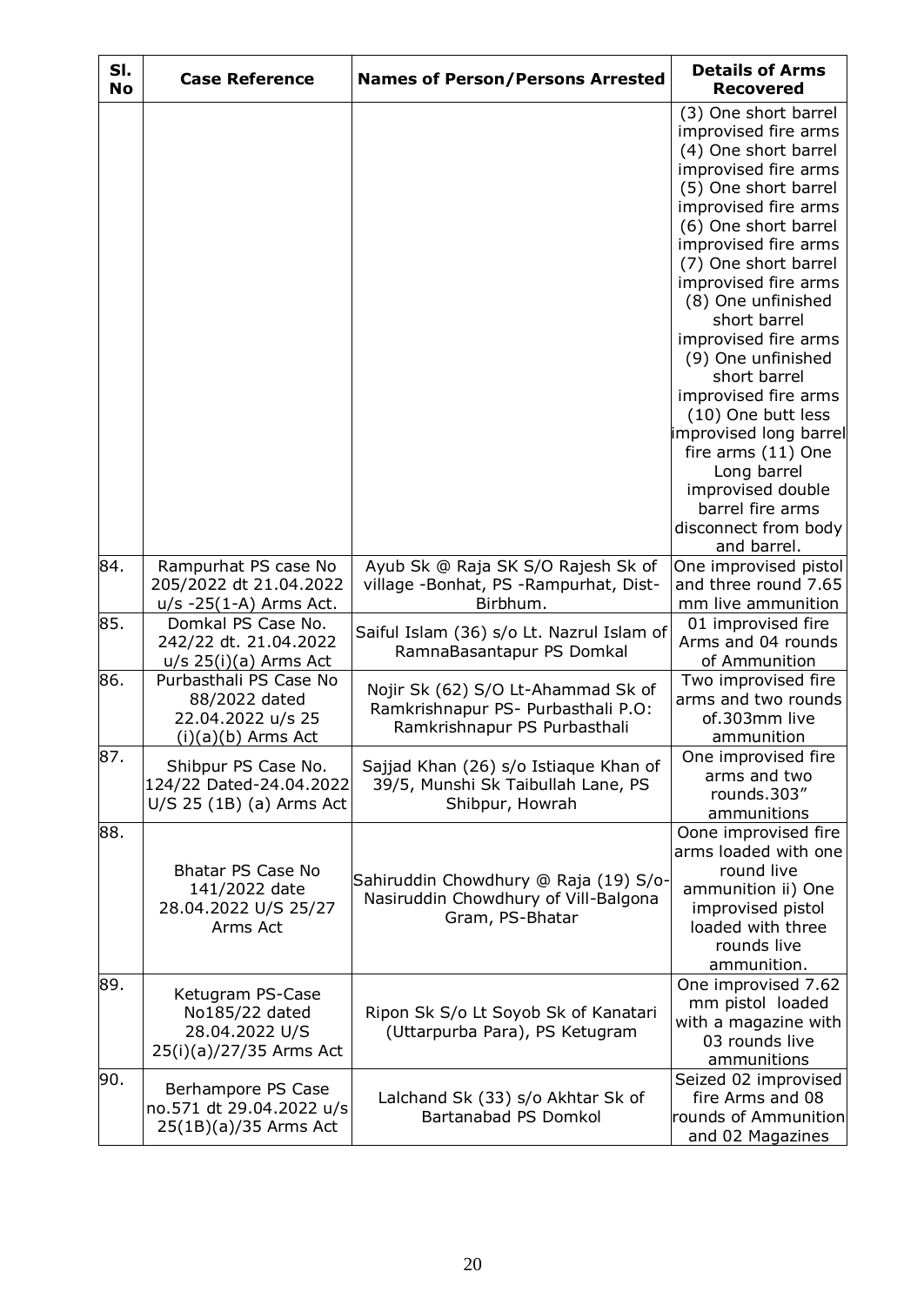| SI.<br><b>No</b> | <b>Case Reference</b>                                                                | <b>Names of Person/Persons Arrested</b>                                                                  | <b>Details of Arms</b><br><b>Recovered</b>                                                                                                                                                                                                                                                                                                                                                                                                                                                                                                    |
|------------------|--------------------------------------------------------------------------------------|----------------------------------------------------------------------------------------------------------|-----------------------------------------------------------------------------------------------------------------------------------------------------------------------------------------------------------------------------------------------------------------------------------------------------------------------------------------------------------------------------------------------------------------------------------------------------------------------------------------------------------------------------------------------|
|                  |                                                                                      |                                                                                                          | (3) One short barrel<br>improvised fire arms<br>(4) One short barrel<br>improvised fire arms<br>(5) One short barrel<br>improvised fire arms<br>(6) One short barrel<br>improvised fire arms<br>(7) One short barrel<br>improvised fire arms<br>(8) One unfinished<br>short barrel<br>improvised fire arms<br>(9) One unfinished<br>short barrel<br>improvised fire arms<br>(10) One butt less<br>improvised long barrel<br>fire arms (11) One<br>Long barrel<br>improvised double<br>barrel fire arms<br>disconnect from body<br>and barrel. |
| 84.              | Rampurhat PS case No<br>205/2022 dt 21.04.2022<br>$u/s - 25(1-A)$ Arms Act.          | Ayub Sk @ Raja SK S/O Rajesh Sk of<br>village -Bonhat, PS -Rampurhat, Dist-<br>Birbhum.                  | One improvised pistol<br>and three round 7.65<br>mm live ammunition                                                                                                                                                                                                                                                                                                                                                                                                                                                                           |
| 85.              | Domkal PS Case No.<br>242/22 dt. 21.04.2022<br>$u/s$ 25(i)(a) Arms Act               | Saiful Islam (36) s/o Lt. Nazrul Islam of<br>RamnaBasantapur PS Domkal                                   | 01 improvised fire<br>Arms and 04 rounds<br>of Ammunition                                                                                                                                                                                                                                                                                                                                                                                                                                                                                     |
| 86.              | Purbasthali PS Case No<br>88/2022 dated<br>22.04.2022 u/s 25<br>$(i)(a)(b)$ Arms Act | Nojir Sk (62) S/O Lt-Ahammad Sk of<br>Ramkrishnapur PS- Purbasthali P.O:<br>Ramkrishnapur PS Purbasthali | Two improvised fire<br>arms and two rounds<br>of.303mm live<br>ammunition                                                                                                                                                                                                                                                                                                                                                                                                                                                                     |
| 87.              | Shibpur PS Case No.<br>124/22 Dated-24.04.2022<br>U/S 25 (1B) (a) Arms Act           | Sajjad Khan (26) s/o Istiaque Khan of<br>39/5, Munshi Sk Taibullah Lane, PS<br>Shibpur, Howrah           | One improvised fire<br>arms and two<br>rounds.303"<br>ammunitions                                                                                                                                                                                                                                                                                                                                                                                                                                                                             |
| 88.              | Bhatar PS Case No<br>141/2022 date<br>28.04.2022 U/S 25/27<br>Arms Act               | Sahiruddin Chowdhury @ Raja (19) S/o-<br>Nasiruddin Chowdhury of Vill-Balgona<br>Gram, PS-Bhatar         | Oone improvised fire<br>arms loaded with one<br>round live<br>ammunition ii) One<br>improvised pistol<br>loaded with three<br>rounds live<br>ammunition.                                                                                                                                                                                                                                                                                                                                                                                      |
| 89.              | Ketugram PS-Case<br>No185/22 dated<br>28.04.2022 U/S<br>25(i)(a)/27/35 Arms Act      | Ripon Sk S/o Lt Soyob Sk of Kanatari<br>(Uttarpurba Para), PS Ketugram                                   | One improvised 7.62<br>mm pistol loaded<br>with a magazine with<br>03 rounds live<br>ammunitions                                                                                                                                                                                                                                                                                                                                                                                                                                              |
| 90.              | Berhampore PS Case<br>no.571 dt 29.04.2022 u/s<br>25(1B)(a)/35 Arms Act              | Lalchand Sk (33) s/o Akhtar Sk of<br>Bartanabad PS Domkol                                                | Seized 02 improvised<br>fire Arms and 08<br>rounds of Ammunition<br>and 02 Magazines                                                                                                                                                                                                                                                                                                                                                                                                                                                          |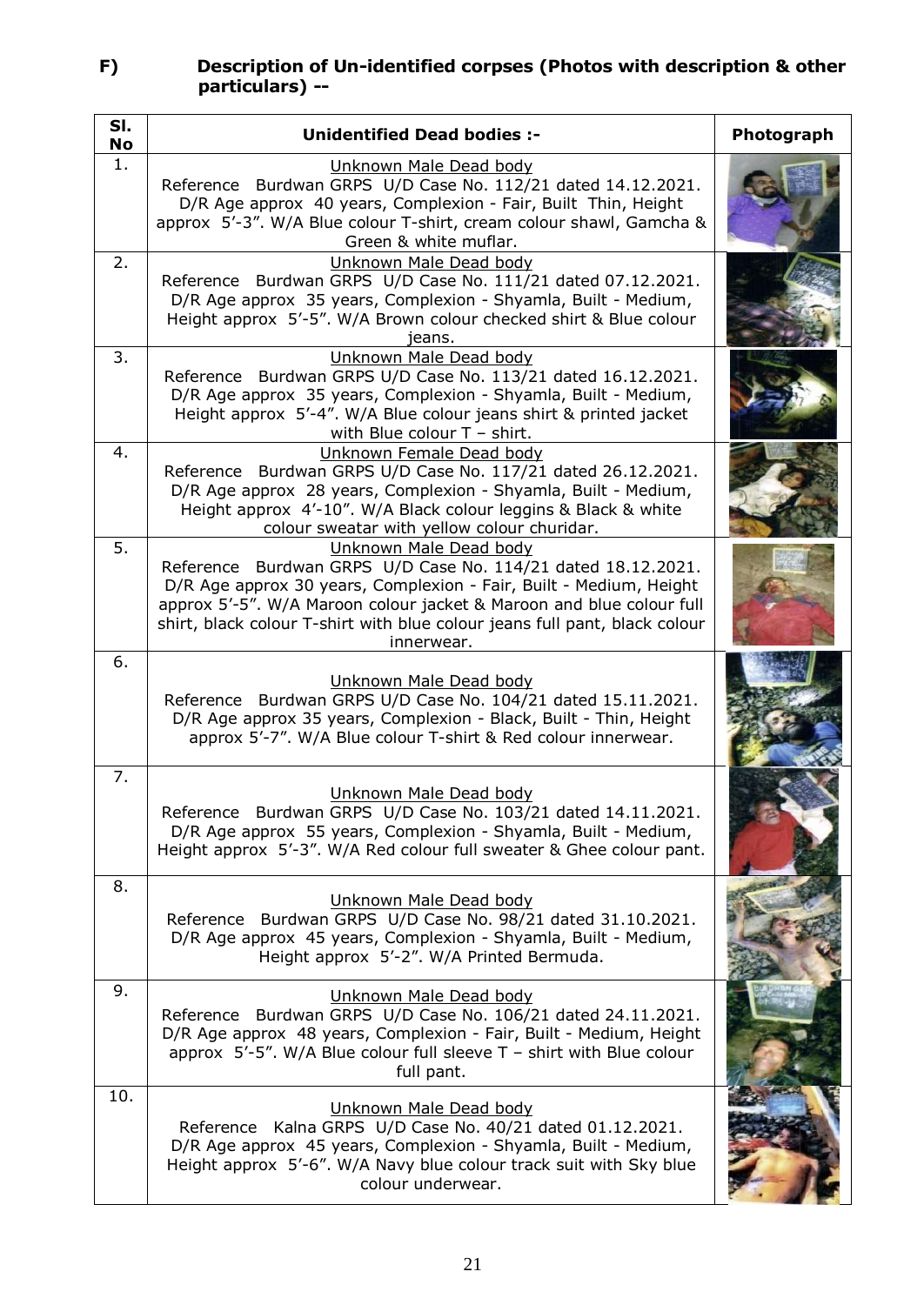### **F) Description of Un-identified corpses (Photos with description & other particulars) --**

| SI.<br>No | <b>Unidentified Dead bodies:-</b>                                                                                                                                                                                                                                                                                                | Photograph |
|-----------|----------------------------------------------------------------------------------------------------------------------------------------------------------------------------------------------------------------------------------------------------------------------------------------------------------------------------------|------------|
| 1.        | Unknown Male Dead body<br>Reference Burdwan GRPS U/D Case No. 112/21 dated 14.12.2021.<br>D/R Age approx 40 years, Complexion - Fair, Built Thin, Height<br>approx 5'-3". W/A Blue colour T-shirt, cream colour shawl, Gamcha &<br>Green & white muflar.                                                                         |            |
| 2.        | Unknown Male Dead body<br>Reference Burdwan GRPS U/D Case No. 111/21 dated 07.12.2021.<br>D/R Age approx 35 years, Complexion - Shyamla, Built - Medium,<br>Height approx 5'-5". W/A Brown colour checked shirt & Blue colour<br>ieans.                                                                                          |            |
| 3.        | Unknown Male Dead body<br>Reference Burdwan GRPS U/D Case No. 113/21 dated 16.12.2021.<br>D/R Age approx 35 years, Complexion - Shyamla, Built - Medium,<br>Height approx 5'-4". W/A Blue colour jeans shirt & printed jacket<br>with Blue colour $T$ - shirt.                                                                   |            |
| 4.        | Unknown Female Dead body<br>Reference Burdwan GRPS U/D Case No. 117/21 dated 26.12.2021.<br>D/R Age approx 28 years, Complexion - Shyamla, Built - Medium,<br>Height approx 4'-10". W/A Black colour leggins & Black & white<br>colour sweatar with yellow colour churidar.                                                      |            |
| 5.        | Unknown Male Dead body<br>Reference Burdwan GRPS U/D Case No. 114/21 dated 18.12.2021.<br>D/R Age approx 30 years, Complexion - Fair, Built - Medium, Height<br>approx 5'-5". W/A Maroon colour jacket & Maroon and blue colour full<br>shirt, black colour T-shirt with blue colour jeans full pant, black colour<br>innerwear. |            |
| 6.        | Unknown Male Dead body<br>Reference Burdwan GRPS U/D Case No. 104/21 dated 15.11.2021.<br>D/R Age approx 35 years, Complexion - Black, Built - Thin, Height<br>approx 5'-7". W/A Blue colour T-shirt & Red colour innerwear.                                                                                                     |            |
| 7.        | Unknown Male Dead body<br>Reference Burdwan GRPS U/D Case No. 103/21 dated 14.11.2021.<br>D/R Age approx 55 years, Complexion - Shyamla, Built - Medium,<br>Height approx 5'-3". W/A Red colour full sweater & Ghee colour pant.                                                                                                 |            |
| 8.        | Unknown Male Dead body<br>Reference Burdwan GRPS U/D Case No. 98/21 dated 31.10.2021.<br>D/R Age approx 45 years, Complexion - Shyamla, Built - Medium,<br>Height approx 5'-2". W/A Printed Bermuda.                                                                                                                             |            |
| 9.        | Unknown Male Dead body<br>Reference Burdwan GRPS U/D Case No. 106/21 dated 24.11.2021.<br>D/R Age approx 48 years, Complexion - Fair, Built - Medium, Height<br>approx $5'-5''$ . W/A Blue colour full sleeve T - shirt with Blue colour<br>full pant.                                                                           |            |
| 10.       | Unknown Male Dead body<br>Kalna GRPS U/D Case No. 40/21 dated 01.12.2021.<br>Reference<br>D/R Age approx 45 years, Complexion - Shyamla, Built - Medium,<br>Height approx 5'-6". W/A Navy blue colour track suit with Sky blue<br>colour underwear.                                                                              |            |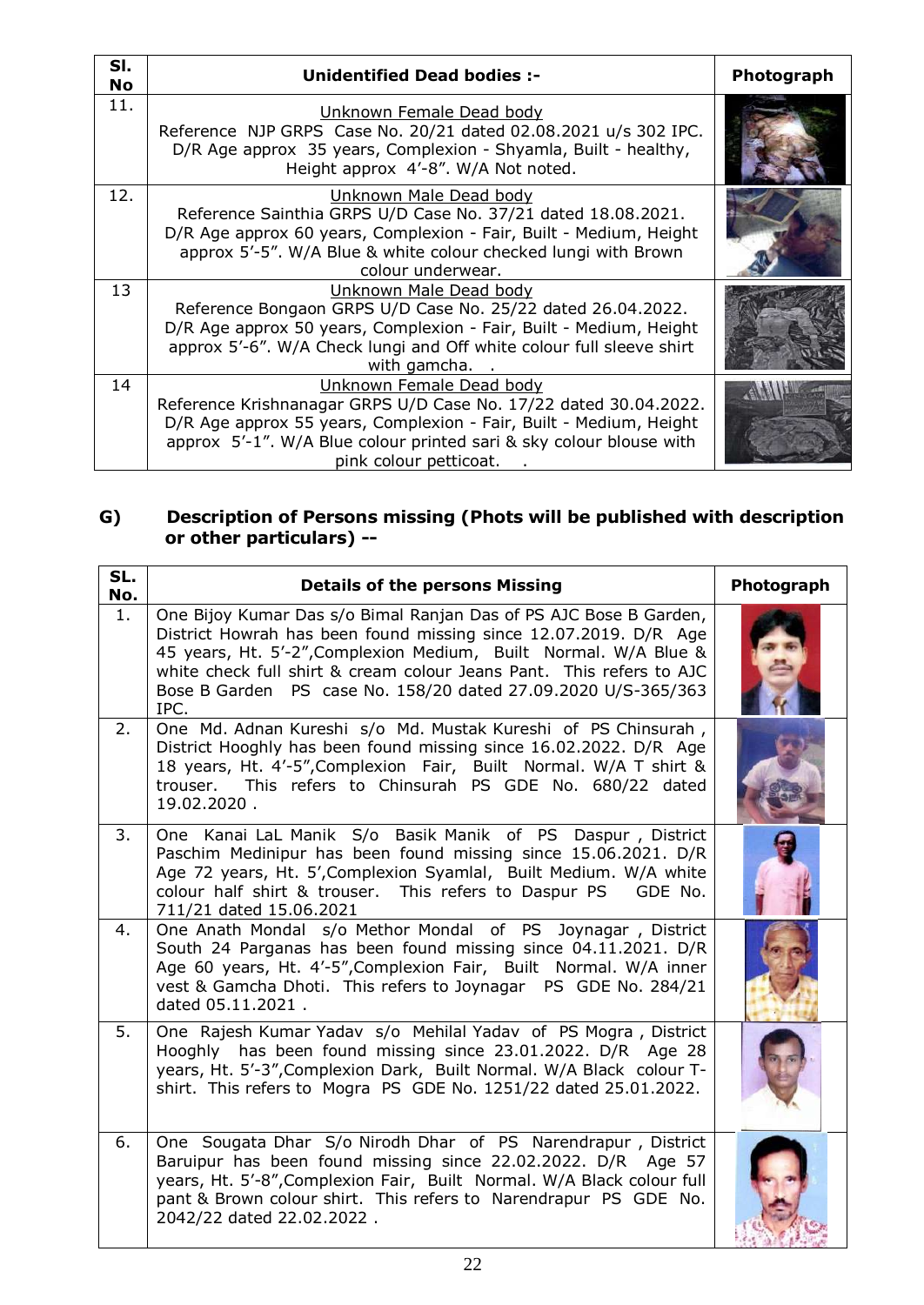| SI.<br>No | <b>Unidentified Dead bodies:-</b>                                                                                                                                                                                                                                   | Photograph |
|-----------|---------------------------------------------------------------------------------------------------------------------------------------------------------------------------------------------------------------------------------------------------------------------|------------|
| 11.       | Unknown Female Dead body<br>Reference NJP GRPS Case No. 20/21 dated 02.08.2021 u/s 302 IPC.<br>D/R Age approx 35 years, Complexion - Shyamla, Built - healthy,<br>Height approx 4'-8". W/A Not noted.                                                               |            |
| 12.       | Unknown Male Dead body<br>Reference Sainthia GRPS U/D Case No. 37/21 dated 18.08.2021.<br>D/R Age approx 60 years, Complexion - Fair, Built - Medium, Height<br>approx 5'-5". W/A Blue & white colour checked lungi with Brown<br>colour underwear.                 |            |
| 13        | Unknown Male Dead body<br>Reference Bongaon GRPS U/D Case No. 25/22 dated 26.04.2022.<br>D/R Age approx 50 years, Complexion - Fair, Built - Medium, Height<br>approx 5'-6". W/A Check lungi and Off white colour full sleeve shirt<br>with gamcha.                 |            |
| 14        | Unknown Female Dead body<br>Reference Krishnanagar GRPS U/D Case No. 17/22 dated 30.04.2022.<br>D/R Age approx 55 years, Complexion - Fair, Built - Medium, Height<br>approx 5'-1". W/A Blue colour printed sari & sky colour blouse with<br>pink colour petticoat. |            |

### **G) Description of Persons missing (Phots will be published with description or other particulars) --**

| SL.<br>No. | <b>Details of the persons Missing</b>                                                                                                                                                                                                                                                                                                                      | Photograph |
|------------|------------------------------------------------------------------------------------------------------------------------------------------------------------------------------------------------------------------------------------------------------------------------------------------------------------------------------------------------------------|------------|
| 1.         | One Bijoy Kumar Das s/o Bimal Ranjan Das of PS AJC Bose B Garden,<br>District Howrah has been found missing since 12.07.2019. D/R Age<br>45 years, Ht. 5'-2", Complexion Medium, Built Normal. W/A Blue &<br>white check full shirt & cream colour Jeans Pant. This refers to AJC<br>Bose B Garden PS case No. 158/20 dated 27.09.2020 U/S-365/363<br>IPC. |            |
| 2.         | One Md. Adnan Kureshi s/o Md. Mustak Kureshi of PS Chinsurah,<br>District Hooghly has been found missing since 16.02.2022. D/R Age<br>18 years, Ht. 4'-5", Complexion Fair, Built Normal. W/A T shirt &<br>trouser. This refers to Chinsurah PS GDE No. 680/22 dated<br>19.02.2020.                                                                        |            |
| 3.         | One Kanai LaL Manik S/o Basik Manik of PS Daspur, District<br>Paschim Medinipur has been found missing since 15.06.2021. D/R<br>Age 72 years, Ht. 5', Complexion Syamlal, Built Medium. W/A white<br>colour half shirt & trouser. This refers to Daspur PS GDE No.<br>711/21 dated 15.06.2021                                                              |            |
| 4.         | One Anath Mondal s/o Methor Mondal of PS Joynagar, District<br>South 24 Parganas has been found missing since 04.11.2021. D/R<br>Age 60 years, Ht. 4'-5", Complexion Fair, Built Normal. W/A inner<br>vest & Gamcha Dhoti. This refers to Joynagar PS GDE No. 284/21<br>dated 05.11.2021.                                                                  |            |
| 5.         | One Rajesh Kumar Yadav s/o Mehilal Yadav of PS Mogra, District<br>Hooghly has been found missing since 23.01.2022. D/R Age 28<br>years, Ht. 5'-3", Complexion Dark, Built Normal. W/A Black colour T-<br>shirt. This refers to Mogra PS GDE No. 1251/22 dated 25.01.2022.                                                                                  |            |
| 6.         | One Sougata Dhar S/o Nirodh Dhar of PS Narendrapur, District<br>Baruipur has been found missing since 22.02.2022. D/R Age 57<br>years, Ht. 5'-8", Complexion Fair, Built Normal. W/A Black colour full<br>pant & Brown colour shirt. This refers to Narendrapur PS GDE No.<br>2042/22 dated 22.02.2022.                                                    |            |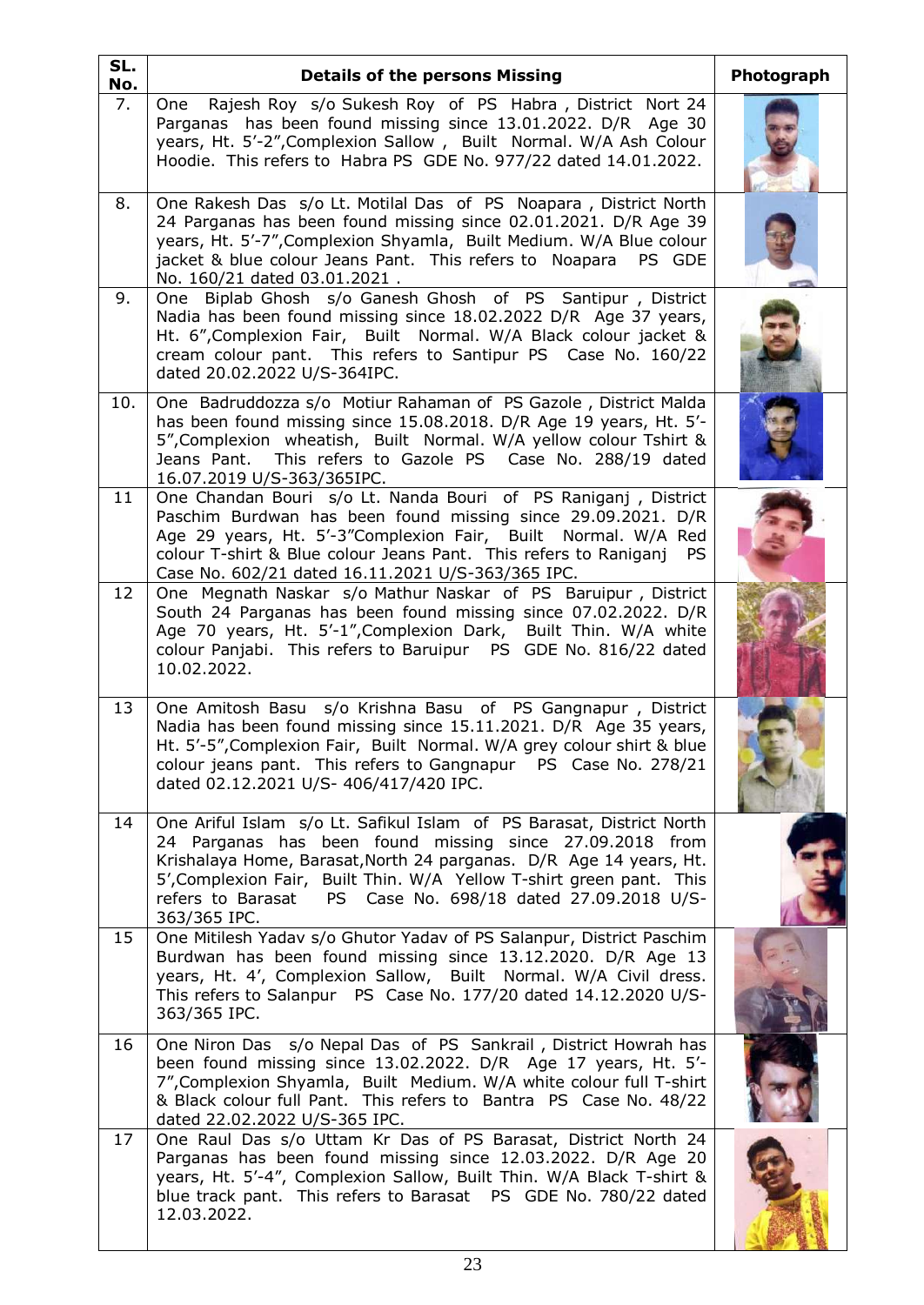| SL.<br>No. | <b>Details of the persons Missing</b>                                                                                                                                                                                                                                                                                                                           | Photograph |
|------------|-----------------------------------------------------------------------------------------------------------------------------------------------------------------------------------------------------------------------------------------------------------------------------------------------------------------------------------------------------------------|------------|
| 7.         | One Rajesh Roy s/o Sukesh Roy of PS Habra, District Nort 24<br>Parganas has been found missing since 13.01.2022. D/R Age 30<br>years, Ht. 5'-2", Complexion Sallow, Built Normal. W/A Ash Colour<br>Hoodie. This refers to Habra PS GDE No. 977/22 dated 14.01.2022.                                                                                            |            |
| 8.         | One Rakesh Das s/o Lt. Motilal Das of PS Noapara, District North<br>24 Parganas has been found missing since 02.01.2021. D/R Age 39<br>years, Ht. 5'-7", Complexion Shyamla, Built Medium. W/A Blue colour<br>jacket & blue colour Jeans Pant. This refers to Noapara PS GDE<br>No. 160/21 dated 03.01.2021.                                                    |            |
| 9.         | One Biplab Ghosh s/o Ganesh Ghosh of PS Santipur, District<br>Nadia has been found missing since 18.02.2022 D/R Age 37 years,<br>Ht. 6", Complexion Fair, Built Normal. W/A Black colour jacket &<br>cream colour pant. This refers to Santipur PS Case No. 160/22<br>dated 20.02.2022 U/S-364IPC.                                                              |            |
| 10.        | One Badruddozza s/o Motiur Rahaman of PS Gazole, District Malda<br>has been found missing since 15.08.2018. D/R Age 19 years, Ht. 5'-<br>5", Complexion wheatish, Built Normal. W/A yellow colour Tshirt &<br>Jeans Pant. This refers to Gazole PS Case No. 288/19 dated<br>16.07.2019 U/S-363/365IPC.                                                          |            |
| 11         | One Chandan Bouri s/o Lt. Nanda Bouri of PS Raniganj, District<br>Paschim Burdwan has been found missing since 29.09.2021. D/R<br>Age 29 years, Ht. 5'-3"Complexion Fair, Built Normal. W/A Red<br>colour T-shirt & Blue colour Jeans Pant. This refers to Raniganj<br><b>PS</b><br>Case No. 602/21 dated 16.11.2021 U/S-363/365 IPC.                           |            |
| 12         | One Megnath Naskar s/o Mathur Naskar of PS Baruipur, District<br>South 24 Parganas has been found missing since 07.02.2022. D/R<br>Age 70 years, Ht. 5'-1", Complexion Dark, Built Thin. W/A white<br>colour Panjabi. This refers to Baruipur PS GDE No. 816/22 dated<br>10.02.2022.                                                                            |            |
| 13         | One Amitosh Basu s/o Krishna Basu of PS Gangnapur, District<br>Nadia has been found missing since 15.11.2021. D/R Age 35 years,<br>Ht. 5'-5", Complexion Fair, Built Normal. W/A grey colour shirt & blue<br>colour jeans pant. This refers to Gangnapur PS Case No. 278/21<br>dated 02.12.2021 U/S- 406/417/420 IPC.                                           |            |
| 14         | One Ariful Islam s/o Lt. Safikul Islam of PS Barasat, District North<br>24 Parganas has been found missing since 27.09.2018 from<br>Krishalaya Home, Barasat, North 24 parganas. D/R Age 14 years, Ht.<br>5', Complexion Fair, Built Thin. W/A Yellow T-shirt green pant. This<br>refers to Barasat  PS  Case No. 698/18 dated 27.09.2018  U/S-<br>363/365 IPC. |            |
| 15         | One Mitilesh Yadav s/o Ghutor Yadav of PS Salanpur, District Paschim<br>Burdwan has been found missing since 13.12.2020. D/R Age 13<br>years, Ht. 4', Complexion Sallow, Built Normal. W/A Civil dress.<br>This refers to Salanpur PS Case No. 177/20 dated 14.12.2020 U/S-<br>363/365 IPC.                                                                     |            |
| 16         | One Niron Das s/o Nepal Das of PS Sankrail, District Howrah has<br>been found missing since 13.02.2022. D/R Age 17 years, Ht. 5'-<br>7", Complexion Shyamla, Built Medium. W/A white colour full T-shirt<br>& Black colour full Pant. This refers to Bantra PS Case No. 48/22<br>dated 22.02.2022 U/S-365 IPC.                                                  |            |
| 17         | One Raul Das s/o Uttam Kr Das of PS Barasat, District North 24<br>Parganas has been found missing since 12.03.2022. D/R Age 20<br>years, Ht. 5'-4", Complexion Sallow, Built Thin. W/A Black T-shirt &<br>blue track pant. This refers to Barasat PS GDE No. 780/22 dated<br>12.03.2022.                                                                        |            |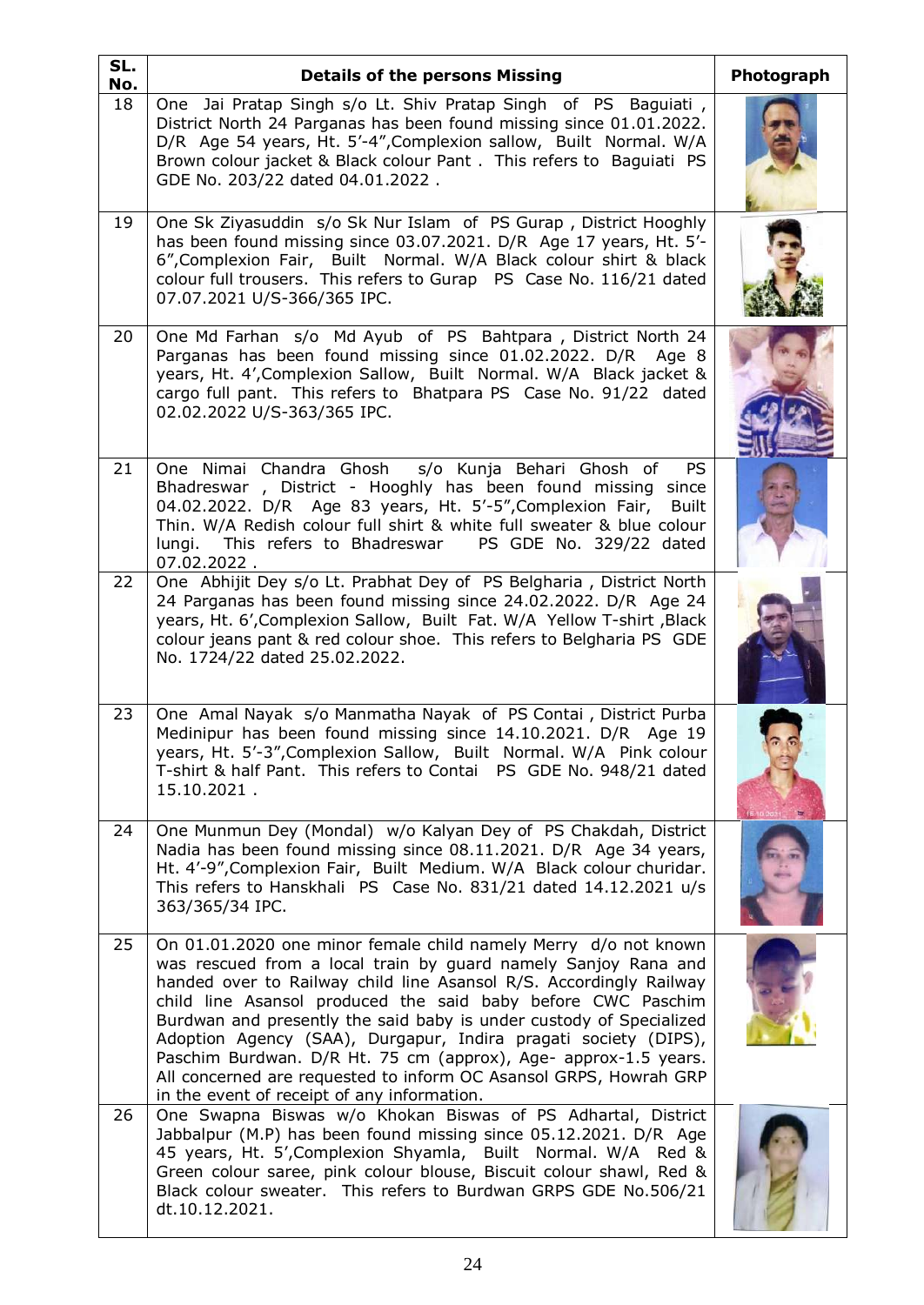| SL.<br>No. | <b>Details of the persons Missing</b>                                                                                                                                                                                                                                                                                                                                                                                                                                                                                                                                                                    | Photograph |
|------------|----------------------------------------------------------------------------------------------------------------------------------------------------------------------------------------------------------------------------------------------------------------------------------------------------------------------------------------------------------------------------------------------------------------------------------------------------------------------------------------------------------------------------------------------------------------------------------------------------------|------------|
| 18         | One Jai Pratap Singh s/o Lt. Shiv Pratap Singh of PS Baguiati,<br>District North 24 Parganas has been found missing since 01.01.2022.<br>D/R Age 54 years, Ht. 5'-4", Complexion sallow, Built Normal. W/A<br>Brown colour jacket & Black colour Pant . This refers to Baguiati PS<br>GDE No. 203/22 dated 04.01.2022.                                                                                                                                                                                                                                                                                   |            |
| 19         | One Sk Ziyasuddin s/o Sk Nur Islam of PS Gurap, District Hooghly<br>has been found missing since 03.07.2021. D/R Age 17 years, Ht. 5'-<br>6", Complexion Fair, Built Normal. W/A Black colour shirt & black<br>colour full trousers. This refers to Gurap PS Case No. 116/21 dated<br>07.07.2021 U/S-366/365 IPC.                                                                                                                                                                                                                                                                                        |            |
| 20         | One Md Farhan s/o Md Ayub of PS Bahtpara, District North 24<br>Parganas has been found missing since 01.02.2022. D/R Age 8<br>years, Ht. 4', Complexion Sallow, Built Normal. W/A Black jacket &<br>cargo full pant. This refers to Bhatpara PS Case No. 91/22 dated<br>02.02.2022 U/S-363/365 IPC.                                                                                                                                                                                                                                                                                                      |            |
| 21         | One Nimai Chandra Ghosh s/o Kunja Behari Ghosh of<br>PS.<br>Bhadreswar, District - Hooghly has been found missing since<br>04.02.2022. D/R Age 83 years, Ht. 5'-5", Complexion Fair,<br>Built<br>Thin. W/A Redish colour full shirt & white full sweater & blue colour<br>lungi. This refers to Bhadreswar<br>PS GDE No. 329/22 dated<br>07.02.2022.                                                                                                                                                                                                                                                     |            |
| 22         | One Abhijit Dey s/o Lt. Prabhat Dey of PS Belgharia, District North<br>24 Parganas has been found missing since 24.02.2022. D/R Age 24<br>years, Ht. 6', Complexion Sallow, Built Fat. W/A Yellow T-shirt, Black<br>colour jeans pant & red colour shoe. This refers to Belgharia PS GDE<br>No. 1724/22 dated 25.02.2022.                                                                                                                                                                                                                                                                                |            |
| 23         | One Amal Nayak s/o Manmatha Nayak of PS Contai, District Purba<br>Medinipur has been found missing since 14.10.2021. D/R Age 19<br>years, Ht. 5'-3", Complexion Sallow, Built Normal. W/A Pink colour<br>T-shirt & half Pant. This refers to Contai PS GDE No. 948/21 dated<br>15.10.2021.                                                                                                                                                                                                                                                                                                               |            |
| 24         | One Munmun Dey (Mondal) w/o Kalyan Dey of PS Chakdah, District<br>Nadia has been found missing since 08.11.2021. D/R Age 34 years,<br>Ht. 4'-9", Complexion Fair, Built Medium. W/A Black colour churidar.<br>This refers to Hanskhali PS Case No. 831/21 dated 14.12.2021 u/s<br>363/365/34 IPC.                                                                                                                                                                                                                                                                                                        |            |
| 25         | On 01.01.2020 one minor female child namely Merry d/o not known<br>was rescued from a local train by guard namely Sanjoy Rana and<br>handed over to Railway child line Asansol R/S. Accordingly Railway<br>child line Asansol produced the said baby before CWC Paschim<br>Burdwan and presently the said baby is under custody of Specialized<br>Adoption Agency (SAA), Durgapur, Indira pragati society (DIPS),<br>Paschim Burdwan. D/R Ht. 75 cm (approx), Age- approx-1.5 years.<br>All concerned are requested to inform OC Asansol GRPS, Howrah GRP<br>in the event of receipt of any information. |            |
| 26         | One Swapna Biswas w/o Khokan Biswas of PS Adhartal, District<br>Jabbalpur (M.P) has been found missing since 05.12.2021. D/R Age<br>45 years, Ht. 5', Complexion Shyamla, Built Normal. W/A Red &<br>Green colour saree, pink colour blouse, Biscuit colour shawl, Red &<br>Black colour sweater. This refers to Burdwan GRPS GDE No.506/21<br>dt.10.12.2021.                                                                                                                                                                                                                                            |            |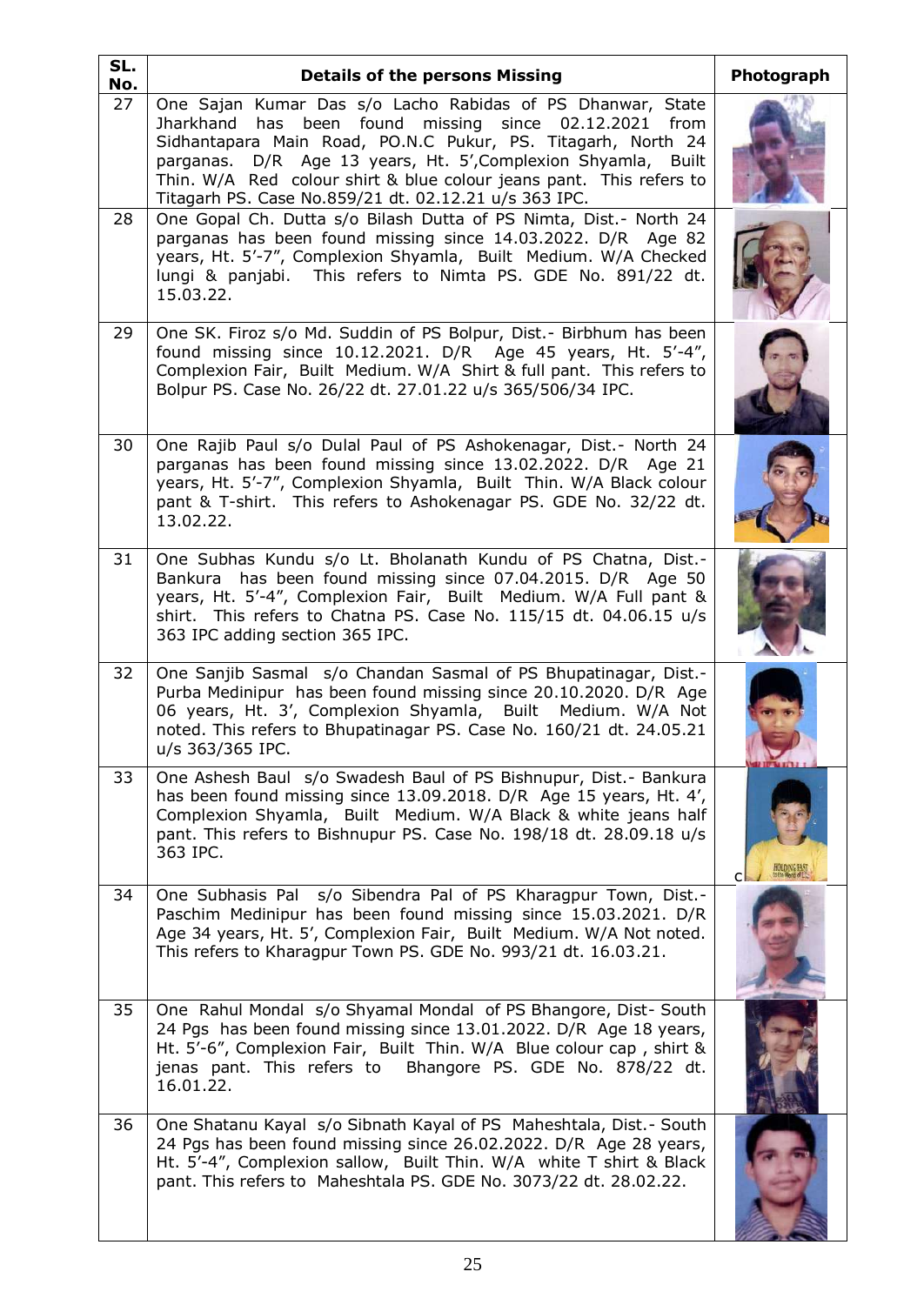| SL.<br>No. | <b>Details of the persons Missing</b>                                                                                                                                                                                                                                                                                                                                                    | Photograph |
|------------|------------------------------------------------------------------------------------------------------------------------------------------------------------------------------------------------------------------------------------------------------------------------------------------------------------------------------------------------------------------------------------------|------------|
| 27         | One Sajan Kumar Das s/o Lacho Rabidas of PS Dhanwar, State<br>has been found missing since 02.12.2021 from<br>Jharkhand<br>Sidhantapara Main Road, PO.N.C Pukur, PS. Titagarh, North 24<br>parganas. D/R Age 13 years, Ht. 5', Complexion Shyamla, Built<br>Thin. W/A Red colour shirt & blue colour jeans pant. This refers to<br>Titagarh PS. Case No.859/21 dt. 02.12.21 u/s 363 IPC. |            |
| 28         | One Gopal Ch. Dutta s/o Bilash Dutta of PS Nimta, Dist.- North 24<br>parganas has been found missing since 14.03.2022. D/R Age 82<br>years, Ht. 5'-7", Complexion Shyamla, Built Medium. W/A Checked<br>lungi & panjabi. This refers to Nimta PS. GDE No. 891/22 dt.<br>15.03.22.                                                                                                        |            |
| 29         | One SK. Firoz s/o Md. Suddin of PS Bolpur, Dist. - Birbhum has been<br>found missing since 10.12.2021. D/R Age 45 years, Ht. 5'-4",<br>Complexion Fair, Built Medium. W/A Shirt & full pant. This refers to<br>Bolpur PS. Case No. 26/22 dt. 27.01.22 u/s 365/506/34 IPC.                                                                                                                |            |
| 30         | One Rajib Paul s/o Dulal Paul of PS Ashokenagar, Dist. - North 24<br>parganas has been found missing since 13.02.2022. D/R Age 21<br>years, Ht. 5'-7", Complexion Shyamla, Built Thin. W/A Black colour<br>pant & T-shirt. This refers to Ashokenagar PS. GDE No. 32/22 dt.<br>13.02.22.                                                                                                 |            |
| 31         | One Subhas Kundu s/o Lt. Bholanath Kundu of PS Chatna, Dist.-<br>has been found missing since 07.04.2015. D/R Age 50<br>Bankura<br>years, Ht. 5'-4", Complexion Fair, Built Medium. W/A Full pant &<br>shirt. This refers to Chatna PS. Case No. 115/15 dt. 04.06.15 u/s<br>363 IPC adding section 365 IPC.                                                                              |            |
| 32         | One Sanjib Sasmal s/o Chandan Sasmal of PS Bhupatinagar, Dist.-<br>Purba Medinipur has been found missing since 20.10.2020. D/R Age<br>06 years, Ht. 3', Complexion Shyamla, Built Medium. W/A Not<br>noted. This refers to Bhupatinagar PS. Case No. 160/21 dt. 24.05.21<br>u/s 363/365 IPC.                                                                                            |            |
| 33         | One Ashesh Baul s/o Swadesh Baul of PS Bishnupur, Dist. - Bankura<br>has been found missing since 13.09.2018. D/R Age 15 years, Ht. 4',<br>Complexion Shyamla, Built Medium. W/A Black & white jeans half<br>pant. This refers to Bishnupur PS. Case No. 198/18 dt. 28.09.18 u/s<br>363 IPC.                                                                                             | c          |
| 34         | One Subhasis Pal s/o Sibendra Pal of PS Kharagpur Town, Dist.-<br>Paschim Medinipur has been found missing since 15.03.2021. D/R<br>Age 34 years, Ht. 5', Complexion Fair, Built Medium. W/A Not noted.<br>This refers to Kharagpur Town PS. GDE No. 993/21 dt. 16.03.21.                                                                                                                |            |
| 35         | One Rahul Mondal s/o Shyamal Mondal of PS Bhangore, Dist-South<br>24 Pgs has been found missing since 13.01.2022. D/R Age 18 years,<br>Ht. 5'-6", Complexion Fair, Built Thin. W/A Blue colour cap, shirt &<br>jenas pant. This refers to Bhangore PS. GDE No. 878/22 dt.<br>16.01.22.                                                                                                   |            |
| 36         | One Shatanu Kayal s/o Sibnath Kayal of PS Maheshtala, Dist. - South<br>24 Pgs has been found missing since 26.02.2022. D/R Age 28 years,<br>Ht. 5'-4", Complexion sallow, Built Thin. W/A white T shirt & Black<br>pant. This refers to Maheshtala PS. GDE No. 3073/22 dt. 28.02.22.                                                                                                     |            |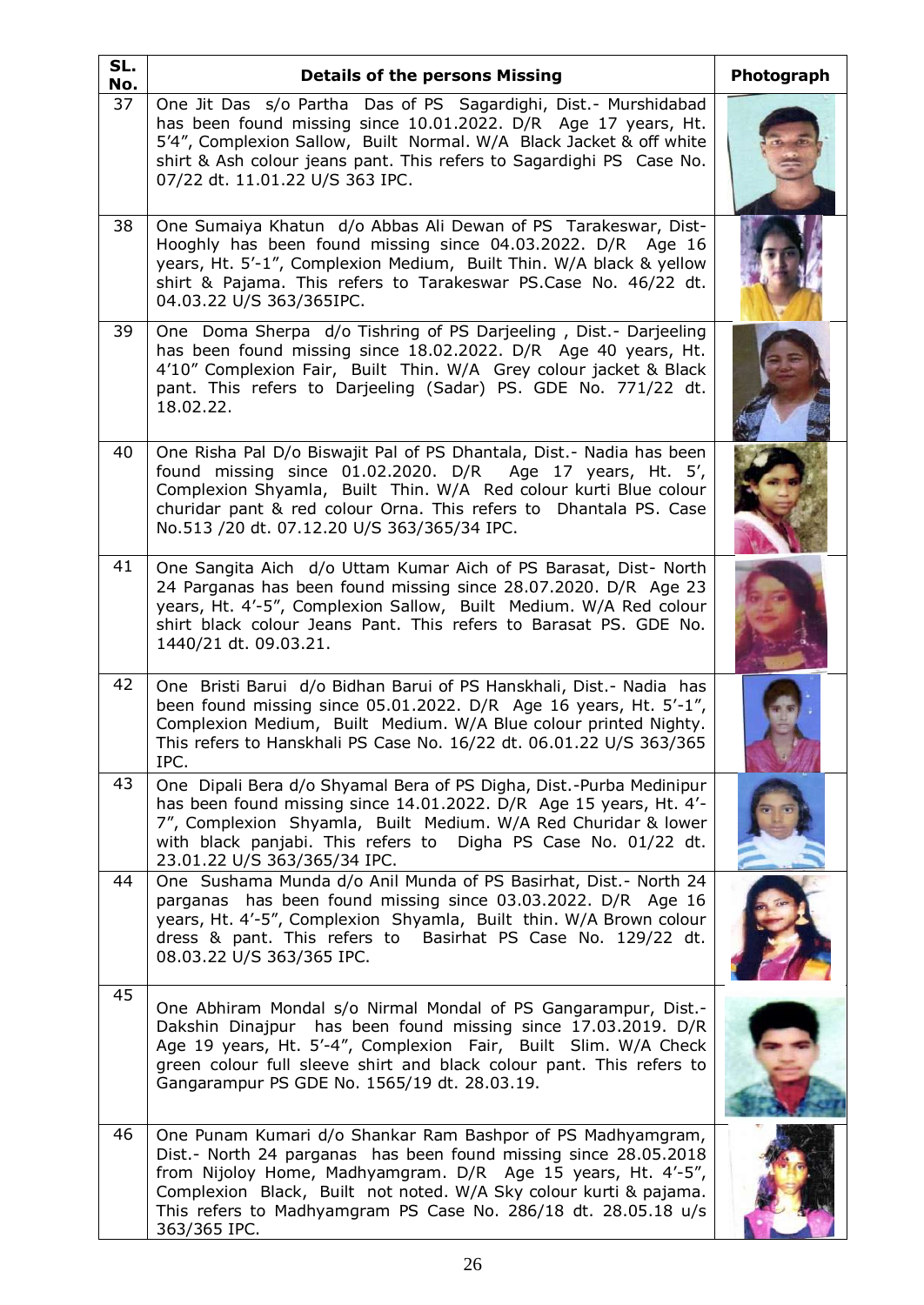| SL.<br>No. | <b>Details of the persons Missing</b>                                                                                                                                                                                                                                                                                                                  | Photograph |
|------------|--------------------------------------------------------------------------------------------------------------------------------------------------------------------------------------------------------------------------------------------------------------------------------------------------------------------------------------------------------|------------|
| 37         | One Jit Das s/o Partha Das of PS Sagardighi, Dist.- Murshidabad<br>has been found missing since 10.01.2022. D/R Age 17 years, Ht.<br>5'4", Complexion Sallow, Built Normal. W/A Black Jacket & off white<br>shirt & Ash colour jeans pant. This refers to Sagardighi PS Case No.<br>07/22 dt. 11.01.22 U/S 363 IPC.                                    |            |
| 38         | One Sumaiya Khatun d/o Abbas Ali Dewan of PS Tarakeswar, Dist-<br>Hooghly has been found missing since 04.03.2022. D/R Age 16<br>years, Ht. 5'-1", Complexion Medium, Built Thin. W/A black & yellow<br>shirt & Pajama. This refers to Tarakeswar PS.Case No. 46/22 dt.<br>04.03.22 U/S 363/365IPC.                                                    |            |
| 39         | One Doma Sherpa d/o Tishring of PS Darjeeling, Dist.- Darjeeling<br>has been found missing since 18.02.2022. D/R Age 40 years, Ht.<br>4'10" Complexion Fair, Built Thin. W/A Grey colour jacket & Black<br>pant. This refers to Darjeeling (Sadar) PS. GDE No. 771/22 dt.<br>18.02.22.                                                                 |            |
| 40         | One Risha Pal D/o Biswajit Pal of PS Dhantala, Dist.- Nadia has been<br>found missing since 01.02.2020. D/R Age 17 years, Ht. 5',<br>Complexion Shyamla, Built Thin. W/A Red colour kurti Blue colour<br>churidar pant & red colour Orna. This refers to Dhantala PS. Case<br>No.513 /20 dt. 07.12.20 U/S 363/365/34 IPC.                              |            |
| 41         | One Sangita Aich d/o Uttam Kumar Aich of PS Barasat, Dist- North<br>24 Parganas has been found missing since 28.07.2020. D/R Age 23<br>years, Ht. 4'-5", Complexion Sallow, Built Medium. W/A Red colour<br>shirt black colour Jeans Pant. This refers to Barasat PS. GDE No.<br>1440/21 dt. 09.03.21.                                                 |            |
| 42         | One Bristi Barui d/o Bidhan Barui of PS Hanskhali, Dist.- Nadia has<br>been found missing since 05.01.2022. D/R Age 16 years, Ht. 5'-1",<br>Complexion Medium, Built Medium. W/A Blue colour printed Nighty.<br>This refers to Hanskhali PS Case No. 16/22 dt. 06.01.22 U/S 363/365<br>IPC.                                                            |            |
| 43         | One Dipali Bera d/o Shyamal Bera of PS Digha, Dist.-Purba Medinipur<br>has been found missing since 14.01.2022. D/R Age 15 years, Ht. 4'-<br>7", Complexion Shyamla, Built Medium. W/A Red Churidar & lower<br>with black panjabi. This refers to Digha PS Case No. 01/22 dt.<br>23.01.22 U/S 363/365/34 IPC.                                          |            |
| 44         | One Sushama Munda d/o Anil Munda of PS Basirhat, Dist. - North 24<br>parganas has been found missing since 03.03.2022. D/R Age 16<br>years, Ht. 4'-5", Complexion Shyamla, Built thin. W/A Brown colour<br>dress & pant. This refers to Basirhat PS Case No. 129/22 dt.<br>08.03.22 U/S 363/365 IPC.                                                   |            |
| 45         | One Abhiram Mondal s/o Nirmal Mondal of PS Gangarampur, Dist.-<br>Dakshin Dinajpur has been found missing since 17.03.2019. D/R<br>Age 19 years, Ht. 5'-4", Complexion Fair, Built Slim. W/A Check<br>green colour full sleeve shirt and black colour pant. This refers to<br>Gangarampur PS GDE No. 1565/19 dt. 28.03.19.                             |            |
| 46         | One Punam Kumari d/o Shankar Ram Bashpor of PS Madhyamgram,<br>Dist.- North 24 parganas has been found missing since 28.05.2018<br>from Nijoloy Home, Madhyamgram. D/R Age 15 years, Ht. 4'-5",<br>Complexion Black, Built not noted. W/A Sky colour kurti & pajama.<br>This refers to Madhyamgram PS Case No. 286/18 dt. 28.05.18 u/s<br>363/365 IPC. |            |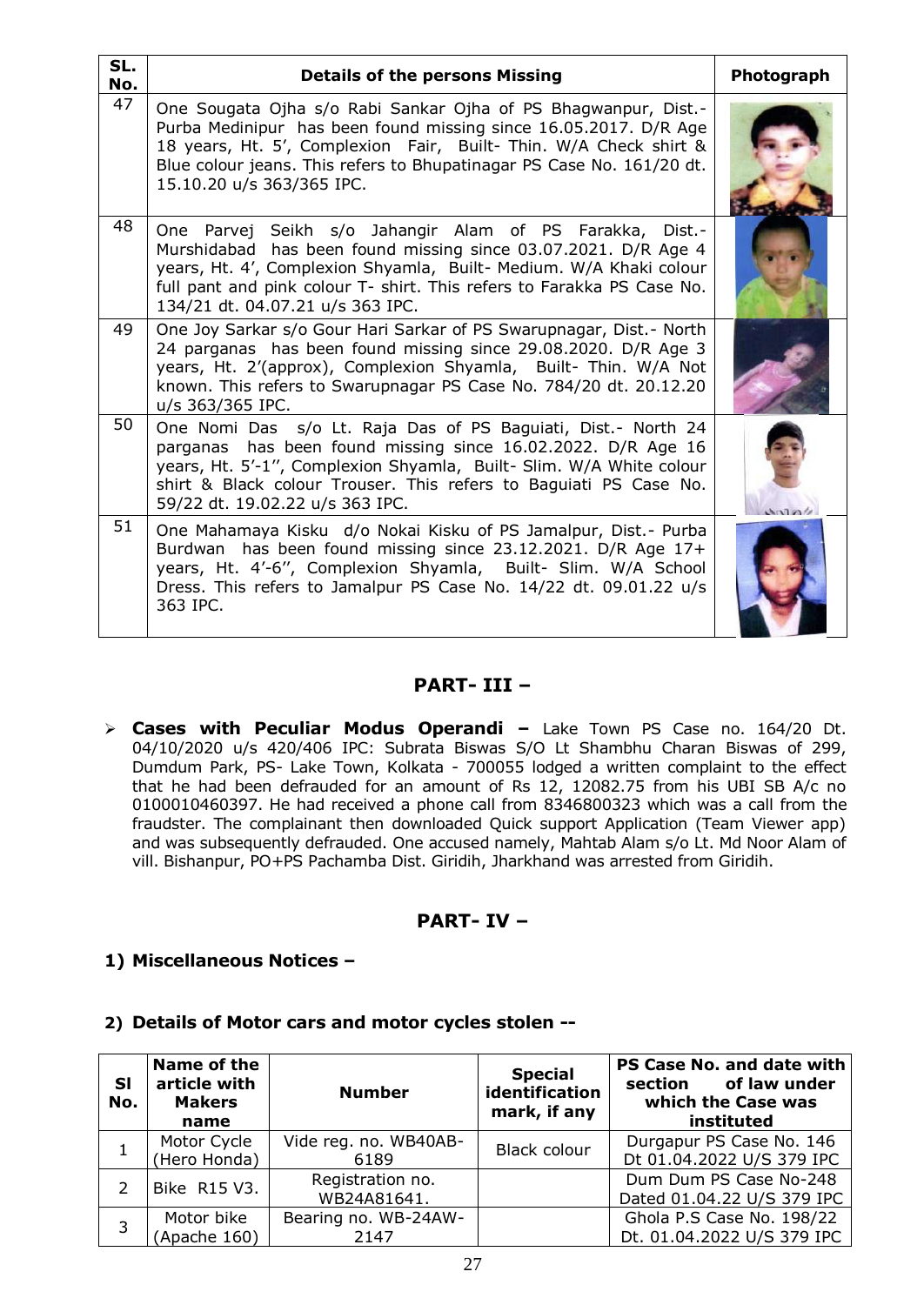| SL.<br>No. | <b>Details of the persons Missing</b>                                                                                                                                                                                                                                                                          | Photograph |
|------------|----------------------------------------------------------------------------------------------------------------------------------------------------------------------------------------------------------------------------------------------------------------------------------------------------------------|------------|
| 47         | One Sougata Ojha s/o Rabi Sankar Ojha of PS Bhagwanpur, Dist.-<br>Purba Medinipur has been found missing since 16.05.2017. D/R Age<br>18 years, Ht. 5', Complexion Fair, Built- Thin. W/A Check shirt &<br>Blue colour jeans. This refers to Bhupatinagar PS Case No. 161/20 dt.<br>15.10.20 u/s 363/365 IPC.  |            |
| 48         | One Parvej Seikh s/o Jahangir Alam of PS Farakka, Dist.-<br>Murshidabad has been found missing since 03.07.2021. D/R Age 4<br>years, Ht. 4', Complexion Shyamla, Built- Medium. W/A Khaki colour<br>full pant and pink colour T- shirt. This refers to Farakka PS Case No.<br>134/21 dt. 04.07.21 u/s 363 IPC. |            |
| 49         | One Joy Sarkar s/o Gour Hari Sarkar of PS Swarupnagar, Dist. - North<br>24 parganas has been found missing since 29.08.2020. D/R Age 3<br>years, Ht. 2'(approx), Complexion Shyamla, Built- Thin. W/A Not<br>known. This refers to Swarupnagar PS Case No. 784/20 dt. 20.12.20<br>u/s 363/365 IPC.             |            |
| 50         | One Nomi Das s/o Lt. Raja Das of PS Baguiati, Dist. - North 24<br>parganas has been found missing since 16.02.2022. D/R Age 16<br>years, Ht. 5'-1", Complexion Shyamla, Built- Slim. W/A White colour<br>shirt & Black colour Trouser. This refers to Baguiati PS Case No.<br>59/22 dt. 19.02.22 u/s 363 IPC.  |            |
| 51         | One Mahamaya Kisku d/o Nokai Kisku of PS Jamalpur, Dist. - Purba<br>Burdwan has been found missing since 23.12.2021. D/R Age 17+<br>years, Ht. 4'-6", Complexion Shyamla, Built- Slim. W/A School<br>Dress. This refers to Jamalpur PS Case No. 14/22 dt. 09.01.22 u/s<br>363 IPC.                             |            |

### **PART- III –**

 **Cases with Peculiar Modus Operandi –** Lake Town PS Case no. 164/20 Dt. 04/10/2020 u/s 420/406 IPC: Subrata Biswas S/O Lt Shambhu Charan Biswas of 299, Dumdum Park, PS- Lake Town, Kolkata - 700055 lodged a written complaint to the effect that he had been defrauded for an amount of Rs 12, 12082.75 from his UBI SB A/c no 0100010460397. He had received a phone call from 8346800323 which was a call from the fraudster. The complainant then downloaded Quick support Application (Team Viewer app) and was subsequently defrauded. One accused namely, Mahtab Alam s/o Lt. Md Noor Alam of vill. Bishanpur, PO+PS Pachamba Dist. Giridih, Jharkhand was arrested from Giridih.

### **PART- IV –**

**1) Miscellaneous Notices –**

| <b>SI</b><br>No. | Name of the<br>article with<br><b>Makers</b><br>name | <b>Number</b>                   | <b>Special</b><br>identification<br>mark, if any | PS Case No. and date with<br>section of law under<br>which the Case was<br>instituted |
|------------------|------------------------------------------------------|---------------------------------|--------------------------------------------------|---------------------------------------------------------------------------------------|
|                  | Motor Cycle<br>(Hero Honda)                          | Vide reg. no. WB40AB-<br>6189   | <b>Black colour</b>                              | Durgapur PS Case No. 146<br>Dt 01.04.2022 U/S 379 IPC                                 |
|                  | Bike R15 V3.                                         | Registration no.<br>WB24A81641. |                                                  | Dum Dum PS Case No-248<br>Dated 01.04.22 U/S 379 IPC                                  |
| 3                | Motor bike<br>(Apache 160)                           | Bearing no. WB-24AW-<br>2147    |                                                  | Ghola P.S Case No. 198/22<br>Dt. 01.04.2022 U/S 379 IPC                               |

### **2) Details of Motor cars and motor cycles stolen --**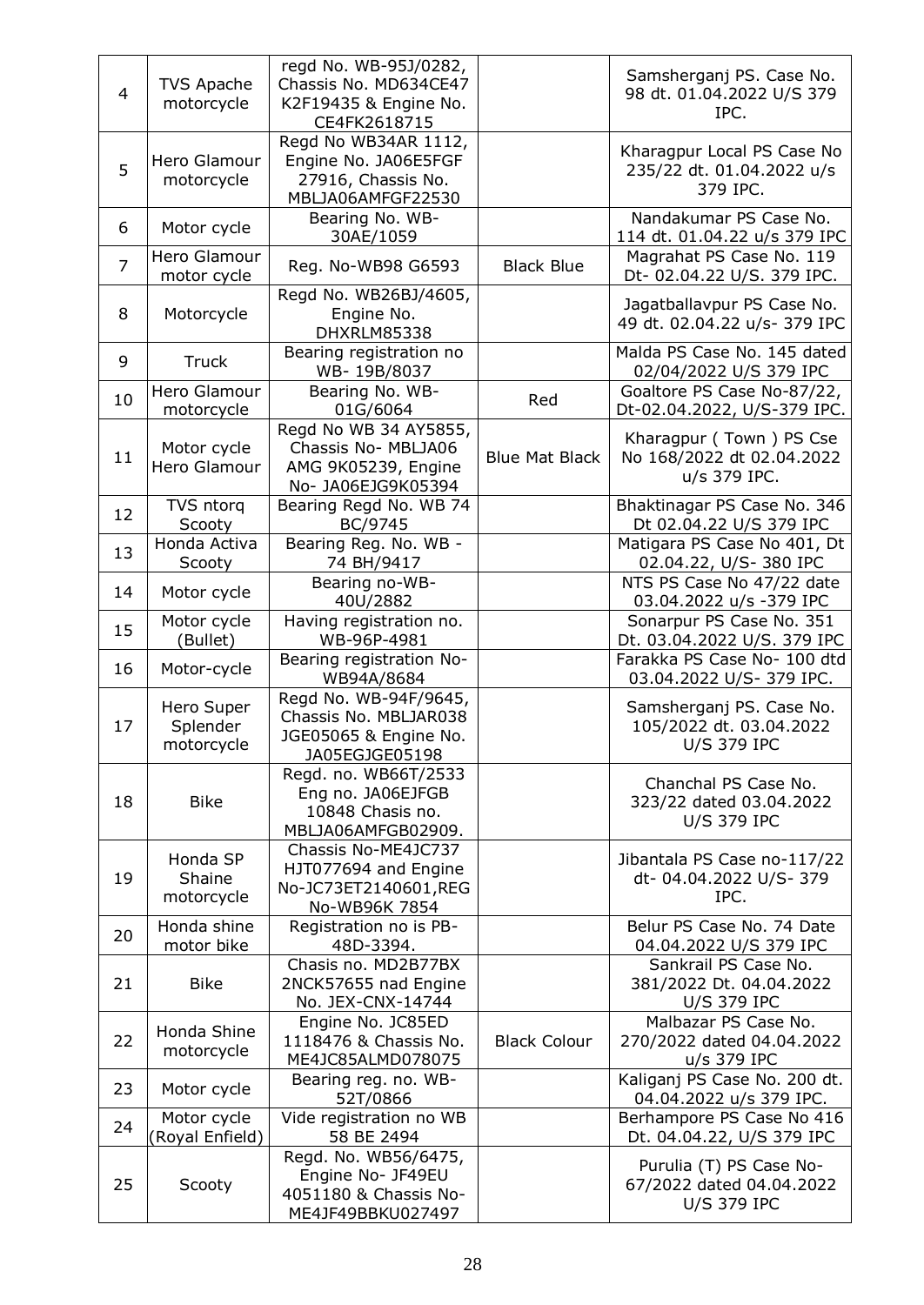| 4              | <b>TVS Apache</b><br>motorcycle      | regd No. WB-95J/0282,<br>Chassis No. MD634CE47<br>K2F19435 & Engine No.<br>CE4FK2618715   |                       | Samsherganj PS. Case No.<br>98 dt. 01.04.2022 U/S 379<br>IPC.             |
|----------------|--------------------------------------|-------------------------------------------------------------------------------------------|-----------------------|---------------------------------------------------------------------------|
| 5              | Hero Glamour<br>motorcycle           | Regd No WB34AR 1112,<br>Engine No. JA06E5FGF<br>27916, Chassis No.<br>MBLJA06AMFGF22530   |                       | Kharagpur Local PS Case No<br>235/22 dt. 01.04.2022 u/s<br>379 IPC.       |
| 6              | Motor cycle                          | Bearing No. WB-<br>30AE/1059                                                              |                       | Nandakumar PS Case No.<br>114 dt. 01.04.22 u/s 379 IPC                    |
| $\overline{7}$ | Hero Glamour<br>motor cycle          | Reg. No-WB98 G6593                                                                        | <b>Black Blue</b>     | Magrahat PS Case No. 119<br>Dt- 02.04.22 U/S. 379 IPC.                    |
| 8              | Motorcycle                           | Regd No. WB26BJ/4605,<br>Engine No.<br>DHXRLM85338                                        |                       | Jagatballavpur PS Case No.<br>49 dt. 02.04.22 u/s- 379 IPC                |
| 9              | Truck                                | Bearing registration no<br>WB-19B/8037                                                    |                       | Malda PS Case No. 145 dated<br>02/04/2022 U/S 379 IPC                     |
| 10             | Hero Glamour<br>motorcycle           | Bearing No. WB-<br>01G/6064                                                               | Red                   | Goaltore PS Case No-87/22,<br>Dt-02.04.2022, U/S-379 IPC.                 |
| 11             | Motor cycle<br>Hero Glamour          | Regd No WB 34 AY5855,<br>Chassis No- MBLJA06<br>AMG 9K05239, Engine<br>No- JA06EJG9K05394 | <b>Blue Mat Black</b> | Kharagpur (Town) PS Cse<br>No 168/2022 dt 02.04.2022<br>u/s 379 IPC.      |
| 12             | TVS ntorq<br>Scooty                  | Bearing Regd No. WB 74<br>BC/9745                                                         |                       | Bhaktinagar PS Case No. 346<br>Dt 02.04.22 U/S 379 IPC                    |
| 13             | Honda Activa<br>Scooty               | Bearing Reg. No. WB -<br>74 BH/9417                                                       |                       | Matigara PS Case No 401, Dt<br>02.04.22, U/S-380 IPC                      |
| 14             | Motor cycle                          | Bearing no-WB-<br>40U/2882                                                                |                       | NTS PS Case No 47/22 date<br>03.04.2022 u/s -379 IPC                      |
| 15             | Motor cycle<br>(Bullet)              | Having registration no.<br>WB-96P-4981                                                    |                       | Sonarpur PS Case No. 351<br>Dt. 03.04.2022 U/S. 379 IPC                   |
| 16             | Motor-cycle                          | Bearing registration No-<br>WB94A/8684                                                    |                       | Farakka PS Case No- 100 dtd<br>03.04.2022 U/S- 379 IPC.                   |
| 17             | Hero Super<br>Splender<br>motorcycle | Regd No. WB-94F/9645,<br>Chassis No. MBLJAR038<br>JGE05065 & Engine No.<br>JA05EGJGE05198 |                       | Samsherganj PS. Case No.<br>105/2022 dt. 03.04.2022<br><b>U/S 379 IPC</b> |
| 18             | <b>Bike</b>                          | Regd. no. WB66T/2533<br>Eng no. JA06EJFGB<br>10848 Chasis no.<br>MBLJA06AMFGB02909.       |                       | Chanchal PS Case No.<br>323/22 dated 03.04.2022<br><b>U/S 379 IPC</b>     |
| 19             | Honda SP<br>Shaine<br>motorcycle     | Chassis No-ME4JC737<br>HJT077694 and Engine<br>No-JC73ET2140601, REG<br>No-WB96K 7854     |                       | Jibantala PS Case no-117/22<br>dt-04.04.2022 U/S-379<br>IPC.              |
| 20             | Honda shine<br>motor bike            | Registration no is PB-<br>48D-3394.                                                       |                       | Belur PS Case No. 74 Date<br>04.04.2022 U/S 379 IPC                       |
| 21             | <b>Bike</b>                          | Chasis no. MD2B77BX<br>2NCK57655 nad Engine<br>No. JEX-CNX-14744                          |                       | Sankrail PS Case No.<br>381/2022 Dt. 04.04.2022<br><b>U/S 379 IPC</b>     |
| 22             | Honda Shine<br>motorcycle            | Engine No. JC85ED<br>1118476 & Chassis No.<br>ME4JC85ALMD078075                           | <b>Black Colour</b>   | Malbazar PS Case No.<br>270/2022 dated 04.04.2022<br>u/s 379 IPC          |
| 23             | Motor cycle                          | Bearing reg. no. WB-<br>52T/0866                                                          |                       | Kaliganj PS Case No. 200 dt.<br>04.04.2022 u/s 379 IPC.                   |
| 24             | Motor cycle<br>(Royal Enfield)       | Vide registration no WB<br>58 BE 2494                                                     |                       | Berhampore PS Case No 416<br>Dt. 04.04.22, U/S 379 IPC                    |
| 25             | Scooty                               | Regd. No. WB56/6475,<br>Engine No- JF49EU<br>4051180 & Chassis No-<br>ME4JF49BBKU027497   |                       | Purulia (T) PS Case No-<br>67/2022 dated 04.04.2022<br><b>U/S 379 IPC</b> |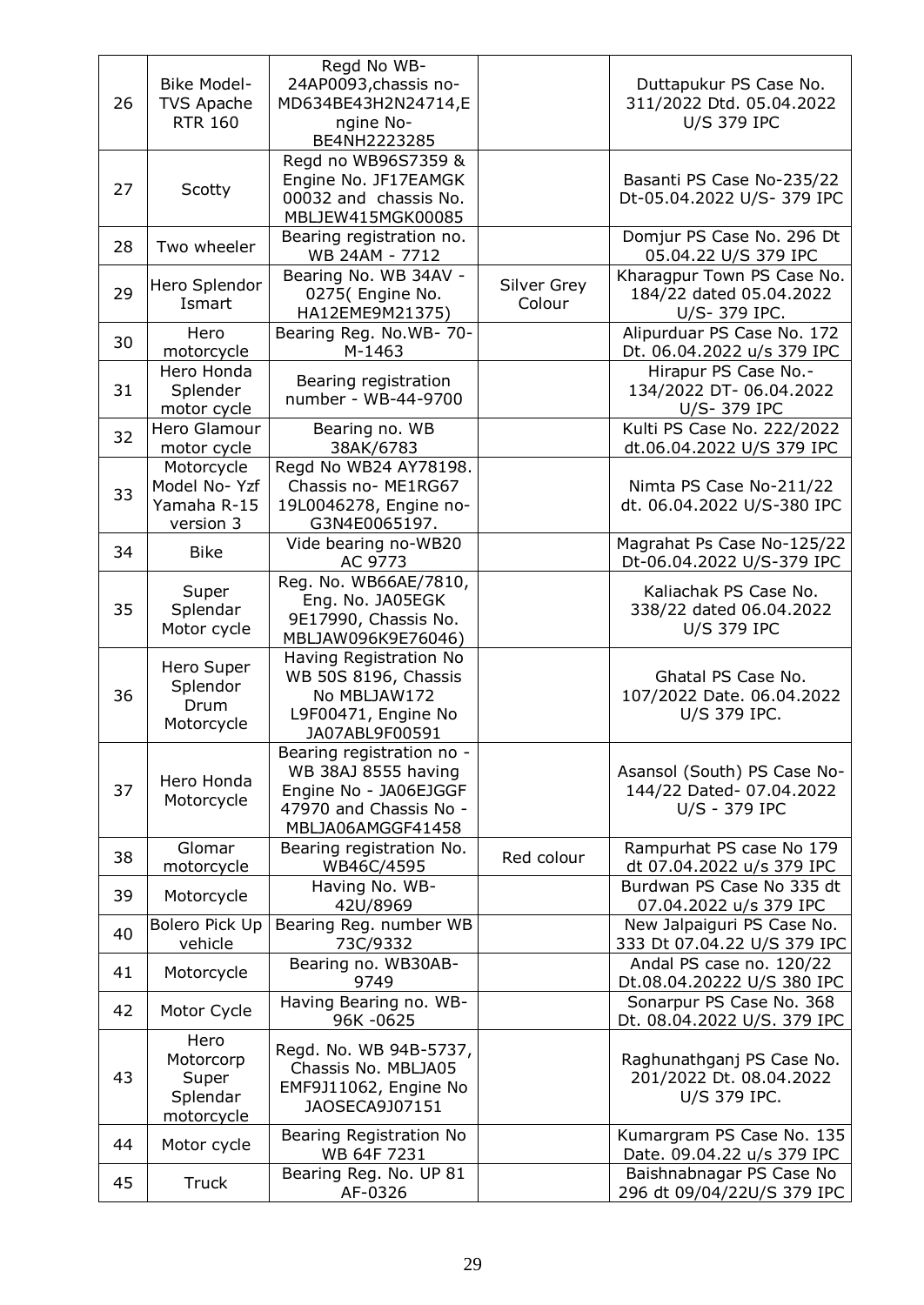| 26 | <b>Bike Model-</b><br><b>TVS Apache</b><br><b>RTR 160</b> | Regd No WB-<br>24AP0093, chassis no-<br>MD634BE43H2N24714,E<br>ngine No-<br>BE4NH2223285                                 |                       | Duttapukur PS Case No.<br>311/2022 Dtd. 05.04.2022<br><b>U/S 379 IPC</b> |
|----|-----------------------------------------------------------|--------------------------------------------------------------------------------------------------------------------------|-----------------------|--------------------------------------------------------------------------|
| 27 | Scotty                                                    | Regd no WB96S7359 &<br>Engine No. JF17EAMGK<br>00032 and chassis No.<br>MBLJEW415MGK00085                                |                       | Basanti PS Case No-235/22<br>Dt-05.04.2022 U/S-379 IPC                   |
| 28 | Two wheeler                                               | Bearing registration no.<br>WB 24AM - 7712                                                                               |                       | Domjur PS Case No. 296 Dt<br>05.04.22 U/S 379 IPC                        |
| 29 | Hero Splendor<br>Ismart                                   | Bearing No. WB 34AV -<br>0275( Engine No.<br>HA12EME9M21375)                                                             | Silver Grey<br>Colour | Kharagpur Town PS Case No.<br>184/22 dated 05.04.2022<br>U/S-379 IPC.    |
| 30 | Hero<br>motorcycle                                        | Bearing Reg. No.WB- 70-<br>M-1463                                                                                        |                       | Alipurduar PS Case No. 172<br>Dt. 06.04.2022 u/s 379 IPC                 |
| 31 | Hero Honda<br>Splender<br>motor cycle                     | Bearing registration<br>number - WB-44-9700                                                                              |                       | Hirapur PS Case No.-<br>134/2022 DT-06.04.2022<br>U/S-379 IPC            |
| 32 | Hero Glamour<br>motor cycle                               | Bearing no. WB<br>38AK/6783                                                                                              |                       | Kulti PS Case No. 222/2022<br>dt.06.04.2022 U/S 379 IPC                  |
| 33 | Motorcycle<br>Model No-Yzf<br>Yamaha R-15<br>version 3    | Regd No WB24 AY78198.<br>Chassis no- ME1RG67<br>19L0046278, Engine no-<br>G3N4E0065197.                                  |                       | Nimta PS Case No-211/22<br>dt. 06.04.2022 U/S-380 IPC                    |
| 34 | <b>Bike</b>                                               | Vide bearing no-WB20<br>AC 9773                                                                                          |                       | Magrahat Ps Case No-125/22<br>Dt-06.04.2022 U/S-379 IPC                  |
| 35 | Super<br>Splendar<br>Motor cycle                          | Reg. No. WB66AE/7810,<br>Eng. No. JA05EGK<br>9E17990, Chassis No.<br>MBLJAW096K9E76046)                                  |                       | Kaliachak PS Case No.<br>338/22 dated 06.04.2022<br><b>U/S 379 IPC</b>   |
| 36 | Hero Super<br>Splendor<br>Drum<br>Motorcycle              | Having Registration No<br>WB 50S 8196, Chassis<br>No MBLJAW172<br>L9F00471, Engine No<br>JA07ABL9F00591                  |                       | Ghatal PS Case No.<br>107/2022 Date. 06.04.2022<br>U/S 379 IPC.          |
| 37 | Hero Honda<br>Motorcycle                                  | Bearing registration no -<br>WB 38AJ 8555 having<br>Engine No - JA06EJGGF<br>47970 and Chassis No -<br>MBLJA06AMGGF41458 |                       | Asansol (South) PS Case No-<br>144/22 Dated- 07.04.2022<br>U/S - 379 IPC |
| 38 | Glomar<br>motorcycle                                      | Bearing registration No.<br>WB46C/4595                                                                                   | Red colour            | Rampurhat PS case No 179<br>dt 07.04.2022 u/s 379 IPC                    |
| 39 | Motorcycle                                                | Having No. WB-<br>42U/8969                                                                                               |                       | Burdwan PS Case No 335 dt<br>07.04.2022 u/s 379 IPC                      |
| 40 | Bolero Pick Up<br>vehicle                                 | Bearing Reg. number WB<br>73C/9332                                                                                       |                       | New Jalpaiguri PS Case No.<br>333 Dt 07.04.22 U/S 379 IPC                |
| 41 | Motorcycle                                                | Bearing no. WB30AB-<br>9749                                                                                              |                       | Andal PS case no. 120/22<br>Dt.08.04.20222 U/S 380 IPC                   |
| 42 | Motor Cycle                                               | Having Bearing no. WB-<br>96K-0625                                                                                       |                       | Sonarpur PS Case No. 368<br>Dt. 08.04.2022 U/S. 379 IPC                  |
| 43 | Hero<br>Motorcorp<br>Super<br>Splendar<br>motorcycle      | Regd. No. WB 94B-5737,<br>Chassis No. MBLJA05<br>EMF9J11062, Engine No<br>JAOSECA9J07151                                 |                       | Raghunathganj PS Case No.<br>201/2022 Dt. 08.04.2022<br>U/S 379 IPC.     |
| 44 | Motor cycle                                               | Bearing Registration No<br>WB 64F 7231                                                                                   |                       | Kumargram PS Case No. 135<br>Date. 09.04.22 u/s 379 IPC                  |
| 45 | <b>Truck</b>                                              | Bearing Reg. No. UP 81<br>AF-0326                                                                                        |                       | Baishnabnagar PS Case No<br>296 dt 09/04/22U/S 379 IPC                   |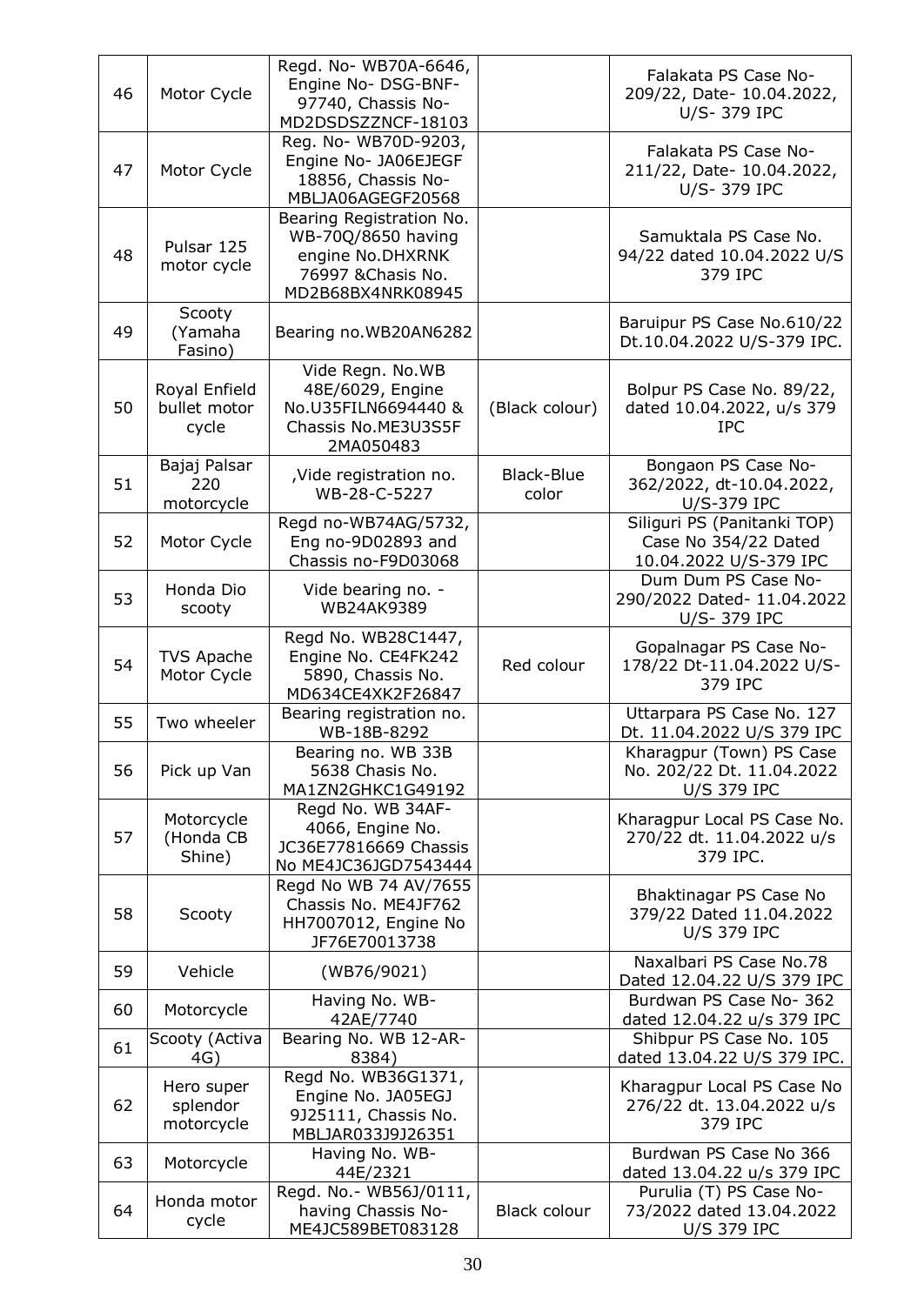| 46 | Motor Cycle                            | Regd. No- WB70A-6646,<br>Engine No- DSG-BNF-<br>97740, Chassis No-<br>MD2DSDSZZNCF-18103                      |                     | Falakata PS Case No-<br>209/22, Date- 10.04.2022,<br>U/S-379 IPC              |
|----|----------------------------------------|---------------------------------------------------------------------------------------------------------------|---------------------|-------------------------------------------------------------------------------|
| 47 | Motor Cycle                            | Reg. No- WB70D-9203,<br>Engine No- JA06EJEGF<br>18856, Chassis No-<br>MBLJA06AGEGF20568                       |                     | Falakata PS Case No-<br>211/22, Date- 10.04.2022,<br>U/S-379 IPC              |
| 48 | Pulsar 125<br>motor cycle              | Bearing Registration No.<br>WB-70Q/8650 having<br>engine No.DHXRNK<br>76997 & Chasis No.<br>MD2B68BX4NRK08945 |                     | Samuktala PS Case No.<br>94/22 dated 10.04.2022 U/S<br>379 IPC                |
| 49 | Scooty<br>(Yamaha<br>Fasino)           | Bearing no.WB20AN6282                                                                                         |                     | Baruipur PS Case No.610/22<br>Dt.10.04.2022 U/S-379 IPC.                      |
| 50 | Royal Enfield<br>bullet motor<br>cycle | Vide Regn. No.WB<br>48E/6029, Engine<br>No.U35FILN6694440 &<br>Chassis No.ME3U3S5F<br>2MA050483               | (Black colour)      | Bolpur PS Case No. 89/22,<br>dated 10.04.2022, u/s 379<br><b>IPC</b>          |
| 51 | Bajaj Palsar<br>220<br>motorcycle      | ,Vide registration no.<br>WB-28-C-5227                                                                        | Black-Blue<br>color | Bongaon PS Case No-<br>362/2022, dt-10.04.2022,<br>U/S-379 IPC                |
| 52 | Motor Cycle                            | Regd no-WB74AG/5732,<br>Eng no-9D02893 and<br>Chassis no-F9D03068                                             |                     | Siliguri PS (Panitanki TOP)<br>Case No 354/22 Dated<br>10.04.2022 U/S-379 IPC |
| 53 | Honda Dio<br>scooty                    | Vide bearing no. -<br>WB24AK9389                                                                              |                     | Dum Dum PS Case No-<br>290/2022 Dated- 11.04.2022<br>U/S-379 IPC              |
| 54 | <b>TVS Apache</b><br>Motor Cycle       | Regd No. WB28C1447,<br>Engine No. CE4FK242<br>5890, Chassis No.<br>MD634CE4XK2F26847                          | Red colour          | Gopalnagar PS Case No-<br>178/22 Dt-11.04.2022 U/S-<br>379 IPC                |
| 55 | Two wheeler                            | Bearing registration no.<br>WB-18B-8292                                                                       |                     | Uttarpara PS Case No. 127<br>Dt. 11.04.2022 U/S 379 IPC                       |
| 56 | Pick up Van                            | Bearing no. WB 33B<br>5638 Chasis No.<br>MA1ZN2GHKC1G49192                                                    |                     | Kharagpur (Town) PS Case<br>No. 202/22 Dt. 11.04.2022<br><b>U/S 379 IPC</b>   |
| 57 | Motorcycle<br>(Honda CB<br>Shine)      | Regd No. WB 34AF-<br>4066, Engine No.<br>JC36E77816669 Chassis<br>No ME4JC36JGD7543444                        |                     | Kharagpur Local PS Case No.<br>270/22 dt. 11.04.2022 u/s<br>379 IPC.          |
| 58 | Scooty                                 | Regd No WB 74 AV/7655<br>Chassis No. ME4JF762<br>HH7007012, Engine No<br>JF76E70013738                        |                     | Bhaktinagar PS Case No<br>379/22 Dated 11.04.2022<br><b>U/S 379 IPC</b>       |
| 59 | Vehicle                                | (WB76/9021)                                                                                                   |                     | Naxalbari PS Case No.78<br>Dated 12.04.22 U/S 379 IPC                         |
| 60 | Motorcycle                             | Having No. WB-<br>42AE/7740                                                                                   |                     | Burdwan PS Case No- 362<br>dated 12.04.22 u/s 379 IPC                         |
| 61 | Scooty (Activa<br>4G)                  | Bearing No. WB 12-AR-<br>8384)                                                                                |                     | Shibpur PS Case No. 105<br>dated 13.04.22 U/S 379 IPC.                        |
| 62 | Hero super<br>splendor<br>motorcycle   | Regd No. WB36G1371,<br>Engine No. JA05EGJ<br>9J25111, Chassis No.<br>MBLJAR033J9J26351                        |                     | Kharagpur Local PS Case No<br>276/22 dt. 13.04.2022 u/s<br>379 IPC            |
| 63 | Motorcycle                             | Having No. WB-<br>44E/2321                                                                                    |                     | Burdwan PS Case No 366<br>dated 13.04.22 u/s 379 IPC                          |
| 64 | Honda motor<br>cycle                   | Regd. No.- WB56J/0111,<br>having Chassis No-<br>ME4JC589BET083128                                             | Black colour        | Purulia (T) PS Case No-<br>73/2022 dated 13.04.2022<br><b>U/S 379 IPC</b>     |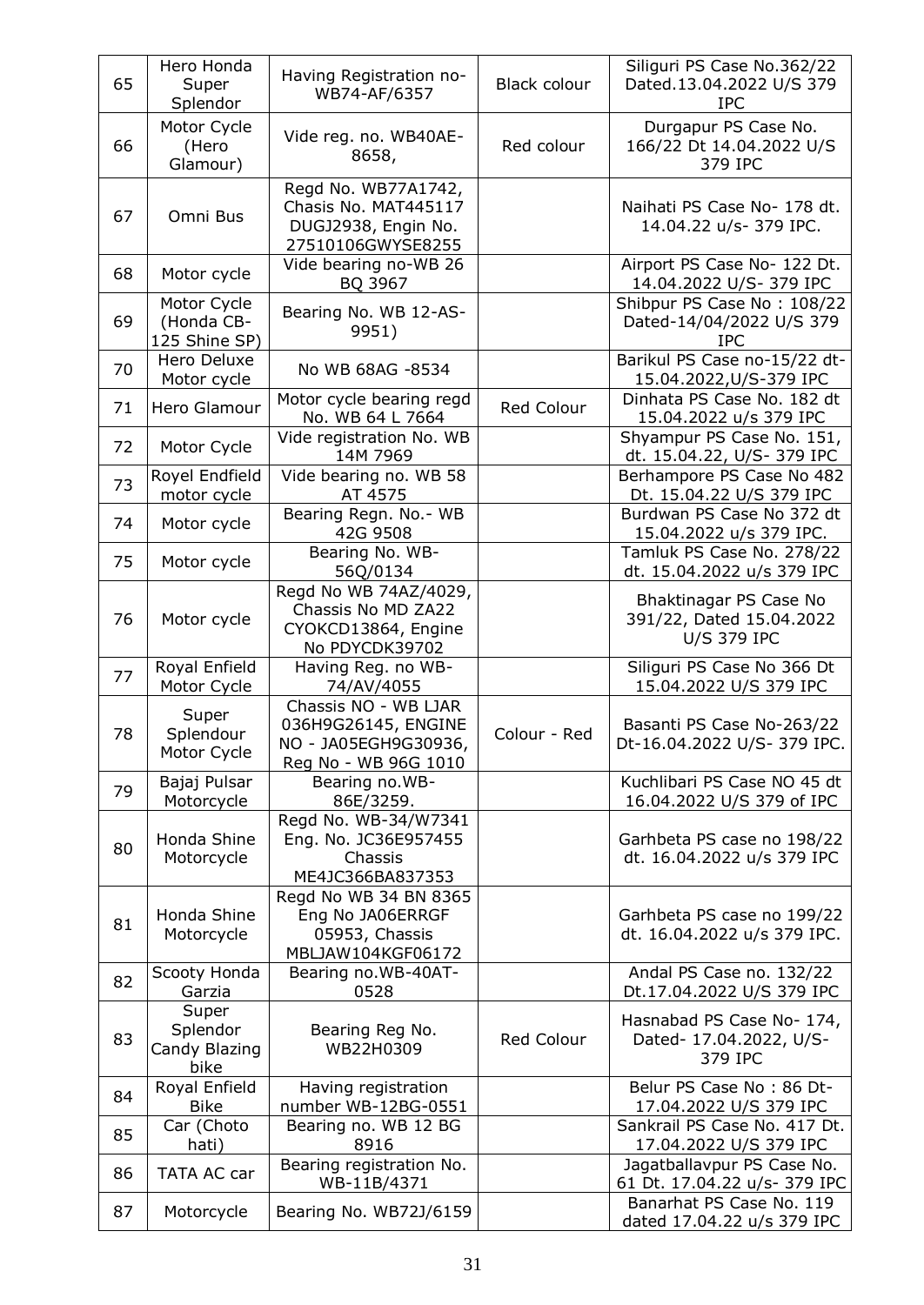| 65 | Hero Honda<br>Super<br>Splendor            | Having Registration no-<br>WB74-AF/6357                                                     | Black colour | Siliguri PS Case No.362/22<br>Dated.13.04.2022 U/S 379<br><b>IPC</b>     |
|----|--------------------------------------------|---------------------------------------------------------------------------------------------|--------------|--------------------------------------------------------------------------|
| 66 | Motor Cycle<br>(Hero<br>Glamour)           | Vide reg. no. WB40AE-<br>8658,                                                              | Red colour   | Durgapur PS Case No.<br>166/22 Dt 14.04.2022 U/S<br>379 IPC              |
| 67 | Omni Bus                                   | Regd No. WB77A1742,<br>Chasis No. MAT445117<br>DUGJ2938, Engin No.<br>27510106GWYSE8255     |              | Naihati PS Case No- 178 dt.<br>14.04.22 u/s- 379 IPC.                    |
| 68 | Motor cycle                                | Vide bearing no-WB 26<br>BQ 3967                                                            |              | Airport PS Case No- 122 Dt.<br>14.04.2022 U/S-379 IPC                    |
| 69 | Motor Cycle<br>(Honda CB-<br>125 Shine SP) | Bearing No. WB 12-AS-<br>9951)                                                              |              | Shibpur PS Case No: 108/22<br>Dated-14/04/2022 U/S 379<br><b>IPC</b>     |
| 70 | Hero Deluxe<br>Motor cycle                 | No WB 68AG -8534                                                                            |              | Barikul PS Case no-15/22 dt-<br>15.04.2022, U/S-379 IPC                  |
| 71 | Hero Glamour                               | Motor cycle bearing regd<br>No. WB 64 L 7664                                                | Red Colour   | Dinhata PS Case No. 182 dt<br>15.04.2022 u/s 379 IPC                     |
| 72 | Motor Cycle                                | Vide registration No. WB<br>14M 7969                                                        |              | Shyampur PS Case No. 151,<br>dt. 15.04.22, U/S- 379 IPC                  |
| 73 | Royel Endfield<br>motor cycle              | Vide bearing no. WB 58<br>AT 4575                                                           |              | Berhampore PS Case No 482<br>Dt. 15.04.22 U/S 379 IPC                    |
| 74 | Motor cycle                                | Bearing Regn. No.- WB<br>42G 9508                                                           |              | Burdwan PS Case No 372 dt<br>15.04.2022 u/s 379 IPC.                     |
| 75 | Motor cycle                                | Bearing No. WB-<br>56Q/0134                                                                 |              | Tamluk PS Case No. 278/22<br>dt. 15.04.2022 u/s 379 IPC                  |
| 76 | Motor cycle                                | Regd No WB 74AZ/4029,<br>Chassis No MD ZA22<br>CYOKCD13864, Engine<br>No PDYCDK39702        |              | Bhaktinagar PS Case No<br>391/22, Dated 15.04.2022<br><b>U/S 379 IPC</b> |
| 77 | Royal Enfield<br>Motor Cycle               | Having Reg. no WB-<br>74/AV/4055                                                            |              | Siliguri PS Case No 366 Dt<br>15.04.2022 U/S 379 IPC                     |
| 78 | Super<br>Splendour<br>Motor Cycle          | Chassis NO - WB LJAR<br>036H9G26145, ENGINE<br>NO - JA05EGH9G30936,<br>Reg No - WB 96G 1010 | Colour - Red | Basanti PS Case No-263/22<br>Dt-16.04.2022 U/S-379 IPC.                  |
| 79 | Bajaj Pulsar<br>Motorcycle                 | Bearing no.WB-<br>86E/3259.                                                                 |              | Kuchlibari PS Case NO 45 dt<br>16.04.2022 U/S 379 of IPC                 |
| 80 | Honda Shine<br>Motorcycle                  | Regd No. WB-34/W7341<br>Eng. No. JC36E957455<br>Chassis<br>ME4JC366BA837353                 |              | Garhbeta PS case no 198/22<br>dt. 16.04.2022 u/s 379 IPC                 |
| 81 | Honda Shine<br>Motorcycle                  | Regd No WB 34 BN 8365<br>Eng No JA06ERRGF<br>05953, Chassis<br>MBLJAW104KGF06172            |              | Garhbeta PS case no 199/22<br>dt. 16.04.2022 u/s 379 IPC.                |
| 82 | Scooty Honda<br>Garzia                     | Bearing no.WB-40AT-<br>0528                                                                 |              | Andal PS Case no. 132/22<br>Dt.17.04.2022 U/S 379 IPC                    |
| 83 | Super<br>Splendor<br>Candy Blazing<br>bike | Bearing Reg No.<br>WB22H0309                                                                | Red Colour   | Hasnabad PS Case No- 174,<br>Dated- 17.04.2022, U/S-<br>379 IPC          |
| 84 | Royal Enfield<br><b>Bike</b>               | Having registration<br>number WB-12BG-0551                                                  |              | Belur PS Case No: 86 Dt-<br>17.04.2022 U/S 379 IPC                       |
| 85 | Car (Choto<br>hati)                        | Bearing no. WB 12 BG<br>8916                                                                |              | Sankrail PS Case No. 417 Dt.<br>17.04.2022 U/S 379 IPC                   |
| 86 | TATA AC car                                | Bearing registration No.<br>WB-11B/4371                                                     |              | Jagatballavpur PS Case No.<br>61 Dt. 17.04.22 u/s- 379 IPC               |
| 87 | Motorcycle                                 | Bearing No. WB72J/6159                                                                      |              | Banarhat PS Case No. 119<br>dated 17.04.22 u/s 379 IPC                   |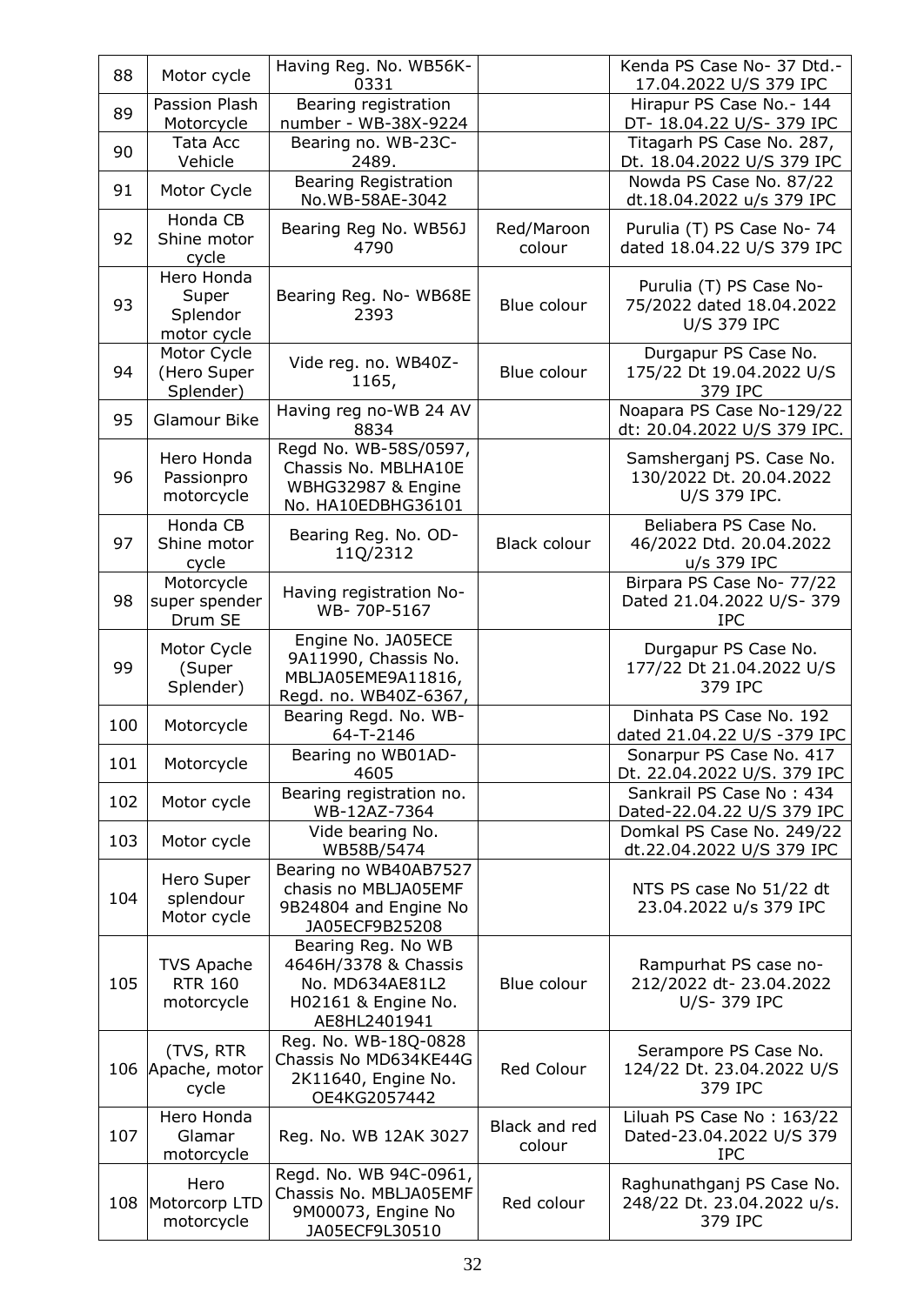| 88  | Motor cycle                                    | Having Reg. No. WB56K-<br>0331                                                                       |                         | Kenda PS Case No- 37 Dtd.-<br>17.04.2022 U/S 379 IPC                      |
|-----|------------------------------------------------|------------------------------------------------------------------------------------------------------|-------------------------|---------------------------------------------------------------------------|
| 89  | Passion Plash<br>Motorcycle                    | Bearing registration<br>number - WB-38X-9224                                                         |                         | Hirapur PS Case No.- 144<br>DT- 18.04.22 U/S- 379 IPC                     |
| 90  | Tata Acc<br>Vehicle                            | Bearing no. WB-23C-<br>2489.                                                                         |                         | Titagarh PS Case No. 287,<br>Dt. 18.04.2022 U/S 379 IPC                   |
| 91  | Motor Cycle                                    | <b>Bearing Registration</b><br>No.WB-58AE-3042                                                       |                         | Nowda PS Case No. 87/22<br>dt.18.04.2022 u/s 379 IPC                      |
| 92  | Honda CB<br>Shine motor<br>cycle               | Bearing Reg No. WB56J<br>4790                                                                        | Red/Maroon<br>colour    | Purulia (T) PS Case No- 74<br>dated 18.04.22 U/S 379 IPC                  |
| 93  | Hero Honda<br>Super<br>Splendor<br>motor cycle | Bearing Reg. No- WB68E<br>2393                                                                       | Blue colour             | Purulia (T) PS Case No-<br>75/2022 dated 18.04.2022<br><b>U/S 379 IPC</b> |
| 94  | Motor Cycle<br>(Hero Super<br>Splender)        | Vide reg. no. WB40Z-<br>1165,                                                                        | Blue colour             | Durgapur PS Case No.<br>175/22 Dt 19.04.2022 U/S<br>379 IPC               |
| 95  | Glamour Bike                                   | Having reg no-WB 24 AV<br>8834                                                                       |                         | Noapara PS Case No-129/22<br>dt: 20.04.2022 U/S 379 IPC.                  |
| 96  | Hero Honda<br>Passionpro<br>motorcycle         | Regd No. WB-58S/0597,<br>Chassis No. MBLHA10E<br>WBHG32987 & Engine<br>No. HA10EDBHG36101            |                         | Samsherganj PS. Case No.<br>130/2022 Dt. 20.04.2022<br>U/S 379 IPC.       |
| 97  | Honda CB<br>Shine motor<br>cycle               | Bearing Reg. No. OD-<br>11Q/2312                                                                     | Black colour            | Beliabera PS Case No.<br>46/2022 Dtd. 20.04.2022<br>u/s 379 IPC           |
| 98  | Motorcycle<br>super spender<br>Drum SE         | Having registration No-<br>WB-70P-5167                                                               |                         | Birpara PS Case No- 77/22<br>Dated 21.04.2022 U/S- 379<br><b>IPC</b>      |
| 99  | Motor Cycle<br>(Super<br>Splender)             | Engine No. JA05ECE<br>9A11990, Chassis No.<br>MBLJA05EME9A11816,<br>Regd. no. WB40Z-6367,            |                         | Durgapur PS Case No.<br>177/22 Dt 21.04.2022 U/S<br>379 IPC               |
| 100 | Motorcycle                                     | Bearing Regd. No. WB-<br>64-T-2146                                                                   |                         | Dinhata PS Case No. 192<br>dated 21.04.22 U/S -379 IPC                    |
| 101 | Motorcycle                                     | Bearing no WB01AD-<br>4605                                                                           |                         | Sonarpur PS Case No. 417<br>Dt. 22.04.2022 U/S. 379 IPC                   |
| 102 | Motor cycle                                    | Bearing registration no.<br>WB-12AZ-7364                                                             |                         | Sankrail PS Case No: 434<br>Dated-22.04.22 U/S 379 IPC                    |
| 103 | Motor cycle                                    | Vide bearing No.<br>WB58B/5474                                                                       |                         | Domkal PS Case No. 249/22<br>dt.22.04.2022 U/S 379 IPC                    |
| 104 | Hero Super<br>splendour<br>Motor cycle         | Bearing no WB40AB7527<br>chasis no MBLJA05EMF<br>9B24804 and Engine No<br>JA05ECF9B25208             |                         | NTS PS case No 51/22 dt<br>23.04.2022 u/s 379 IPC                         |
| 105 | TVS Apache<br><b>RTR 160</b><br>motorcycle     | Bearing Reg. No WB<br>4646H/3378 & Chassis<br>No. MD634AE81L2<br>H02161 & Engine No.<br>AE8HL2401941 | Blue colour             | Rampurhat PS case no-<br>212/2022 dt- 23.04.2022<br>U/S-379 IPC           |
| 106 | (TVS, RTR<br>Apache, motor<br>cycle            | Reg. No. WB-18Q-0828<br>Chassis No MD634KE44G<br>2K11640, Engine No.<br>OE4KG2057442                 | Red Colour              | Serampore PS Case No.<br>124/22 Dt. 23.04.2022 U/S<br>379 IPC             |
| 107 | Hero Honda<br>Glamar<br>motorcycle             | Reg. No. WB 12AK 3027                                                                                | Black and red<br>colour | Liluah PS Case No: 163/22<br>Dated-23.04.2022 U/S 379<br><b>IPC</b>       |
| 108 | Hero<br>Motorcorp LTD<br>motorcycle            | Regd. No. WB 94C-0961,<br>Chassis No. MBLJA05EMF<br>9M00073, Engine No<br>JA05ECF9L30510             | Red colour              | Raghunathganj PS Case No.<br>248/22 Dt. 23.04.2022 u/s.<br>379 IPC        |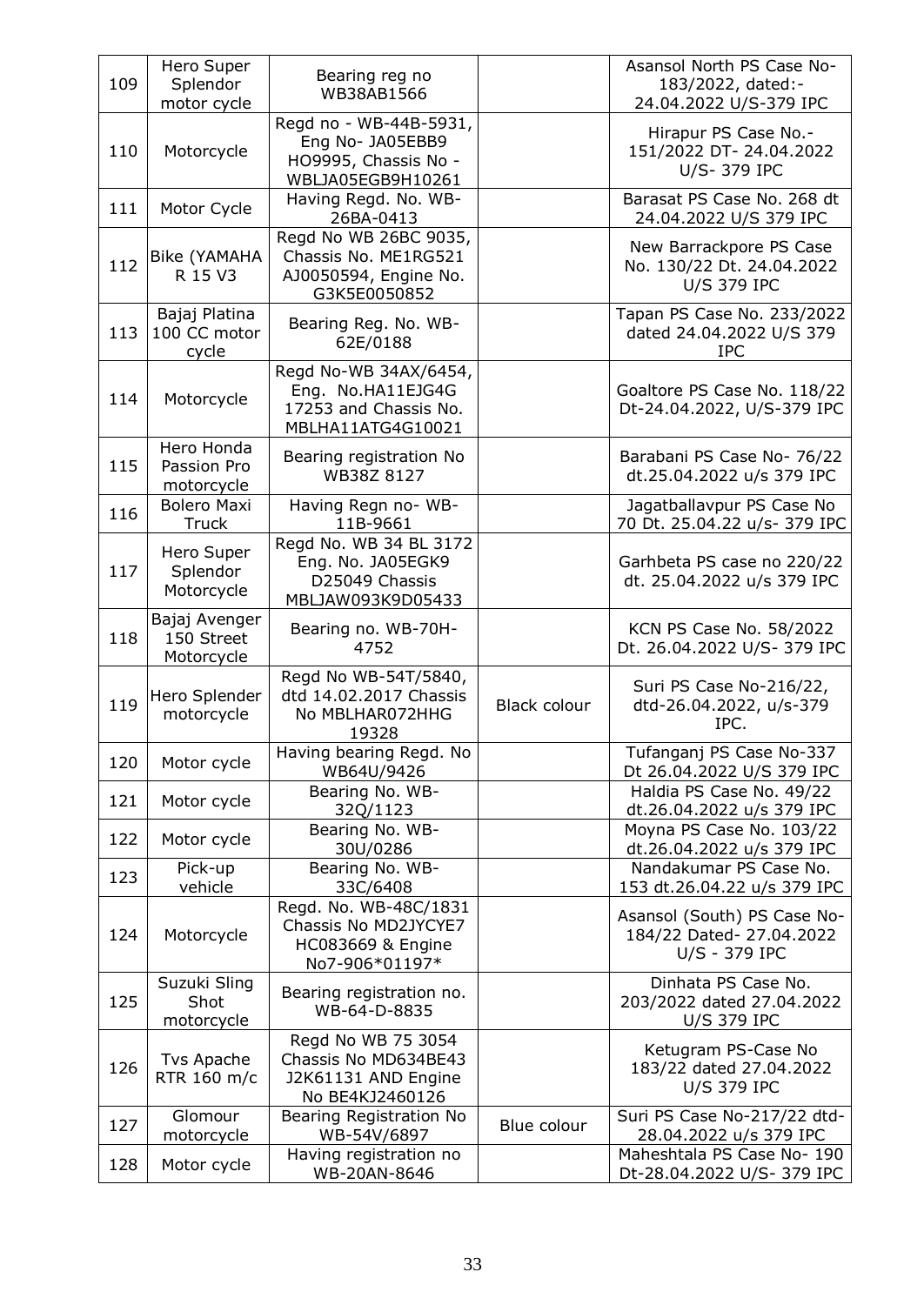| 109 | Hero Super<br>Splendor<br>motor cycle     | Bearing reg no<br>WB38AB1566                                                                    |                     | Asansol North PS Case No-<br>183/2022, dated:-<br>24.04.2022 U/S-379 IPC   |
|-----|-------------------------------------------|-------------------------------------------------------------------------------------------------|---------------------|----------------------------------------------------------------------------|
| 110 | Motorcycle                                | Regd no - WB-44B-5931,<br>Eng No- JA05EBB9<br>HO9995, Chassis No -<br>WBLJA05EGB9H10261         |                     | Hirapur PS Case No.-<br>151/2022 DT- 24.04.2022<br>U/S-379 IPC             |
| 111 | Motor Cycle                               | Having Regd. No. WB-<br>26BA-0413                                                               |                     | Barasat PS Case No. 268 dt<br>24.04.2022 U/S 379 IPC                       |
| 112 | Bike (YAMAHA<br>R 15 V3                   | Regd No WB 26BC 9035,<br>Chassis No. ME1RG521<br>AJ0050594, Engine No.<br>G3K5E0050852          |                     | New Barrackpore PS Case<br>No. 130/22 Dt. 24.04.2022<br><b>U/S 379 IPC</b> |
| 113 | Bajaj Platina<br>100 CC motor<br>cycle    | Bearing Reg. No. WB-<br>62E/0188                                                                |                     | Tapan PS Case No. 233/2022<br>dated 24.04.2022 U/S 379<br><b>IPC</b>       |
| 114 | Motorcycle                                | Regd No-WB 34AX/6454,<br>Eng. No.HA11EJG4G<br>17253 and Chassis No.<br>MBLHA11ATG4G10021        |                     | Goaltore PS Case No. 118/22<br>Dt-24.04.2022, U/S-379 IPC                  |
| 115 | Hero Honda<br>Passion Pro<br>motorcycle   | Bearing registration No<br>WB38Z 8127                                                           |                     | Barabani PS Case No- 76/22<br>dt.25.04.2022 u/s 379 IPC                    |
| 116 | <b>Bolero Maxi</b><br>Truck               | Having Regn no- WB-<br>11B-9661                                                                 |                     | Jagatballavpur PS Case No<br>70 Dt. 25.04.22 u/s-379 IPC                   |
| 117 | Hero Super<br>Splendor<br>Motorcycle      | Regd No. WB 34 BL 3172<br>Eng. No. JA05EGK9<br>D25049 Chassis<br>MBLJAW093K9D05433              |                     | Garhbeta PS case no 220/22<br>dt. 25.04.2022 u/s 379 IPC                   |
| 118 | Bajaj Avenger<br>150 Street<br>Motorcycle | Bearing no. WB-70H-<br>4752                                                                     |                     | KCN PS Case No. 58/2022<br>Dt. 26.04.2022 U/S-379 IPC                      |
| 119 | Hero Splender<br>motorcycle               | Regd No WB-54T/5840,<br>dtd 14.02.2017 Chassis<br>No MBLHAR072HHG<br>19328                      | <b>Black colour</b> | Suri PS Case No-216/22,<br>dtd-26.04.2022, u/s-379<br>IPC.                 |
| 120 | Motor cycle                               | Having bearing Regd. No<br>WB64U/9426                                                           |                     | Tufanganj PS Case No-337<br>Dt 26.04.2022 U/S 379 IPC                      |
| 121 | Motor cycle                               | Bearing No. WB-<br>32Q/1123                                                                     |                     | Haldia PS Case No. 49/22<br>dt.26.04.2022 u/s 379 IPC                      |
| 122 | Motor cycle                               | Bearing No. WB-<br>30U/0286                                                                     |                     | Moyna PS Case No. 103/22<br>dt.26.04.2022 u/s 379 IPC                      |
| 123 | Pick-up<br>vehicle                        | Bearing No. WB-<br>33C/6408                                                                     |                     | Nandakumar PS Case No.<br>153 dt.26.04.22 u/s 379 IPC                      |
| 124 | Motorcycle                                | Regd. No. WB-48C/1831<br>Chassis No MD2JYCYE7<br><b>HC083669 &amp; Engine</b><br>No7-906*01197* |                     | Asansol (South) PS Case No-<br>184/22 Dated- 27.04.2022<br>U/S - 379 IPC   |
| 125 | Suzuki Sling<br>Shot<br>motorcycle        | Bearing registration no.<br>WB-64-D-8835                                                        |                     | Dinhata PS Case No.<br>203/2022 dated 27.04.2022<br><b>U/S 379 IPC</b>     |
| 126 | Tvs Apache<br>RTR 160 m/c                 | Regd No WB 75 3054<br>Chassis No MD634BE43<br>J2K61131 AND Engine<br>No BE4KJ2460126            |                     | Ketugram PS-Case No<br>183/22 dated 27.04.2022<br><b>U/S 379 IPC</b>       |
| 127 | Glomour<br>motorcycle                     | Bearing Registration No<br>WB-54V/6897                                                          | Blue colour         | Suri PS Case No-217/22 dtd-<br>28.04.2022 u/s 379 IPC                      |
| 128 | Motor cycle                               | Having registration no<br>WB-20AN-8646                                                          |                     | Maheshtala PS Case No- 190<br>Dt-28.04.2022 U/S-379 IPC                    |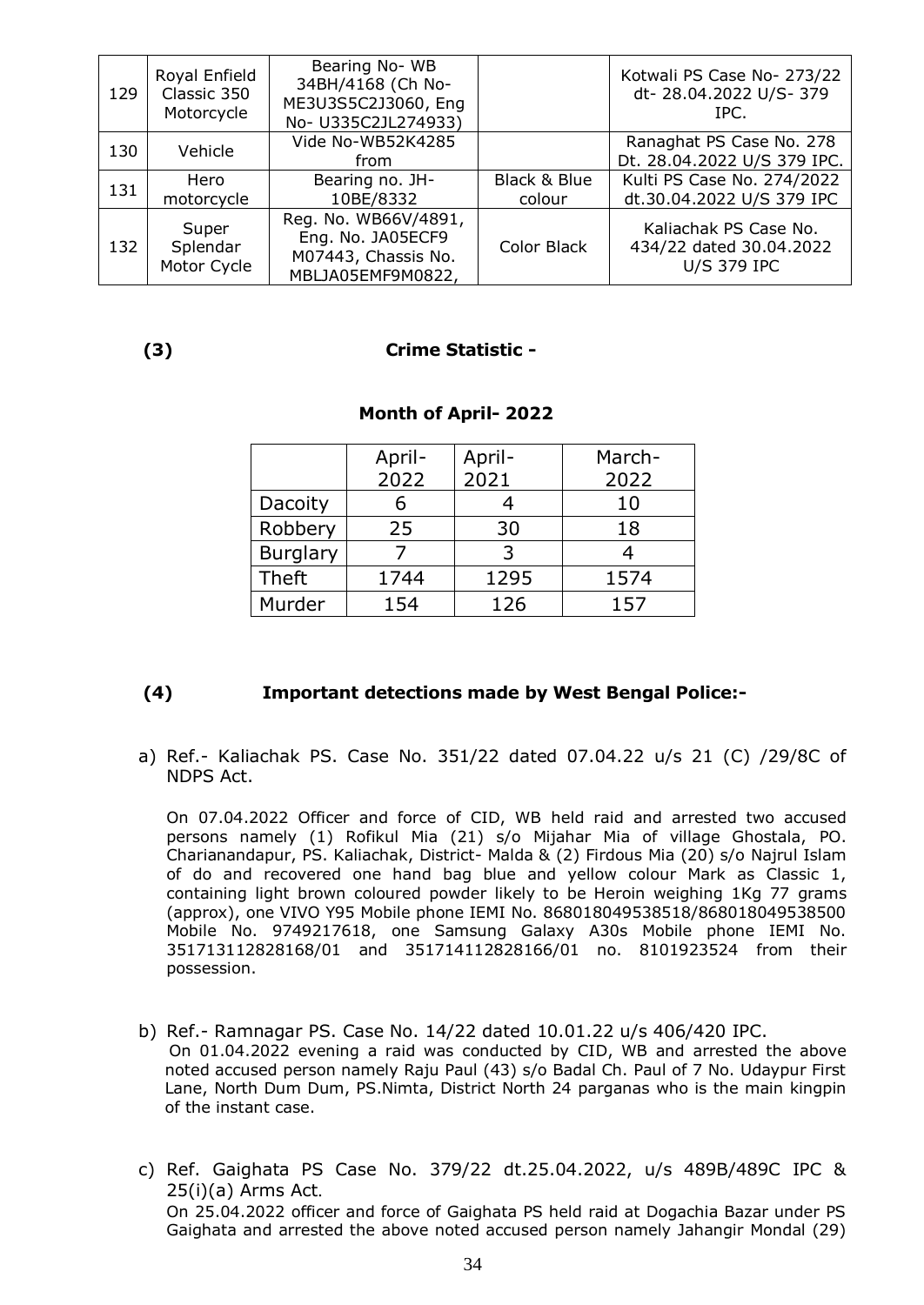| 129 | Royal Enfield<br>Classic 350<br>Motorcycle | Bearing No-WB<br>34BH/4168 (Ch No-<br>ME3U3S5C2J3060, Eng<br>No- U335C2JL274933)      |                        | Kotwali PS Case No- 273/22<br>dt-28.04.2022 U/S-379<br>TPC.            |
|-----|--------------------------------------------|---------------------------------------------------------------------------------------|------------------------|------------------------------------------------------------------------|
| 130 | Vehicle                                    | Vide No-WB52K4285<br>from                                                             |                        | Ranaghat PS Case No. 278<br>Dt. 28.04.2022 U/S 379 IPC.                |
| 131 | Hero<br>motorcycle                         | Bearing no. JH-<br>10BE/8332                                                          | Black & Blue<br>colour | Kulti PS Case No. 274/2022<br>dt.30.04.2022 U/S 379 IPC                |
| 132 | Super<br>Splendar<br>Motor Cycle           | Reg. No. WB66V/4891,<br>Eng. No. JA05ECF9<br>M07443, Chassis No.<br>MBLJA05EMF9M0822, | Color Black            | Kaliachak PS Case No.<br>434/22 dated 30.04.2022<br><b>U/S 379 IPC</b> |

### **(3) Crime Statistic -**

|                 | April- | April- | March- |
|-----------------|--------|--------|--------|
|                 | 2022   | 2021   | 2022   |
| Dacoity         |        |        | 10     |
| Robbery         | 25     | 30     | 18     |
| <b>Burglary</b> |        | 3      |        |
| <b>Theft</b>    | 1744   | 1295   | 1574   |
| Murder          | 154    | 126    | 157    |

### **Month of April- 2022**

### **(4) Important detections made by West Bengal Police:-**

a) Ref.- Kaliachak PS. Case No. 351/22 dated 07.04.22 u/s 21 (C) /29/8C of NDPS Act.

On 07.04.2022 Officer and force of CID, WB held raid and arrested two accused persons namely (1) Rofikul Mia (21) s/o Mijahar Mia of village Ghostala, PO. Charianandapur, PS. Kaliachak, District- Malda & (2) Firdous Mia (20) s/o Najrul Islam of do and recovered one hand bag blue and yellow colour Mark as Classic 1, containing light brown coloured powder likely to be Heroin weighing 1Kg 77 grams (approx), one VIVO Y95 Mobile phone IEMI No. 868018049538518/868018049538500 Mobile No. 9749217618, one Samsung Galaxy A30s Mobile phone IEMI No. 351713112828168/01 and 351714112828166/01 no. 8101923524 from their possession.

- b) Ref.- Ramnagar PS. Case No. 14/22 dated 10.01.22 u/s 406/420 IPC. On 01.04.2022 evening a raid was conducted by CID, WB and arrested the above noted accused person namely Raju Paul (43) s/o Badal Ch. Paul of 7 No. Udaypur First Lane, North Dum Dum, PS.Nimta, District North 24 parganas who is the main kingpin of the instant case.
- c) Ref. Gaighata PS Case No. 379/22 dt.25.04.2022, u/s 489B/489C IPC & 25(i)(a) Arms Act. On 25.04.2022 officer and force of Gaighata PS held raid at Dogachia Bazar under PS Gaighata and arrested the above noted accused person namely Jahangir Mondal (29)